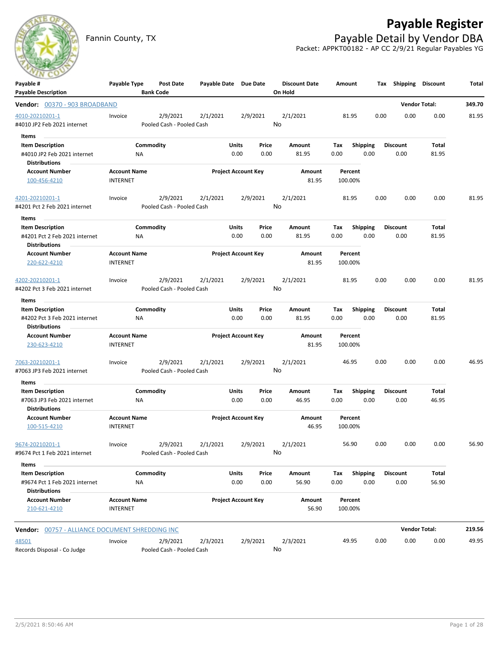

## **Payable Register**

Fannin County, TX **Payable Detail by Vendor DBA** Packet: APPKT00182 - AP CC 2/9/21 Regular Payables YG

| Payable #                                             | Payable Type                           |                  | Post Date                 | Payable Date Due Date |       |                            | <b>Discount Date</b> | Amount       |                 |      | Tax Shipping    | <b>Discount</b>      | Total  |
|-------------------------------------------------------|----------------------------------------|------------------|---------------------------|-----------------------|-------|----------------------------|----------------------|--------------|-----------------|------|-----------------|----------------------|--------|
| <b>Payable Description</b>                            |                                        | <b>Bank Code</b> |                           |                       |       |                            | On Hold              |              |                 |      |                 |                      |        |
| Vendor: 00370 - 903 BROADBAND                         |                                        |                  |                           |                       |       |                            |                      |              |                 |      |                 | <b>Vendor Total:</b> | 349.70 |
| 4010-20210201-1                                       | Invoice                                |                  | 2/9/2021                  | 2/1/2021              |       | 2/9/2021                   | 2/1/2021             | 81.95        |                 | 0.00 | 0.00            | 0.00                 | 81.95  |
| #4010 JP2 Feb 2021 internet                           |                                        |                  | Pooled Cash - Pooled Cash |                       |       |                            | No                   |              |                 |      |                 |                      |        |
| Items                                                 |                                        |                  |                           |                       |       |                            |                      |              |                 |      |                 |                      |        |
| <b>Item Description</b>                               |                                        | Commodity        |                           |                       | Units | Price                      | Amount               | Tax          | Shipping        |      | <b>Discount</b> | Total                |        |
| #4010 JP2 Feb 2021 internet<br><b>Distributions</b>   |                                        | NA               |                           |                       | 0.00  | 0.00                       | 81.95                | 0.00         | 0.00            |      | 0.00            | 81.95                |        |
| <b>Account Number</b>                                 | <b>Account Name</b>                    |                  |                           |                       |       | <b>Project Account Key</b> | Amount               | Percent      |                 |      |                 |                      |        |
| 100-456-4210                                          | <b>INTERNET</b>                        |                  |                           |                       |       |                            | 81.95                | 100.00%      |                 |      |                 |                      |        |
| 4201-20210201-1                                       | Invoice                                |                  | 2/9/2021                  | 2/1/2021              |       | 2/9/2021                   | 2/1/2021             | 81.95        |                 | 0.00 | 0.00            | 0.00                 | 81.95  |
| #4201 Pct 2 Feb 2021 internet                         |                                        |                  | Pooled Cash - Pooled Cash |                       |       |                            | No                   |              |                 |      |                 |                      |        |
| Items<br>$\sim$                                       |                                        |                  |                           |                       |       |                            |                      |              |                 |      |                 |                      |        |
| <b>Item Description</b>                               |                                        | Commodity        |                           |                       | Units | Price                      | Amount               | Tax          | <b>Shipping</b> |      | <b>Discount</b> | Total                |        |
| #4201 Pct 2 Feb 2021 internet                         |                                        | ΝA               |                           |                       | 0.00  | 0.00                       | 81.95                | 0.00         | 0.00            |      | 0.00            | 81.95                |        |
| <b>Distributions</b><br><b>Account Number</b>         |                                        |                  |                           |                       |       |                            |                      | Percent      |                 |      |                 |                      |        |
| 220-622-4210                                          | <b>Account Name</b><br><b>INTERNET</b> |                  |                           |                       |       | <b>Project Account Key</b> | Amount<br>81.95      | 100.00%      |                 |      |                 |                      |        |
| 4202-20210201-1                                       | Invoice                                |                  | 2/9/2021                  | 2/1/2021              |       | 2/9/2021                   | 2/1/2021             | 81.95        |                 | 0.00 | 0.00            | 0.00                 | 81.95  |
| #4202 Pct 3 Feb 2021 internet                         |                                        |                  | Pooled Cash - Pooled Cash |                       |       |                            | No                   |              |                 |      |                 |                      |        |
| Items                                                 |                                        |                  |                           |                       |       |                            |                      |              |                 |      |                 |                      |        |
| <b>Item Description</b>                               |                                        | Commodity        |                           |                       | Units | Price                      | Amount               | Tax          | <b>Shipping</b> |      | <b>Discount</b> | Total                |        |
| #4202 Pct 3 Feb 2021 internet                         |                                        | NA               |                           |                       | 0.00  | 0.00                       | 81.95                | 0.00         | 0.00            |      | 0.00            | 81.95                |        |
| <b>Distributions</b>                                  |                                        |                  |                           |                       |       |                            |                      |              |                 |      |                 |                      |        |
| <b>Account Number</b>                                 | <b>Account Name</b>                    |                  |                           |                       |       | <b>Project Account Key</b> | Amount               | Percent      |                 |      |                 |                      |        |
| 230-623-4210                                          | <b>INTERNET</b>                        |                  |                           |                       |       |                            | 81.95                | 100.00%      |                 |      |                 |                      |        |
| 7063-20210201-1                                       | Invoice                                |                  | 2/9/2021                  | 2/1/2021              |       | 2/9/2021                   | 2/1/2021             | 46.95        |                 | 0.00 | 0.00            | 0.00                 | 46.95  |
| #7063 JP3 Feb 2021 internet                           |                                        |                  | Pooled Cash - Pooled Cash |                       |       |                            | No                   |              |                 |      |                 |                      |        |
| Items                                                 |                                        |                  |                           |                       |       |                            |                      |              |                 |      |                 |                      |        |
| <b>Item Description</b>                               |                                        | Commodity        |                           |                       | Units | Price                      | Amount               | Tax          | <b>Shipping</b> |      | <b>Discount</b> | Total                |        |
| #7063 JP3 Feb 2021 internet<br><b>Distributions</b>   |                                        | <b>NA</b>        |                           |                       | 0.00  | 0.00                       | 46.95                | 0.00         | 0.00            |      | 0.00            | 46.95                |        |
| <b>Account Number</b>                                 | <b>Account Name</b>                    |                  |                           |                       |       | <b>Project Account Key</b> | Amount               | Percent      |                 |      |                 |                      |        |
| 100-515-4210                                          | <b>INTERNET</b>                        |                  |                           |                       |       |                            | 46.95                | 100.00%      |                 |      |                 |                      |        |
| 9674-20210201-1                                       | Invoice                                |                  | 2/9/2021 2/1/2021         |                       |       | 2/9/2021                   | 2/1/2021             | 56.90        |                 | 0.00 | 0.00            | 0.00                 | 56.90  |
| #9674 Pct 1 Feb 2021 internet                         |                                        |                  | Pooled Cash - Pooled Cash |                       |       |                            | No                   |              |                 |      |                 |                      |        |
| Items                                                 |                                        |                  |                           |                       |       |                            |                      |              |                 |      |                 |                      |        |
| <b>Item Description</b>                               |                                        | Commodity        |                           |                       | Units | Price                      | Amount               | Tax Shipping |                 |      | <b>Discount</b> | Total                |        |
| #9674 Pct 1 Feb 2021 internet<br><b>Distributions</b> |                                        | NA               |                           |                       | 0.00  | 0.00                       | 56.90                | 0.00         | 0.00            |      | 0.00            | 56.90                |        |
| <b>Account Number</b>                                 | <b>Account Name</b>                    |                  |                           |                       |       | <b>Project Account Key</b> | Amount               | Percent      |                 |      |                 |                      |        |
| 210-621-4210                                          | INTERNET                               |                  |                           |                       |       |                            | 56.90                | 100.00%      |                 |      |                 |                      |        |
| Vendor: 00757 - ALLIANCE DOCUMENT SHREDDING INC       |                                        |                  |                           |                       |       |                            |                      |              |                 |      |                 | <b>Vendor Total:</b> | 219.56 |
| 48501                                                 | Invoice                                |                  | 2/9/2021                  | 2/3/2021              |       | 2/9/2021                   | 2/3/2021             | 49.95        |                 | 0.00 | 0.00            | 0.00                 | 49.95  |
| Records Disposal - Co Judge                           |                                        |                  | Pooled Cash - Pooled Cash |                       |       |                            | No                   |              |                 |      |                 |                      |        |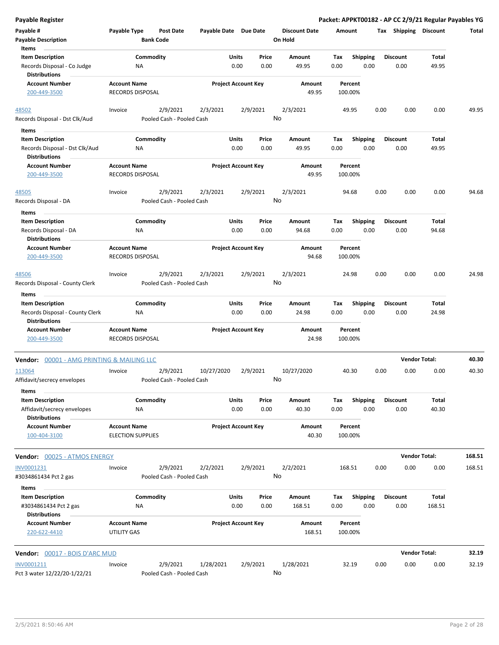| <b>Payable Register</b>                                 |                                                 |                                      |                       |                            |               |                                 |                    |                         |      |                       | Packet: APPKT00182 - AP CC 2/9/21 Regular Payables YG |        |
|---------------------------------------------------------|-------------------------------------------------|--------------------------------------|-----------------------|----------------------------|---------------|---------------------------------|--------------------|-------------------------|------|-----------------------|-------------------------------------------------------|--------|
| Payable #<br><b>Payable Description</b>                 | Payable Type                                    | <b>Post Date</b><br><b>Bank Code</b> | Payable Date Due Date |                            |               | <b>Discount Date</b><br>On Hold | Amount             |                         |      | Tax Shipping Discount |                                                       | Total  |
| Items<br><b>Item Description</b>                        |                                                 |                                      |                       |                            |               |                                 |                    |                         |      | <b>Discount</b>       |                                                       |        |
| Records Disposal - Co Judge<br><b>Distributions</b>     |                                                 | Commodity<br>ΝA                      |                       | Units<br>0.00              | Price<br>0.00 | Amount<br>49.95                 | Tax<br>0.00        | <b>Shipping</b><br>0.00 |      | 0.00                  | Total<br>49.95                                        |        |
| <b>Account Number</b>                                   | <b>Account Name</b>                             |                                      |                       | <b>Project Account Key</b> |               | Amount                          | Percent            |                         |      |                       |                                                       |        |
| 200-449-3500                                            | <b>RECORDS DISPOSAL</b>                         |                                      |                       |                            |               | 49.95                           | 100.00%            |                         |      |                       |                                                       |        |
| 48502                                                   | Invoice                                         | 2/9/2021                             | 2/3/2021              |                            | 2/9/2021      | 2/3/2021                        | 49.95              |                         | 0.00 | 0.00                  | 0.00                                                  | 49.95  |
| Records Disposal - Dst Clk/Aud                          |                                                 | Pooled Cash - Pooled Cash            |                       |                            | No            |                                 |                    |                         |      |                       |                                                       |        |
| Items                                                   |                                                 |                                      |                       |                            |               |                                 |                    |                         |      |                       |                                                       |        |
| <b>Item Description</b>                                 |                                                 | Commodity                            |                       | Units                      | Price         | Amount                          | Tax                | <b>Shipping</b>         |      | <b>Discount</b>       | Total                                                 |        |
| Records Disposal - Dst Clk/Aud<br><b>Distributions</b>  |                                                 | ΝA                                   |                       | 0.00                       | 0.00          | 49.95                           | 0.00               | 0.00                    |      | 0.00                  | 49.95                                                 |        |
| <b>Account Number</b>                                   | <b>Account Name</b>                             |                                      |                       | <b>Project Account Key</b> |               | Amount                          | Percent            |                         |      |                       |                                                       |        |
| 200-449-3500                                            | <b>RECORDS DISPOSAL</b>                         |                                      |                       |                            |               | 49.95                           | 100.00%            |                         |      |                       |                                                       |        |
| 48505                                                   | Invoice                                         | 2/9/2021                             | 2/3/2021              |                            | 2/9/2021      | 2/3/2021                        | 94.68              |                         | 0.00 | 0.00                  | 0.00                                                  | 94.68  |
| Records Disposal - DA                                   |                                                 | Pooled Cash - Pooled Cash            |                       |                            |               | No                              |                    |                         |      |                       |                                                       |        |
| Items                                                   |                                                 |                                      |                       |                            |               |                                 |                    |                         |      |                       |                                                       |        |
| <b>Item Description</b>                                 |                                                 | Commodity                            |                       | Units                      | Price         | Amount                          | Tax                | <b>Shipping</b>         |      | <b>Discount</b>       | Total                                                 |        |
| Records Disposal - DA<br><b>Distributions</b>           |                                                 | NA                                   |                       | 0.00                       | 0.00          | 94.68                           | 0.00               | 0.00                    |      | 0.00                  | 94.68                                                 |        |
| <b>Account Number</b>                                   | <b>Account Name</b>                             |                                      |                       | <b>Project Account Key</b> |               | Amount                          | Percent            |                         |      |                       |                                                       |        |
| 200-449-3500                                            | <b>RECORDS DISPOSAL</b>                         |                                      |                       |                            |               | 94.68                           | 100.00%            |                         |      |                       |                                                       |        |
| 48506                                                   | Invoice                                         | 2/9/2021                             | 2/3/2021              |                            | 2/9/2021      | 2/3/2021                        | 24.98              |                         | 0.00 | 0.00                  | 0.00                                                  | 24.98  |
| Records Disposal - County Clerk                         |                                                 | Pooled Cash - Pooled Cash            |                       |                            | No            |                                 |                    |                         |      |                       |                                                       |        |
| Items                                                   |                                                 |                                      |                       |                            |               |                                 |                    |                         |      |                       |                                                       |        |
| <b>Item Description</b>                                 |                                                 | Commodity                            |                       | Units                      | Price         | Amount                          | Tax                | <b>Shipping</b>         |      | <b>Discount</b>       | Total                                                 |        |
| Records Disposal - County Clerk<br><b>Distributions</b> |                                                 | ΝA                                   |                       | 0.00                       | 0.00          | 24.98                           | 0.00               | 0.00                    |      | 0.00                  | 24.98                                                 |        |
| <b>Account Number</b>                                   | <b>Account Name</b>                             |                                      |                       | <b>Project Account Key</b> |               | Amount                          | Percent            |                         |      |                       |                                                       |        |
| 200-449-3500                                            | RECORDS DISPOSAL                                |                                      |                       |                            |               | 24.98                           | 100.00%            |                         |      |                       |                                                       |        |
| Vendor: 00001 - AMG PRINTING & MAILING LLC              |                                                 |                                      |                       |                            |               |                                 |                    |                         |      |                       | <b>Vendor Total:</b>                                  | 40.30  |
| 113064                                                  | Invoice                                         | 2/9/2021                             | 10/27/2020            |                            | 2/9/2021      | 10/27/2020                      | 40.30              |                         | 0.00 | 0.00                  | 0.00                                                  | 40.30  |
| Affidavit/secrecy envelopes<br>Items                    |                                                 | Pooled Cash - Pooled Cash            |                       |                            |               | No                              |                    |                         |      |                       |                                                       |        |
| <b>Item Description</b>                                 |                                                 | Commodity                            |                       | Units                      | Price         | Amount                          | Tax                | <b>Shipping</b>         |      | <b>Discount</b>       | Total                                                 |        |
| Affidavit/secrecy envelopes<br><b>Distributions</b>     |                                                 | ΝA                                   |                       | 0.00                       | 0.00          | 40.30                           | 0.00               | 0.00                    |      | 0.00                  | 40.30                                                 |        |
| <b>Account Number</b><br>100-404-3100                   | <b>Account Name</b><br><b>ELECTION SUPPLIES</b> |                                      |                       | <b>Project Account Key</b> |               | Amount<br>40.30                 | Percent<br>100.00% |                         |      |                       |                                                       |        |
|                                                         |                                                 |                                      |                       |                            |               |                                 |                    |                         |      |                       |                                                       |        |
| Vendor: 00025 - ATMOS ENERGY                            |                                                 |                                      |                       |                            |               |                                 |                    |                         |      |                       | <b>Vendor Total:</b>                                  | 168.51 |
| INV0001231                                              | Invoice                                         | 2/9/2021                             | 2/2/2021              |                            | 2/9/2021      | 2/2/2021                        | 168.51             |                         | 0.00 | 0.00                  | 0.00                                                  | 168.51 |
| #3034861434 Pct 2 gas                                   |                                                 | Pooled Cash - Pooled Cash            |                       |                            | No            |                                 |                    |                         |      |                       |                                                       |        |
| Items<br><b>Item Description</b>                        |                                                 | Commodity                            |                       | Units                      | Price         | Amount                          | Тах                | <b>Shipping</b>         |      | <b>Discount</b>       | Total                                                 |        |
| #3034861434 Pct 2 gas<br><b>Distributions</b>           |                                                 | ΝA                                   |                       | 0.00                       | 0.00          | 168.51                          | 0.00               | 0.00                    |      | 0.00                  | 168.51                                                |        |
| <b>Account Number</b>                                   | <b>Account Name</b>                             |                                      |                       | <b>Project Account Key</b> |               | Amount                          | Percent            |                         |      |                       |                                                       |        |
| 220-622-4410                                            | <b>UTILITY GAS</b>                              |                                      |                       |                            |               | 168.51                          | 100.00%            |                         |      |                       |                                                       |        |
| <b>Vendor:</b> 00017 - BOIS D'ARC MUD                   |                                                 |                                      |                       |                            |               |                                 |                    |                         |      |                       | <b>Vendor Total:</b>                                  | 32.19  |
| INV0001211                                              | Invoice                                         | 2/9/2021                             | 1/28/2021             |                            | 2/9/2021      | 1/28/2021                       | 32.19              |                         | 0.00 | 0.00                  | 0.00                                                  | 32.19  |
| Pct 3 water 12/22/20-1/22/21                            |                                                 | Pooled Cash - Pooled Cash            |                       |                            | No            |                                 |                    |                         |      |                       |                                                       |        |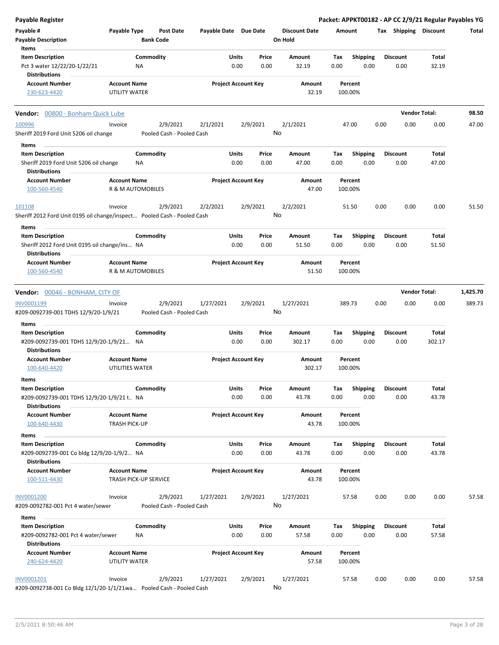| Payable Register                                                         |                      |                       |                           |                       |                            |       |                      |        |                    |      |                       | Packet: APPKT00182 - AP CC 2/9/21 Regular Payables YG |              |
|--------------------------------------------------------------------------|----------------------|-----------------------|---------------------------|-----------------------|----------------------------|-------|----------------------|--------|--------------------|------|-----------------------|-------------------------------------------------------|--------------|
| Payable #                                                                | Payable Type         |                       | <b>Post Date</b>          | Payable Date Due Date |                            |       | <b>Discount Date</b> | Amount |                    |      | Tax Shipping Discount |                                                       | <b>Total</b> |
| <b>Payable Description</b>                                               |                      | <b>Bank Code</b>      |                           |                       |                            |       | On Hold              |        |                    |      |                       |                                                       |              |
| Items                                                                    |                      |                       |                           |                       |                            |       |                      |        |                    |      |                       |                                                       |              |
| <b>Item Description</b>                                                  |                      | Commodity             |                           |                       | Units                      | Price | Amount               | Tax    | <b>Shipping</b>    |      | <b>Discount</b>       | Total                                                 |              |
| Pct 3 water 12/22/20-1/22/21<br><b>Distributions</b>                     |                      | NA                    |                           |                       | 0.00                       | 0.00  | 32.19                | 0.00   | 0.00               |      | 0.00                  | 32.19                                                 |              |
| <b>Account Number</b>                                                    | <b>Account Name</b>  |                       |                           |                       | <b>Project Account Key</b> |       | Amount               |        | Percent            |      |                       |                                                       |              |
| 230-623-4420                                                             | <b>UTILITY WATER</b> |                       |                           |                       |                            |       | 32.19                |        | 100.00%            |      |                       |                                                       |              |
| <b>Vendor:</b> 00800 - Bonham Quick Lube                                 |                      |                       |                           |                       |                            |       |                      |        |                    |      |                       | <b>Vendor Total:</b>                                  | 98.50        |
| 100996                                                                   | Invoice              |                       | 2/9/2021                  | 2/1/2021              | 2/9/2021                   |       | 2/1/2021             |        | 47.00              | 0.00 | 0.00                  | 0.00                                                  | 47.00        |
| Sheriff 2019 Ford Unit 5206 oil change                                   |                      |                       | Pooled Cash - Pooled Cash |                       |                            |       | No                   |        |                    |      |                       |                                                       |              |
| Items                                                                    |                      |                       |                           |                       |                            |       |                      |        |                    |      |                       |                                                       |              |
| <b>Item Description</b>                                                  |                      | Commodity             |                           |                       | Units                      | Price | Amount               | Tax    | <b>Shipping</b>    |      | <b>Discount</b>       | Total                                                 |              |
| Sheriff 2019 Ford Unit 5206 oil change<br><b>Distributions</b>           |                      | ΝA                    |                           |                       | 0.00                       | 0.00  | 47.00                | 0.00   | 0.00               |      | 0.00                  | 47.00                                                 |              |
| <b>Account Number</b><br>100-560-4540                                    | <b>Account Name</b>  | R & M AUTOMOBILES     |                           |                       | <b>Project Account Key</b> |       | Amount<br>47.00      |        | Percent<br>100.00% |      |                       |                                                       |              |
| 101108                                                                   | Invoice              |                       | 2/9/2021                  | 2/2/2021              | 2/9/2021                   |       | 2/2/2021             |        | 51.50              | 0.00 | 0.00                  | 0.00                                                  | 51.50        |
| Sheriff 2012 Ford Unit 0195 oil change/inspect Pooled Cash - Pooled Cash |                      |                       |                           |                       |                            |       | No                   |        |                    |      |                       |                                                       |              |
| Items<br><b>Item Description</b>                                         |                      | Commodity             |                           |                       | Units                      | Price | Amount               | Tax    | <b>Shipping</b>    |      | <b>Discount</b>       | Total                                                 |              |
| Sheriff 2012 Ford Unit 0195 oil change/ins NA                            |                      |                       |                           |                       | 0.00                       | 0.00  | 51.50                | 0.00   | 0.00               |      | 0.00                  | 51.50                                                 |              |
| Distributions                                                            |                      |                       |                           |                       |                            |       |                      |        |                    |      |                       |                                                       |              |
| <b>Account Number</b>                                                    | <b>Account Name</b>  |                       |                           |                       | <b>Project Account Key</b> |       | Amount               |        | Percent            |      |                       |                                                       |              |
| 100-560-4540                                                             |                      | R & M AUTOMOBILES     |                           |                       |                            |       | 51.50                |        | 100.00%            |      |                       |                                                       |              |
| Vendor: 00046 - BONHAM, CITY OF                                          |                      |                       |                           |                       |                            |       |                      |        |                    |      |                       | <b>Vendor Total:</b>                                  | 1,425.70     |
| INV0001199                                                               | Invoice              |                       | 2/9/2021                  | 1/27/2021             | 2/9/2021                   |       | 1/27/2021            |        | 389.73             | 0.00 | 0.00                  | 0.00                                                  | 389.73       |
| #209-0092739-001 TDHS 12/9/20-1/9/21                                     |                      |                       | Pooled Cash - Pooled Cash |                       |                            |       | No                   |        |                    |      |                       |                                                       |              |
|                                                                          |                      |                       |                           |                       |                            |       |                      |        |                    |      |                       |                                                       |              |
| Items                                                                    |                      |                       |                           |                       |                            |       |                      |        |                    |      |                       |                                                       |              |
| <b>Item Description</b>                                                  |                      | Commodity             |                           |                       | Units                      | Price | <b>Amount</b>        | Tax    | <b>Shipping</b>    |      | <b>Discount</b>       | Total                                                 |              |
| #209-0092739-001 TDHS 12/9/20-1/9/21 NA<br><b>Distributions</b>          |                      |                       |                           |                       | 0.00                       | 0.00  | 302.17               | 0.00   | 0.00               |      | 0.00                  | 302.17                                                |              |
| <b>Account Number</b>                                                    | <b>Account Name</b>  |                       |                           |                       | <b>Project Account Key</b> |       | Amount               |        | Percent            |      |                       |                                                       |              |
| 100-640-4420                                                             | UTILITIES WATER      |                       |                           |                       |                            |       | 302.17               |        | 100.00%            |      |                       |                                                       |              |
|                                                                          |                      |                       |                           |                       |                            |       |                      |        |                    |      |                       |                                                       |              |
| Items                                                                    |                      |                       |                           |                       |                            |       |                      |        |                    |      |                       |                                                       |              |
| <b>Item Description</b>                                                  |                      | Commodity             |                           |                       | Units                      | Price | Amount               | Tax    | <b>Shipping</b>    |      | <b>Discount</b>       | Total                                                 |              |
| #209-0092739-001 TDHS 12/9/20-1/9/21 t NA<br>Distributions               |                      |                       |                           |                       | 0.00                       | 0.00  | 43.78                | 0.00   | 0.00               |      | 0.00                  | 43.78                                                 |              |
| <b>Account Number</b>                                                    | <b>Account Name</b>  |                       |                           |                       | <b>Project Account Key</b> |       | Amount               |        | Percent            |      |                       |                                                       |              |
| 100-640-4430                                                             | <b>TRASH PICK-UP</b> |                       |                           |                       |                            |       | 43.78                |        | 100.00%            |      |                       |                                                       |              |
| Items                                                                    |                      |                       |                           |                       |                            |       |                      |        |                    |      |                       |                                                       |              |
| <b>Item Description</b>                                                  |                      | Commodity             |                           |                       | Units                      | Price | Amount               | Tax    | <b>Shipping</b>    |      | <b>Discount</b>       | Total                                                 |              |
| #209-0092739-001 Co bldg 12/9/20-1/9/2 NA                                |                      |                       |                           |                       | 0.00                       | 0.00  | 43.78                | 0.00   | 0.00               |      | 0.00                  | 43.78                                                 |              |
| <b>Distributions</b>                                                     |                      |                       |                           |                       |                            |       |                      |        |                    |      |                       |                                                       |              |
| <b>Account Number</b><br>100-511-4430                                    | <b>Account Name</b>  | TRASH PICK-UP SERVICE |                           |                       | <b>Project Account Key</b> |       | Amount<br>43.78      |        | Percent<br>100.00% |      |                       |                                                       |              |
|                                                                          |                      |                       |                           |                       |                            |       |                      |        |                    |      |                       |                                                       |              |
| INV0001200                                                               | Invoice              |                       | 2/9/2021                  | 1/27/2021             | 2/9/2021                   |       | 1/27/2021            |        | 57.58              | 0.00 | 0.00                  | 0.00                                                  | 57.58        |
| #209-0092782-001 Pct 4 water/sewer                                       |                      |                       | Pooled Cash - Pooled Cash |                       |                            |       | No                   |        |                    |      |                       |                                                       |              |
| Items                                                                    |                      |                       |                           |                       |                            |       |                      |        |                    |      |                       |                                                       |              |
| <b>Item Description</b>                                                  |                      | Commodity             |                           |                       | Units                      | Price | Amount               | Tax    | <b>Shipping</b>    |      | <b>Discount</b>       | Total                                                 |              |
| #209-0092782-001 Pct 4 water/sewer<br><b>Distributions</b>               |                      | NA                    |                           |                       | 0.00                       | 0.00  | 57.58                | 0.00   | 0.00               |      | 0.00                  | 57.58                                                 |              |
| <b>Account Number</b>                                                    | <b>Account Name</b>  |                       |                           |                       | <b>Project Account Key</b> |       | Amount               |        | Percent            |      |                       |                                                       |              |
| 240-624-4420                                                             | UTILITY WATER        |                       |                           |                       |                            |       | 57.58                |        | 100.00%            |      |                       |                                                       |              |
| INV0001201                                                               | Invoice              |                       | 2/9/2021                  | 1/27/2021             | 2/9/2021                   |       | 1/27/2021            |        | 57.58              | 0.00 | 0.00                  | 0.00                                                  | 57.58        |
| #209-0092738-001 Co Bldg 12/1/20-1/1/21wa Pooled Cash - Pooled Cash      |                      |                       |                           |                       |                            |       | No                   |        |                    |      |                       |                                                       |              |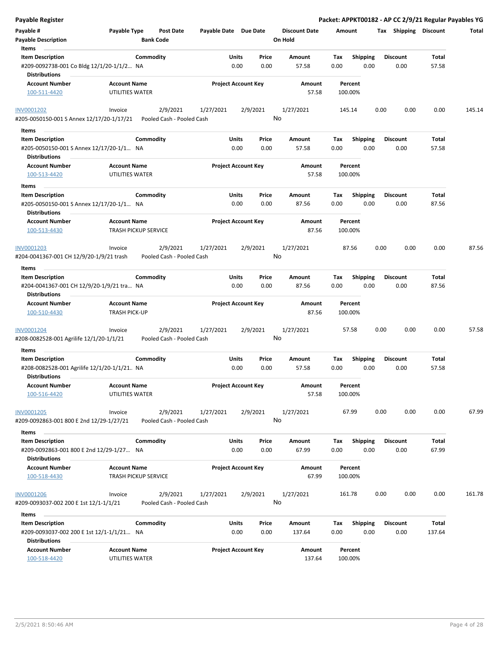| <b>Payable Register</b>                                                 |                                             |                                       |                       |                                |                                 | Packet: APPKT00182 - AP CC 2/9/21 Regular Payables YG |                         |                |        |
|-------------------------------------------------------------------------|---------------------------------------------|---------------------------------------|-----------------------|--------------------------------|---------------------------------|-------------------------------------------------------|-------------------------|----------------|--------|
| Payable #<br><b>Payable Description</b>                                 | Payable Type                                | <b>Post Date</b><br><b>Bank Code</b>  | Payable Date Due Date |                                | <b>Discount Date</b><br>On Hold | Amount                                                | Tax Shipping Discount   |                | Total  |
| Items<br><b>Item Description</b>                                        |                                             | Commodity                             |                       | Units<br>Price                 | Amount                          | Tax<br>Shipping                                       | <b>Discount</b>         | Total          |        |
| #209-0092738-001 Co Bldg 12/1/20-1/1/2 NA<br><b>Distributions</b>       |                                             |                                       |                       | 0.00<br>0.00                   | 57.58                           | 0.00<br>0.00                                          | 0.00                    | 57.58          |        |
| <b>Account Number</b>                                                   | <b>Account Name</b>                         |                                       |                       | <b>Project Account Key</b>     | Amount                          | Percent                                               |                         |                |        |
| 100-511-4420                                                            | UTILITIES WATER                             |                                       |                       |                                | 57.58                           | 100.00%                                               |                         |                |        |
| <b>INV0001202</b>                                                       | Invoice                                     | 2/9/2021                              | 1/27/2021             | 2/9/2021                       | 1/27/2021                       | 145.14                                                | 0.00<br>0.00            | 0.00           | 145.14 |
| #205-0050150-001 S Annex 12/17/20-1/17/21                               |                                             | Pooled Cash - Pooled Cash             |                       |                                | No                              |                                                       |                         |                |        |
| Items                                                                   |                                             |                                       |                       |                                |                                 |                                                       |                         |                |        |
| <b>Item Description</b>                                                 |                                             | Commodity                             |                       | Units<br>Price                 | Amount                          | <b>Shipping</b><br>Tax                                | <b>Discount</b>         | Total          |        |
| #205-0050150-001 S Annex 12/17/20-1/1 NA                                |                                             |                                       |                       | 0.00<br>0.00                   | 57.58                           | 0.00<br>0.00                                          | 0.00                    | 57.58          |        |
| <b>Distributions</b>                                                    |                                             |                                       |                       |                                |                                 |                                                       |                         |                |        |
| <b>Account Number</b><br>100-513-4420                                   | <b>Account Name</b><br>UTILITIES WATER      |                                       |                       | <b>Project Account Key</b>     | Amount<br>57.58                 | Percent<br>100.00%                                    |                         |                |        |
| Items                                                                   |                                             |                                       |                       |                                |                                 |                                                       |                         |                |        |
| <b>Item Description</b>                                                 |                                             | Commodity                             |                       | Units<br>Price                 | Amount                          | Tax<br><b>Shipping</b>                                | <b>Discount</b>         | Total          |        |
| #205-0050150-001 S Annex 12/17/20-1/1 NA<br><b>Distributions</b>        |                                             |                                       |                       | 0.00<br>0.00                   | 87.56                           | 0.00<br>0.00                                          | 0.00                    | 87.56          |        |
| <b>Account Number</b><br>100-513-4430                                   | <b>Account Name</b>                         | <b>TRASH PICKUP SERVICE</b>           |                       | <b>Project Account Key</b>     | Amount<br>87.56                 | Percent<br>100.00%                                    |                         |                |        |
| INV0001203                                                              | Invoice                                     | 2/9/2021                              | 1/27/2021             | 2/9/2021                       | 1/27/2021                       | 87.56                                                 | 0.00<br>0.00            | 0.00           | 87.56  |
| #204-0041367-001 CH 12/9/20-1/9/21 trash                                |                                             | Pooled Cash - Pooled Cash             |                       |                                | No                              |                                                       |                         |                |        |
| Items                                                                   |                                             |                                       |                       |                                |                                 |                                                       |                         |                |        |
| <b>Item Description</b>                                                 |                                             | Commodity                             |                       | Units<br>Price                 | Amount                          | Tax<br><b>Shipping</b>                                | <b>Discount</b>         | Total          |        |
| #204-0041367-001 CH 12/9/20-1/9/21 tra NA<br><b>Distributions</b>       |                                             |                                       |                       | 0.00<br>0.00                   | 87.56                           | 0.00<br>0.00                                          | 0.00                    | 87.56          |        |
| <b>Account Number</b><br>100-510-4430                                   | <b>Account Name</b><br><b>TRASH PICK-UP</b> |                                       |                       | <b>Project Account Key</b>     | Amount<br>87.56                 | Percent<br>100.00%                                    |                         |                |        |
|                                                                         |                                             |                                       |                       |                                |                                 |                                                       |                         |                |        |
| <b>INV0001204</b><br>#208-0082528-001 Agrilife 12/1/20-1/1/21           | Invoice                                     | 2/9/2021<br>Pooled Cash - Pooled Cash | 1/27/2021             | 2/9/2021                       | 1/27/2021<br>No                 | 57.58                                                 | 0.00<br>0.00            | 0.00           | 57.58  |
| Items                                                                   |                                             |                                       |                       |                                |                                 |                                                       |                         |                |        |
| <b>Item Description</b><br>#208-0082528-001 Agrilife 12/1/20-1/1/21. NA |                                             | Commodity                             | Units                 | Price<br>0.00<br>0.00          | Amount<br>57.58                 | Shipping<br>Tax<br>0.00<br>0.00                       | <b>Discount</b><br>0.00 | Total<br>57.58 |        |
| <b>Distributions</b>                                                    |                                             |                                       |                       |                                |                                 |                                                       |                         |                |        |
| <b>Account Number</b><br>100-516-4420                                   | <b>Account Name</b><br>UTILITIES WATER      |                                       |                       | <b>Project Account Key</b>     | Amount<br>57.58                 | Percent<br>100.00%                                    |                         |                |        |
| <b>INV0001205</b>                                                       | Invoice                                     | 2/9/2021                              | 1/27/2021             | 2/9/2021                       | 1/27/2021                       | 67.99                                                 | 0.00<br>0.00            | 0.00           | 67.99  |
| #209-0092863-001 800 E 2nd 12/29-1/27/21                                |                                             | Pooled Cash - Pooled Cash             |                       |                                | No                              |                                                       |                         |                |        |
| Items                                                                   |                                             |                                       |                       |                                |                                 |                                                       |                         |                |        |
| <b>Item Description</b><br>#209-0092863-001 800 E 2nd 12/29-1/27 NA     |                                             | Commodity                             |                       | Units<br>Price<br>0.00<br>0.00 | Amount<br>67.99                 | Shipping<br>Tax<br>0.00<br>0.00                       | <b>Discount</b><br>0.00 | Total<br>67.99 |        |
| <b>Distributions</b>                                                    |                                             |                                       |                       |                                |                                 |                                                       |                         |                |        |
| <b>Account Number</b><br>100-518-4430                                   | <b>Account Name</b>                         | <b>TRASH PICKUP SERVICE</b>           |                       | <b>Project Account Key</b>     | Amount<br>67.99                 | Percent<br>100.00%                                    |                         |                |        |
| INV0001206                                                              | Invoice                                     | 2/9/2021                              | 1/27/2021             | 2/9/2021                       | 1/27/2021                       | 161.78                                                | 0.00<br>0.00            | 0.00           | 161.78 |
| #209-0093037-002 200 E 1st 12/1-1/1/21                                  |                                             | Pooled Cash - Pooled Cash             |                       |                                | No                              |                                                       |                         |                |        |
| Items                                                                   |                                             |                                       |                       |                                |                                 |                                                       |                         |                |        |
| <b>Item Description</b>                                                 |                                             | Commodity                             |                       | Units<br>Price                 | Amount                          | Shipping<br>Тах                                       | <b>Discount</b>         | Total          |        |
| #209-0093037-002 200 E 1st 12/1-1/1/21 NA<br><b>Distributions</b>       |                                             |                                       |                       | 0.00<br>0.00                   | 137.64                          | 0.00<br>0.00                                          | 0.00                    | 137.64         |        |
| <b>Account Number</b><br>100-518-4420                                   | <b>Account Name</b><br>UTILITIES WATER      |                                       |                       | <b>Project Account Key</b>     | Amount<br>137.64                | Percent<br>100.00%                                    |                         |                |        |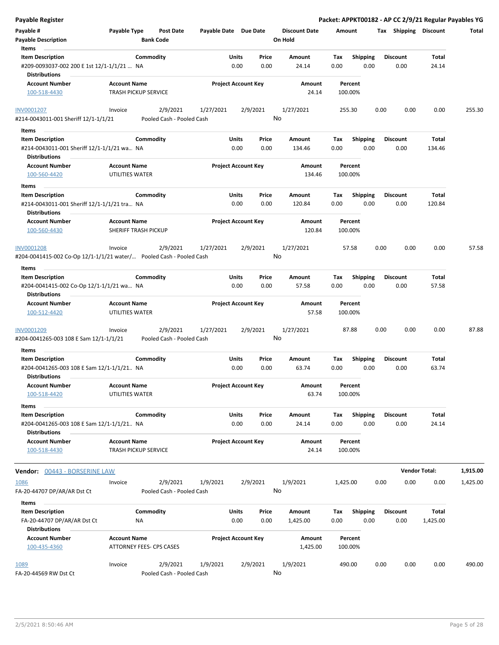| <b>Payable Register</b>                                                                     |                                                      |                       |                                |                                 | Packet: APPKT00182 - AP CC 2/9/21 Regular Payables YG |                         |                      |          |
|---------------------------------------------------------------------------------------------|------------------------------------------------------|-----------------------|--------------------------------|---------------------------------|-------------------------------------------------------|-------------------------|----------------------|----------|
| Payable #<br><b>Payable Description</b>                                                     | Payable Type<br><b>Post Date</b><br><b>Bank Code</b> | Payable Date Due Date |                                | <b>Discount Date</b><br>On Hold | Amount                                                | Tax Shipping Discount   |                      | Total    |
| Items<br><b>Item Description</b>                                                            | Commodity                                            | Units                 | Price                          | Amount                          | Tax<br><b>Shipping</b>                                | <b>Discount</b>         | Total                |          |
| #209-0093037-002 200 E 1st 12/1-1/1/21  NA<br><b>Distributions</b>                          |                                                      |                       | 0.00<br>0.00                   | 24.14                           | 0.00<br>0.00                                          | 0.00                    | 24.14                |          |
| <b>Account Number</b><br>100-518-4430                                                       | <b>Account Name</b><br><b>TRASH PICKUP SERVICE</b>   |                       | <b>Project Account Key</b>     | Amount<br>24.14                 | Percent<br>100.00%                                    |                         |                      |          |
| INV0001207<br>#214-0043011-001 Sheriff 12/1-1/1/21                                          | 2/9/2021<br>Invoice<br>Pooled Cash - Pooled Cash     | 1/27/2021             | 2/9/2021                       | 1/27/2021<br>No                 | 255.30                                                | 0.00<br>0.00            | 0.00                 | 255.30   |
| Items                                                                                       |                                                      |                       |                                |                                 |                                                       |                         |                      |          |
| <b>Item Description</b>                                                                     | Commodity                                            | Units                 | Price                          | Amount                          | <b>Shipping</b><br>Tax                                | <b>Discount</b>         | Total                |          |
| #214-0043011-001 Sheriff 12/1-1/1/21 wa NA<br><b>Distributions</b>                          |                                                      |                       | 0.00<br>0.00                   | 134.46                          | 0.00<br>0.00                                          | 0.00                    | 134.46               |          |
| <b>Account Number</b>                                                                       | <b>Account Name</b>                                  |                       | <b>Project Account Key</b>     | Amount                          | Percent                                               |                         |                      |          |
| 100-560-4420<br>Items                                                                       | UTILITIES WATER                                      |                       |                                | 134.46                          | 100.00%                                               |                         |                      |          |
| <b>Item Description</b>                                                                     | Commodity                                            |                       | Units<br>Price                 | Amount                          | Tax<br><b>Shipping</b>                                | <b>Discount</b>         | Total                |          |
| #214-0043011-001 Sheriff 12/1-1/1/21 tra NA<br><b>Distributions</b>                         |                                                      |                       | 0.00<br>0.00                   | 120.84                          | 0.00<br>0.00                                          | 0.00                    | 120.84               |          |
| <b>Account Number</b><br>100-560-4430                                                       | <b>Account Name</b><br>SHERIFF TRASH PICKUP          |                       | <b>Project Account Key</b>     | Amount<br>120.84                | Percent<br>100.00%                                    |                         |                      |          |
| <b>INV0001208</b><br>#204-0041415-002 Co-Op 12/1-1/1/21 water/    Pooled Cash - Pooled Cash | Invoice<br>2/9/2021                                  | 1/27/2021             | 2/9/2021                       | 1/27/2021<br>No                 | 57.58                                                 | 0.00<br>0.00            | 0.00                 | 57.58    |
| Items                                                                                       |                                                      |                       |                                |                                 |                                                       |                         |                      |          |
| <b>Item Description</b><br>#204-0041415-002 Co-Op 12/1-1/1/21 wa NA                         | Commodity                                            | Units                 | Price<br>0.00<br>0.00          | Amount<br>57.58                 | Tax<br><b>Shipping</b><br>0.00<br>0.00                | <b>Discount</b><br>0.00 | Total<br>57.58       |          |
| <b>Distributions</b>                                                                        |                                                      |                       |                                |                                 |                                                       |                         |                      |          |
| <b>Account Number</b><br>100-512-4420                                                       | <b>Account Name</b><br>UTILITIES WATER               |                       | <b>Project Account Key</b>     | Amount<br>57.58                 | Percent<br>100.00%                                    |                         |                      |          |
| INV0001209<br>#204-0041265-003 108 E Sam 12/1-1/1/21                                        | 2/9/2021<br>Invoice<br>Pooled Cash - Pooled Cash     | 1/27/2021             | 2/9/2021                       | 1/27/2021<br>No                 | 87.88                                                 | 0.00<br>0.00            | 0.00                 | 87.88    |
| Items                                                                                       |                                                      |                       |                                |                                 |                                                       |                         |                      |          |
| <b>Item Description</b><br>#204-0041265-003 108 E Sam 12/1-1/1/21 NA                        | Commodity                                            | Units                 | Price<br>0.00<br>0.00          | Amount<br>63.74                 | <b>Shipping</b><br>Tax<br>0.00<br>0.00                | <b>Discount</b><br>0.00 | Total<br>63.74       |          |
| <b>Distributions</b><br><b>Account Number</b>                                               | <b>Account Name</b>                                  |                       | <b>Project Account Key</b>     | Amount                          | Percent                                               |                         |                      |          |
| 100-518-4420<br>Items                                                                       | UTILITIES WATER                                      |                       |                                | 63.74                           | 100.00%                                               |                         |                      |          |
| <b>Item Description</b><br>#204-0041265-003 108 E Sam 12/1-1/1/21 NA                        | Commodity                                            |                       | Units<br>Price<br>0.00<br>0.00 | Amount<br>24.14                 | <b>Shipping</b><br>Tax<br>0.00<br>0.00                | <b>Discount</b><br>0.00 | Total<br>24.14       |          |
| <b>Distributions</b><br><b>Account Number</b>                                               | <b>Account Name</b>                                  |                       | <b>Project Account Key</b>     | Amount                          | Percent                                               |                         |                      |          |
| 100-518-4430                                                                                | <b>TRASH PICKUP SERVICE</b>                          |                       |                                | 24.14                           | 100.00%                                               |                         |                      |          |
| Vendor: 00443 - BORSERINE LAW                                                               |                                                      |                       |                                |                                 |                                                       |                         | <b>Vendor Total:</b> | 1,915.00 |
| 1086<br>FA-20-44707 DP/AR/AR Dst Ct                                                         | 2/9/2021<br>Invoice<br>Pooled Cash - Pooled Cash     | 1/9/2021              | 2/9/2021                       | 1/9/2021<br>No                  | 1,425.00                                              | 0.00<br>0.00            | 0.00                 | 1,425.00 |
| Items                                                                                       |                                                      |                       |                                |                                 |                                                       |                         |                      |          |
| <b>Item Description</b><br>FA-20-44707 DP/AR/AR Dst Ct                                      | Commodity<br>NA                                      |                       | Units<br>Price<br>0.00<br>0.00 | Amount<br>1,425.00              | <b>Shipping</b><br>Tax<br>0.00<br>0.00                | <b>Discount</b><br>0.00 | Total<br>1,425.00    |          |
| <b>Distributions</b><br><b>Account Number</b><br>100-435-4360                               | <b>Account Name</b><br>ATTORNEY FEES- CPS CASES      |                       | <b>Project Account Key</b>     | Amount<br>1,425.00              | Percent<br>100.00%                                    |                         |                      |          |
| 1089<br>FA-20-44569 RW Dst Ct                                                               | 2/9/2021<br>Invoice<br>Pooled Cash - Pooled Cash     | 1/9/2021              | 2/9/2021                       | 1/9/2021<br>No                  | 490.00                                                | 0.00<br>0.00            | 0.00                 | 490.00   |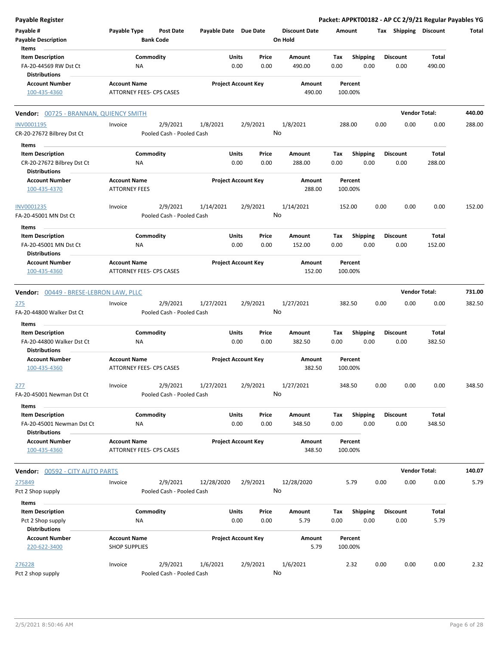| <b>Payable Register</b>                                                      |                                                 |                                       |                       |                                       |                                 | Packet: APPKT00182 - AP CC 2/9/21 Regular Payables YG |      |                         |                      |        |
|------------------------------------------------------------------------------|-------------------------------------------------|---------------------------------------|-----------------------|---------------------------------------|---------------------------------|-------------------------------------------------------|------|-------------------------|----------------------|--------|
| Payable #<br><b>Payable Description</b>                                      | Payable Type                                    | <b>Post Date</b><br><b>Bank Code</b>  | Payable Date Due Date |                                       | <b>Discount Date</b><br>On Hold | Amount                                                |      | Tax Shipping Discount   |                      | Total  |
| Items<br><b>Item Description</b>                                             |                                                 | Commodity                             |                       | Units<br>Price                        | Amount                          | <b>Shipping</b><br>Tax                                |      | <b>Discount</b>         | Total                |        |
| FA-20-44569 RW Dst Ct<br><b>Distributions</b>                                | NA                                              |                                       |                       | 0.00<br>0.00                          | 490.00                          | 0.00                                                  | 0.00 | 0.00                    | 490.00               |        |
| <b>Account Number</b><br>100-435-4360                                        | <b>Account Name</b><br>ATTORNEY FEES- CPS CASES |                                       |                       | <b>Project Account Key</b>            | Amount<br>490.00                | Percent<br>100.00%                                    |      |                         |                      |        |
| Vendor: 00725 - BRANNAN, QUIENCY SMITH                                       |                                                 |                                       |                       |                                       |                                 |                                                       |      |                         | <b>Vendor Total:</b> | 440.00 |
| INV0001195                                                                   | Invoice                                         | 2/9/2021                              | 1/8/2021              | 2/9/2021                              | 1/8/2021                        | 288.00                                                | 0.00 | 0.00                    | 0.00                 | 288.00 |
| CR-20-27672 Bilbrey Dst Ct                                                   |                                                 | Pooled Cash - Pooled Cash             |                       |                                       | No                              |                                                       |      |                         |                      |        |
| Items                                                                        |                                                 |                                       |                       |                                       |                                 |                                                       |      |                         |                      |        |
| <b>Item Description</b>                                                      |                                                 | Commodity                             |                       | Units<br>Price                        | Amount                          | <b>Shipping</b><br>Tax                                |      | <b>Discount</b>         | Total                |        |
| CR-20-27672 Bilbrey Dst Ct<br><b>Distributions</b>                           | NA                                              |                                       |                       | 0.00<br>0.00                          | 288.00                          | 0.00                                                  | 0.00 | 0.00                    | 288.00               |        |
| <b>Account Number</b><br>100-435-4370                                        | <b>Account Name</b><br><b>ATTORNEY FEES</b>     |                                       |                       | <b>Project Account Key</b>            | Amount<br>288.00                | Percent<br>100.00%                                    |      |                         |                      |        |
| INV0001235                                                                   | Invoice                                         | 2/9/2021                              | 1/14/2021             | 2/9/2021                              | 1/14/2021                       | 152.00                                                | 0.00 | 0.00                    | 0.00                 | 152.00 |
| FA-20-45001 MN Dst Ct                                                        |                                                 | Pooled Cash - Pooled Cash             |                       |                                       | No                              |                                                       |      |                         |                      |        |
| Items                                                                        |                                                 |                                       |                       |                                       |                                 |                                                       |      |                         |                      |        |
| <b>Item Description</b><br>FA-20-45001 MN Dst Ct<br><b>Distributions</b>     | NA                                              | Commodity                             |                       | Units<br>Price<br>0.00<br>0.00        | Amount<br>152.00                | Shipping<br>Tax<br>0.00                               | 0.00 | <b>Discount</b><br>0.00 | Total<br>152.00      |        |
| <b>Account Number</b><br>100-435-4360                                        | <b>Account Name</b><br>ATTORNEY FEES- CPS CASES |                                       |                       | <b>Project Account Key</b>            | Amount<br>152.00                | Percent<br>100.00%                                    |      |                         |                      |        |
|                                                                              |                                                 |                                       |                       |                                       |                                 |                                                       |      |                         |                      |        |
| Vendor: 00449 - BRESE-LEBRON LAW, PLLC                                       |                                                 |                                       |                       |                                       |                                 |                                                       |      |                         | <b>Vendor Total:</b> | 731.00 |
| 275<br>FA-20-44800 Walker Dst Ct                                             | Invoice                                         | 2/9/2021<br>Pooled Cash - Pooled Cash | 1/27/2021             | 2/9/2021                              | 1/27/2021<br>No                 | 382.50                                                | 0.00 | 0.00                    | 0.00                 | 382.50 |
| Items                                                                        |                                                 |                                       |                       |                                       |                                 |                                                       |      |                         |                      |        |
| <b>Item Description</b><br>FA-20-44800 Walker Dst Ct<br><b>Distributions</b> | NA                                              | Commodity                             |                       | <b>Units</b><br>Price<br>0.00<br>0.00 | Amount<br>382.50                | Tax<br><b>Shipping</b><br>0.00                        | 0.00 | <b>Discount</b><br>0.00 | Total<br>382.50      |        |
| <b>Account Number</b><br>100-435-4360                                        | <b>Account Name</b><br>ATTORNEY FEES- CPS CASES |                                       |                       | <b>Project Account Key</b>            | Amount<br>382.50                | Percent<br>100.00%                                    |      |                         |                      |        |
| 277                                                                          | Invoice                                         | 2/9/2021                              | 1/27/2021             | 2/9/2021                              | 1/27/2021                       | 348.50                                                | 0.00 | 0.00                    | 0.00                 | 348.50 |
| FA-20-45001 Newman Dst Ct                                                    |                                                 | Pooled Cash - Pooled Cash             |                       |                                       | No                              |                                                       |      |                         |                      |        |
| Items<br><b>Item Description</b><br>FA-20-45001 Newman Dst Ct                | NA                                              | Commodity                             |                       | Units<br>Price<br>0.00<br>0.00        | Amount<br>348.50                | <b>Shipping</b><br>Tax<br>0.00                        | 0.00 | <b>Discount</b><br>0.00 | Total<br>348.50      |        |
| <b>Distributions</b><br><b>Account Number</b>                                | <b>Account Name</b>                             |                                       |                       | <b>Project Account Key</b>            | Amount                          | Percent                                               |      |                         |                      |        |
| 100-435-4360                                                                 | ATTORNEY FEES- CPS CASES                        |                                       |                       |                                       | 348.50                          | 100.00%                                               |      |                         |                      |        |
| <b>Vendor: 00592 - CITY AUTO PARTS</b>                                       |                                                 |                                       |                       |                                       |                                 |                                                       |      |                         | <b>Vendor Total:</b> | 140.07 |
| 275849                                                                       | Invoice                                         | 2/9/2021                              | 12/28/2020            | 2/9/2021                              | 12/28/2020                      | 5.79                                                  | 0.00 | 0.00                    | 0.00                 | 5.79   |
| Pct 2 Shop supply                                                            |                                                 | Pooled Cash - Pooled Cash             |                       |                                       | No                              |                                                       |      |                         |                      |        |
| Items                                                                        |                                                 |                                       |                       |                                       |                                 |                                                       |      |                         |                      |        |
| <b>Item Description</b><br>Pct 2 Shop supply                                 | NA                                              | Commodity                             |                       | Units<br>Price<br>0.00<br>0.00        | Amount<br>5.79                  | Shipping<br>Tax<br>0.00                               | 0.00 | <b>Discount</b><br>0.00 | Total<br>5.79        |        |
| <b>Distributions</b><br><b>Account Number</b><br>220-622-3400                | <b>Account Name</b><br><b>SHOP SUPPLIES</b>     |                                       |                       | <b>Project Account Key</b>            | Amount<br>5.79                  | Percent<br>100.00%                                    |      |                         |                      |        |
|                                                                              |                                                 |                                       |                       |                                       |                                 |                                                       |      |                         |                      |        |
| 276228<br>Pct 2 shop supply                                                  | Invoice                                         | 2/9/2021<br>Pooled Cash - Pooled Cash | 1/6/2021              | 2/9/2021                              | 1/6/2021<br>No                  | 2.32                                                  | 0.00 | 0.00                    | 0.00                 | 2.32   |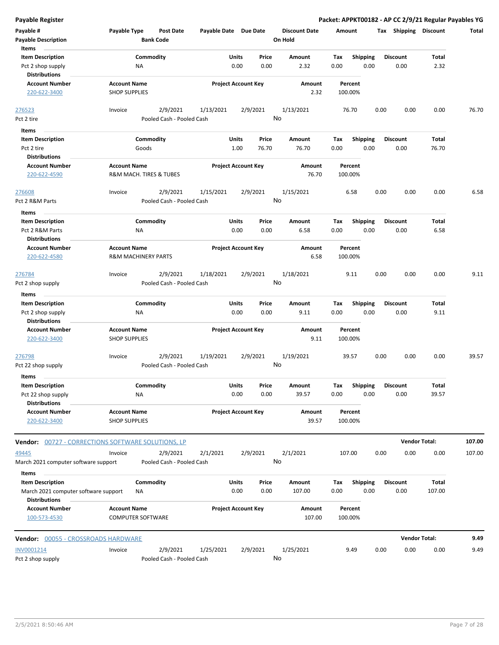| <b>Payable Register</b>                                      |                                                       |                                      |                       |                            |               |                                 |             |                    |      |                         | Packet: APPKT00182 - AP CC 2/9/21 Regular Payables YG |        |
|--------------------------------------------------------------|-------------------------------------------------------|--------------------------------------|-----------------------|----------------------------|---------------|---------------------------------|-------------|--------------------|------|-------------------------|-------------------------------------------------------|--------|
| Payable #<br><b>Payable Description</b>                      | Payable Type                                          | <b>Post Date</b><br><b>Bank Code</b> | Payable Date Due Date |                            |               | <b>Discount Date</b><br>On Hold | Amount      |                    |      | Tax Shipping Discount   |                                                       | Total  |
| Items<br><b>Item Description</b>                             | Commodity                                             |                                      |                       | Units                      | Price         | Amount                          | Tax         | <b>Shipping</b>    |      | <b>Discount</b>         | Total                                                 |        |
| Pct 2 shop supply                                            | NA                                                    |                                      |                       | 0.00                       | 0.00          | 2.32                            | 0.00        | 0.00               |      | 0.00                    | 2.32                                                  |        |
| <b>Distributions</b>                                         |                                                       |                                      |                       |                            |               |                                 |             |                    |      |                         |                                                       |        |
| <b>Account Number</b>                                        | <b>Account Name</b>                                   |                                      |                       | <b>Project Account Key</b> |               | Amount                          |             | Percent            |      |                         |                                                       |        |
| 220-622-3400                                                 | <b>SHOP SUPPLIES</b>                                  |                                      |                       |                            |               | 2.32                            |             | 100.00%            |      |                         |                                                       |        |
| 276523                                                       | Invoice                                               | 2/9/2021                             | 1/13/2021             |                            | 2/9/2021      | 1/13/2021                       |             | 76.70              | 0.00 | 0.00                    | 0.00                                                  | 76.70  |
| Pct 2 tire                                                   |                                                       | Pooled Cash - Pooled Cash            |                       |                            |               | No                              |             |                    |      |                         |                                                       |        |
| Items                                                        |                                                       |                                      |                       |                            |               |                                 |             |                    |      |                         |                                                       |        |
| <b>Item Description</b>                                      | Commodity                                             |                                      |                       | Units                      | Price         | Amount                          | Tax         | <b>Shipping</b>    |      | <b>Discount</b>         | Total                                                 |        |
| Pct 2 tire                                                   | Goods                                                 |                                      |                       | 1.00                       | 76.70         | 76.70                           | 0.00        | 0.00               |      | 0.00                    | 76.70                                                 |        |
| <b>Distributions</b>                                         |                                                       |                                      |                       |                            |               |                                 |             |                    |      |                         |                                                       |        |
| <b>Account Number</b><br>220-622-4590                        | <b>Account Name</b><br>R&M MACH. TIRES & TUBES        |                                      |                       | <b>Project Account Key</b> |               | Amount<br>76.70                 |             | Percent<br>100.00% |      |                         |                                                       |        |
| 276608                                                       | Invoice                                               | 2/9/2021                             | 1/15/2021             |                            | 2/9/2021      | 1/15/2021                       |             | 6.58               | 0.00 | 0.00                    | 0.00                                                  | 6.58   |
| Pct 2 R&M Parts                                              |                                                       | Pooled Cash - Pooled Cash            |                       |                            |               | No                              |             |                    |      |                         |                                                       |        |
| Items                                                        |                                                       |                                      |                       |                            |               |                                 |             |                    |      |                         |                                                       |        |
| <b>Item Description</b>                                      | Commodity                                             |                                      |                       | Units                      | Price         | Amount                          | Tax         | <b>Shipping</b>    |      | <b>Discount</b>         | Total                                                 |        |
| Pct 2 R&M Parts                                              | ΝA                                                    |                                      |                       | 0.00                       | 0.00          | 6.58                            | 0.00        | 0.00               |      | 0.00                    | 6.58                                                  |        |
| <b>Distributions</b>                                         |                                                       |                                      |                       |                            |               |                                 |             |                    |      |                         |                                                       |        |
| <b>Account Number</b><br>220-622-4580                        | <b>Account Name</b><br><b>R&amp;M MACHINERY PARTS</b> |                                      |                       | <b>Project Account Key</b> |               | Amount<br>6.58                  |             | Percent<br>100.00% |      |                         |                                                       |        |
| 276784                                                       | Invoice                                               | 2/9/2021                             | 1/18/2021             |                            | 2/9/2021      | 1/18/2021                       |             | 9.11               | 0.00 | 0.00                    | 0.00                                                  | 9.11   |
| Pct 2 shop supply                                            |                                                       | Pooled Cash - Pooled Cash            |                       |                            |               | No                              |             |                    |      |                         |                                                       |        |
| Items                                                        |                                                       |                                      |                       |                            |               |                                 |             |                    |      |                         |                                                       |        |
| <b>Item Description</b><br>Pct 2 shop supply                 | Commodity<br>NA                                       |                                      |                       | Units<br>0.00              | Price<br>0.00 | Amount<br>9.11                  | Tax<br>0.00 | Shipping<br>0.00   |      | <b>Discount</b><br>0.00 | Total<br>9.11                                         |        |
| <b>Distributions</b>                                         |                                                       |                                      |                       |                            |               |                                 |             |                    |      |                         |                                                       |        |
| <b>Account Number</b><br>220-622-3400                        | <b>Account Name</b><br><b>SHOP SUPPLIES</b>           |                                      |                       | <b>Project Account Key</b> |               | Amount<br>9.11                  |             | Percent<br>100.00% |      |                         |                                                       |        |
| 276798                                                       | Invoice                                               | 2/9/2021                             | 1/19/2021             |                            | 2/9/2021      | 1/19/2021                       |             | 39.57              | 0.00 | 0.00                    | 0.00                                                  | 39.57  |
| Pct 22 shop supply                                           |                                                       | Pooled Cash - Pooled Cash            |                       |                            |               | No                              |             |                    |      |                         |                                                       |        |
| Items                                                        |                                                       |                                      |                       |                            |               |                                 |             |                    |      |                         |                                                       |        |
| <b>Item Description</b>                                      | Commodity                                             |                                      |                       | Units                      | Price         | Amount                          | Tax         | <b>Shipping</b>    |      | <b>Discount</b>         | Total                                                 |        |
| Pct 22 shop supply                                           | NA                                                    |                                      |                       | 0.00                       | 0.00          | 39.57                           | 0.00        | 0.00               |      | 0.00                    | 39.57                                                 |        |
| <b>Distributions</b>                                         |                                                       |                                      |                       |                            |               |                                 |             |                    |      |                         |                                                       |        |
| <b>Account Number</b><br>220-622-3400                        | <b>Account Name</b><br><b>SHOP SUPPLIES</b>           |                                      |                       | <b>Project Account Key</b> |               | Amount<br>39.57                 |             | Percent<br>100.00% |      |                         |                                                       |        |
| <b>Vendor:</b> 00727 - CORRECTIONS SOFTWARE SOLUTIONS, LP    |                                                       |                                      |                       |                            |               |                                 |             |                    |      |                         | <b>Vendor Total:</b>                                  | 107.00 |
| 49445                                                        | Invoice                                               | 2/9/2021                             | 2/1/2021              |                            | 2/9/2021      | 2/1/2021                        |             | 107.00             | 0.00 | 0.00                    | 0.00                                                  | 107.00 |
| March 2021 computer software support<br>Items                |                                                       | Pooled Cash - Pooled Cash            |                       |                            |               | No                              |             |                    |      |                         |                                                       |        |
| <b>Item Description</b>                                      | Commodity                                             |                                      |                       | Units                      | Price         | Amount                          | Tax         | <b>Shipping</b>    |      | <b>Discount</b>         | Total                                                 |        |
| March 2021 computer software support<br><b>Distributions</b> | NA                                                    |                                      |                       | 0.00                       | 0.00          | 107.00                          | 0.00        | 0.00               |      | 0.00                    | 107.00                                                |        |
| <b>Account Number</b><br>100-573-4530                        | <b>Account Name</b><br><b>COMPUTER SOFTWARE</b>       |                                      |                       | <b>Project Account Key</b> |               | Amount<br>107.00                |             | Percent<br>100.00% |      |                         |                                                       |        |
| Vendor: 00055 - CROSSROADS HARDWARE                          |                                                       |                                      |                       |                            |               |                                 |             |                    |      | <b>Vendor Total:</b>    |                                                       | 9.49   |
| INV0001214                                                   | Invoice                                               | 2/9/2021                             | 1/25/2021             |                            | 2/9/2021      | 1/25/2021                       |             | 9.49               | 0.00 | 0.00                    | 0.00                                                  | 9.49   |
| Pct 2 shop supply                                            |                                                       | Pooled Cash - Pooled Cash            |                       |                            |               | No                              |             |                    |      |                         |                                                       |        |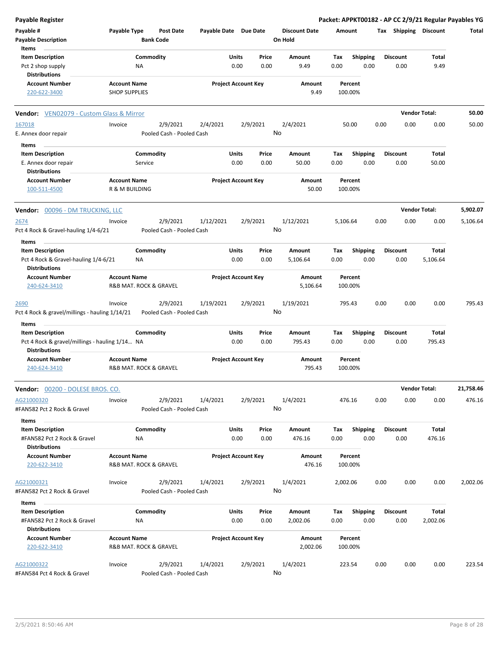| Payable Register                                                          |                                             |                                       |                       |                            |               |                                 |             |                         |      |                         |                        | Packet: APPKT00182 - AP CC 2/9/21 Regular Payables YG |
|---------------------------------------------------------------------------|---------------------------------------------|---------------------------------------|-----------------------|----------------------------|---------------|---------------------------------|-------------|-------------------------|------|-------------------------|------------------------|-------------------------------------------------------|
| Payable #<br><b>Payable Description</b>                                   | Payable Type                                | <b>Post Date</b><br><b>Bank Code</b>  | Payable Date Due Date |                            |               | <b>Discount Date</b><br>On Hold | Amount      |                         |      |                         | Tax Shipping Discount  | Total                                                 |
| Items                                                                     |                                             |                                       |                       |                            |               |                                 |             |                         |      |                         |                        |                                                       |
| <b>Item Description</b>                                                   |                                             | Commodity                             |                       | <b>Units</b>               | Price         | Amount                          | Tax         | Shipping                |      | <b>Discount</b>         | <b>Total</b>           |                                                       |
| Pct 2 shop supply<br><b>Distributions</b>                                 |                                             | ΝA                                    |                       | 0.00                       | 0.00          | 9.49                            | 0.00        | 0.00                    |      | 0.00                    | 9.49                   |                                                       |
| <b>Account Number</b><br>220-622-3400                                     | <b>Account Name</b><br><b>SHOP SUPPLIES</b> |                                       |                       | <b>Project Account Key</b> |               | Amount<br>9.49                  |             | Percent<br>100.00%      |      |                         |                        |                                                       |
| <b>Vendor:</b> VEN02079 - Custom Glass & Mirror                           |                                             |                                       |                       |                            |               |                                 |             |                         |      |                         | <b>Vendor Total:</b>   | 50.00                                                 |
| 167018                                                                    | Invoice                                     | 2/9/2021                              | 2/4/2021              |                            | 2/9/2021      | 2/4/2021                        |             | 50.00                   | 0.00 | 0.00                    | 0.00                   | 50.00                                                 |
| E. Annex door repair                                                      |                                             | Pooled Cash - Pooled Cash             |                       |                            |               | No                              |             |                         |      |                         |                        |                                                       |
| Items                                                                     |                                             |                                       |                       |                            |               |                                 |             |                         |      |                         |                        |                                                       |
| <b>Item Description</b>                                                   |                                             | Commodity                             |                       | Units                      | Price         | Amount                          | Tax         | <b>Shipping</b>         |      | <b>Discount</b>         | Total                  |                                                       |
| E. Annex door repair<br><b>Distributions</b>                              |                                             | Service                               |                       | 0.00                       | 0.00          | 50.00                           | 0.00        | 0.00                    |      | 0.00                    | 50.00                  |                                                       |
| <b>Account Number</b><br>100-511-4500                                     | <b>Account Name</b><br>R & M BUILDING       |                                       |                       | <b>Project Account Key</b> |               | <b>Amount</b><br>50.00          |             | Percent<br>100.00%      |      |                         |                        |                                                       |
| Vendor: 00096 - DM TRUCKING, LLC                                          |                                             |                                       |                       |                            |               |                                 |             |                         |      |                         | <b>Vendor Total:</b>   | 5,902.07                                              |
| 2674                                                                      | Invoice                                     | 2/9/2021                              | 1/12/2021             |                            | 2/9/2021      | 1/12/2021                       | 5,106.64    |                         | 0.00 | 0.00                    | 0.00                   | 5,106.64                                              |
| Pct 4 Rock & Gravel-hauling 1/4-6/21                                      |                                             | Pooled Cash - Pooled Cash             |                       |                            |               | No                              |             |                         |      |                         |                        |                                                       |
| Items                                                                     |                                             |                                       |                       |                            |               |                                 |             |                         |      |                         |                        |                                                       |
| <b>Item Description</b>                                                   |                                             | Commodity                             |                       | Units                      | Price         | Amount                          | Tax         | <b>Shipping</b>         |      | <b>Discount</b>         | <b>Total</b>           |                                                       |
| Pct 4 Rock & Gravel-hauling 1/4-6/21<br><b>Distributions</b>              |                                             | ΝA                                    |                       | 0.00                       | 0.00          | 5,106.64                        | 0.00        | 0.00                    |      | 0.00                    | 5,106.64               |                                                       |
| <b>Account Number</b>                                                     | <b>Account Name</b>                         |                                       |                       | <b>Project Account Key</b> |               | Amount                          |             | Percent                 |      |                         |                        |                                                       |
| 240-624-3410                                                              |                                             | R&B MAT. ROCK & GRAVEL                |                       |                            |               | 5,106.64                        |             | 100.00%                 |      |                         |                        |                                                       |
| 2690                                                                      | Invoice                                     | 2/9/2021                              | 1/19/2021             |                            | 2/9/2021      | 1/19/2021                       |             | 795.43                  | 0.00 | 0.00                    | 0.00                   | 795.43                                                |
| Pct 4 Rock & gravel/millings - hauling 1/14/21                            |                                             | Pooled Cash - Pooled Cash             |                       |                            |               | No                              |             |                         |      |                         |                        |                                                       |
| Items                                                                     |                                             |                                       |                       |                            |               |                                 |             |                         |      |                         |                        |                                                       |
| <b>Item Description</b><br>Pct 4 Rock & gravel/millings - hauling 1/14 NA |                                             | Commodity                             |                       | Units<br>0.00              | Price<br>0.00 | Amount<br>795.43                | Tax<br>0.00 | <b>Shipping</b><br>0.00 |      | <b>Discount</b><br>0.00 | <b>Total</b><br>795.43 |                                                       |
| <b>Distributions</b><br><b>Account Number</b>                             | <b>Account Name</b>                         |                                       |                       | <b>Project Account Key</b> |               | Amount                          |             | Percent                 |      |                         |                        |                                                       |
| 240-624-3410                                                              |                                             | R&B MAT. ROCK & GRAVEL                |                       |                            |               | 795.43                          |             | 100.00%                 |      |                         |                        |                                                       |
| Vendor: 00200 - DOLESE BROS. CO.                                          |                                             |                                       |                       |                            |               |                                 |             |                         |      |                         | <b>Vendor Total:</b>   | 21,758.46                                             |
| AG21000320<br>#FAN582 Pct 2 Rock & Gravel                                 | Invoice                                     | 2/9/2021<br>Pooled Cash - Pooled Cash | 1/4/2021              |                            | 2/9/2021      | 1/4/2021<br>No                  |             | 476.16                  | 0.00 | 0.00                    | 0.00                   | 476.16                                                |
| Items                                                                     |                                             |                                       |                       |                            |               |                                 |             |                         |      |                         |                        |                                                       |
| <b>Item Description</b><br>#FAN582 Pct 2 Rock & Gravel                    |                                             | Commodity                             |                       | Units<br>0.00              | Price<br>0.00 | Amount<br>476.16                | Тах<br>0.00 | <b>Shipping</b><br>0.00 |      | <b>Discount</b>         | <b>Total</b><br>476.16 |                                                       |
| Distributions                                                             |                                             | ΝA                                    |                       |                            |               |                                 |             |                         |      | 0.00                    |                        |                                                       |
| <b>Account Number</b>                                                     | <b>Account Name</b>                         |                                       |                       | <b>Project Account Key</b> |               | Amount                          |             | Percent                 |      |                         |                        |                                                       |
| 220-622-3410                                                              |                                             | R&B MAT. ROCK & GRAVEL                |                       |                            |               | 476.16                          |             | 100.00%                 |      |                         |                        |                                                       |
| AG21000321                                                                | Invoice                                     | 2/9/2021                              | 1/4/2021              |                            | 2/9/2021      | 1/4/2021                        | 2,002.06    |                         | 0.00 | 0.00                    | 0.00                   | 2,002.06                                              |
| #FAN582 Pct 2 Rock & Gravel                                               |                                             | Pooled Cash - Pooled Cash             |                       |                            |               | No                              |             |                         |      |                         |                        |                                                       |
| Items                                                                     |                                             |                                       |                       |                            |               |                                 |             |                         |      |                         |                        |                                                       |
| <b>Item Description</b>                                                   |                                             | Commodity                             |                       | Units                      | Price         | Amount                          | Tax         | <b>Shipping</b>         |      | <b>Discount</b>         | Total                  |                                                       |
| #FAN582 Pct 2 Rock & Gravel<br>Distributions                              |                                             | ΝA                                    |                       | 0.00                       | 0.00          | 2,002.06                        | 0.00        | 0.00                    |      | 0.00                    | 2,002.06               |                                                       |
| <b>Account Number</b>                                                     | <b>Account Name</b>                         |                                       |                       | <b>Project Account Key</b> |               | Amount                          |             | Percent                 |      |                         |                        |                                                       |
| 220-622-3410                                                              |                                             | R&B MAT. ROCK & GRAVEL                |                       |                            |               | 2,002.06                        |             | 100.00%                 |      |                         |                        |                                                       |
| AG21000322                                                                | Invoice                                     | 2/9/2021                              | 1/4/2021              |                            | 2/9/2021      | 1/4/2021                        |             | 223.54                  | 0.00 | 0.00                    | 0.00                   | 223.54                                                |
| #FAN584 Pct 4 Rock & Gravel                                               |                                             | Pooled Cash - Pooled Cash             |                       |                            |               | No                              |             |                         |      |                         |                        |                                                       |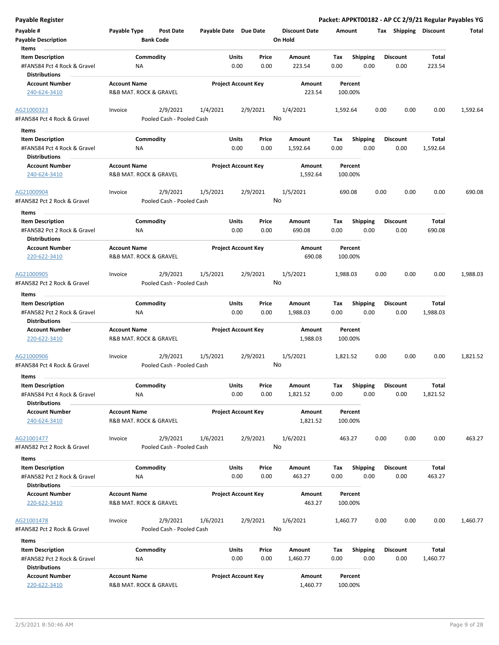| Payable #<br><b>Payable Description</b><br>Items                               | Payable Type                                  | Post Date<br><b>Bank Code</b>         | Payable Date Due Date |                            |               | <b>Discount Date</b><br>On Hold | Amount      |                         | Тах  | <b>Shipping</b>         | Discount          | Total    |
|--------------------------------------------------------------------------------|-----------------------------------------------|---------------------------------------|-----------------------|----------------------------|---------------|---------------------------------|-------------|-------------------------|------|-------------------------|-------------------|----------|
| <b>Item Description</b><br>#FAN584 Pct 4 Rock & Gravel<br>Distributions        | ΝA                                            | Commodity                             |                       | Units<br>0.00              | Price<br>0.00 | Amount<br>223.54                | Tax<br>0.00 | <b>Shipping</b><br>0.00 |      | <b>Discount</b><br>0.00 | Total<br>223.54   |          |
| <b>Account Number</b><br>240-624-3410                                          | <b>Account Name</b><br>R&B MAT. ROCK & GRAVEL |                                       |                       | <b>Project Account Key</b> |               | Amount<br>223.54                |             | Percent<br>100.00%      |      |                         |                   |          |
| AG21000323<br>#FAN584 Pct 4 Rock & Gravel                                      | Invoice                                       | 2/9/2021<br>Pooled Cash - Pooled Cash | 1/4/2021              |                            | 2/9/2021      | 1/4/2021<br>No                  | 1,592.64    |                         | 0.00 | 0.00                    | 0.00              | 1,592.64 |
| Items                                                                          |                                               |                                       |                       |                            |               |                                 |             |                         |      |                         |                   |          |
| <b>Item Description</b><br>#FAN584 Pct 4 Rock & Gravel                         | ΝA                                            | Commodity                             |                       | Units<br>0.00              | Price<br>0.00 | Amount<br>1,592.64              | Tax<br>0.00 | <b>Shipping</b><br>0.00 |      | <b>Discount</b><br>0.00 | Total<br>1,592.64 |          |
| <b>Distributions</b>                                                           |                                               |                                       |                       |                            |               |                                 |             |                         |      |                         |                   |          |
| <b>Account Number</b><br>240-624-3410                                          | <b>Account Name</b><br>R&B MAT. ROCK & GRAVEL |                                       |                       | <b>Project Account Key</b> |               | Amount<br>1,592.64              |             | Percent<br>100.00%      |      |                         |                   |          |
| AG21000904                                                                     | Invoice                                       | 2/9/2021                              | 1/5/2021              |                            | 2/9/2021      | 1/5/2021                        |             | 690.08                  | 0.00 | 0.00                    | 0.00              | 690.08   |
| #FAN582 Pct 2 Rock & Gravel                                                    |                                               | Pooled Cash - Pooled Cash             |                       |                            |               | No                              |             |                         |      |                         |                   |          |
| Items                                                                          |                                               |                                       |                       |                            |               |                                 |             |                         |      |                         |                   |          |
| <b>Item Description</b><br>#FAN582 Pct 2 Rock & Gravel<br><b>Distributions</b> | ΝA                                            | Commodity                             |                       | Units<br>0.00              | Price<br>0.00 | Amount<br>690.08                | Tax<br>0.00 | <b>Shipping</b><br>0.00 |      | <b>Discount</b><br>0.00 | Total<br>690.08   |          |
| <b>Account Number</b>                                                          | <b>Account Name</b>                           |                                       |                       | <b>Project Account Key</b> |               | Amount                          |             | Percent                 |      |                         |                   |          |
| 220-622-3410                                                                   | R&B MAT. ROCK & GRAVEL                        |                                       |                       |                            |               | 690.08                          |             | 100.00%                 |      |                         |                   |          |
| AG21000905<br>#FAN582 Pct 2 Rock & Gravel                                      | Invoice                                       | 2/9/2021<br>Pooled Cash - Pooled Cash | 1/5/2021              |                            | 2/9/2021      | 1/5/2021<br>No                  | 1,988.03    |                         | 0.00 | 0.00                    | 0.00              | 1,988.03 |
|                                                                                |                                               |                                       |                       |                            |               |                                 |             |                         |      |                         |                   |          |
| Items<br><b>Item Description</b>                                               |                                               | Commodity                             |                       | Units                      | Price         | Amount                          | Tax         | <b>Shipping</b>         |      | Discount                | Total             |          |
| #FAN582 Pct 2 Rock & Gravel<br><b>Distributions</b>                            | ΝA                                            |                                       |                       | 0.00                       | 0.00          | 1,988.03                        | 0.00        | 0.00                    |      | 0.00                    | 1,988.03          |          |
| <b>Account Number</b>                                                          | <b>Account Name</b>                           |                                       |                       | <b>Project Account Key</b> |               | Amount                          |             | Percent                 |      |                         |                   |          |
| 220-622-3410                                                                   | R&B MAT. ROCK & GRAVEL                        |                                       |                       |                            |               | 1,988.03                        |             | 100.00%                 |      |                         |                   |          |
| AG21000906<br>#FAN584 Pct 4 Rock & Gravel                                      | Invoice                                       | 2/9/2021<br>Pooled Cash - Pooled Cash | 1/5/2021              |                            | 2/9/2021      | 1/5/2021<br>No                  | 1,821.52    |                         | 0.00 | 0.00                    | 0.00              | 1,821.52 |
|                                                                                |                                               |                                       |                       |                            |               |                                 |             |                         |      |                         |                   |          |
| Items                                                                          |                                               |                                       |                       |                            |               |                                 |             |                         |      |                         |                   |          |
| <b>Item Description</b><br>#FAN584 Pct 4 Rock & Gravel<br><b>Distributions</b> | NA                                            | Commodity                             |                       | Units<br>0.00              | Price<br>0.00 | Amount<br>1,821.52              | Tax<br>0.00 | <b>Shipping</b><br>0.00 |      | <b>Discount</b><br>0.00 | Total<br>1,821.52 |          |
| <b>Account Number</b><br>240-624-3410                                          | <b>Account Name</b><br>R&B MAT. ROCK & GRAVEL |                                       |                       | <b>Project Account Key</b> |               | Amount<br>1,821.52              |             | Percent<br>100.00%      |      |                         |                   |          |
| AG21001477                                                                     | Invoice                                       | 2/9/2021                              | 1/6/2021              |                            | 2/9/2021      | 1/6/2021                        |             | 463.27                  | 0.00 | 0.00                    | 0.00              | 463.27   |
| #FAN582 Pct 2 Rock & Gravel                                                    |                                               | Pooled Cash - Pooled Cash             |                       |                            |               | No                              |             |                         |      |                         |                   |          |
| Items<br><b>Item Description</b><br>#FAN582 Pct 2 Rock & Gravel                | <b>NA</b>                                     | Commodity                             |                       | Units<br>0.00              | Price<br>0.00 | Amount<br>463.27                | Tax<br>0.00 | <b>Shipping</b><br>0.00 |      | <b>Discount</b><br>0.00 | Total<br>463.27   |          |
| <b>Distributions</b>                                                           |                                               |                                       |                       |                            |               |                                 |             |                         |      |                         |                   |          |
| <b>Account Number</b><br>220-622-3410                                          | <b>Account Name</b><br>R&B MAT. ROCK & GRAVEL |                                       |                       | <b>Project Account Key</b> |               | Amount<br>463.27                |             | Percent<br>100.00%      |      |                         |                   |          |
| AG21001478<br>#FAN582 Pct 2 Rock & Gravel                                      | Invoice                                       | 2/9/2021<br>Pooled Cash - Pooled Cash | 1/6/2021              |                            | 2/9/2021      | 1/6/2021<br>No                  | 1,460.77    |                         | 0.00 | 0.00                    | 0.00              | 1,460.77 |
| Items                                                                          |                                               |                                       |                       |                            |               |                                 |             |                         |      |                         |                   |          |
| <b>Item Description</b><br>#FAN582 Pct 2 Rock & Gravel<br><b>Distributions</b> | ΝA                                            | Commodity                             |                       | Units<br>0.00              | Price<br>0.00 | Amount<br>1,460.77              | Tax<br>0.00 | <b>Shipping</b><br>0.00 |      | Discount<br>0.00        | Total<br>1,460.77 |          |
| <b>Account Number</b>                                                          | <b>Account Name</b>                           |                                       |                       | <b>Project Account Key</b> |               | Amount                          |             | Percent                 |      |                         |                   |          |

220-622-3410 R&B MAT. ROCK & GRAVEL 1,460.77 100.00%

**Payable Register Packet: APPKT00182 - AP CC 2/9/21 Regular Payables YG**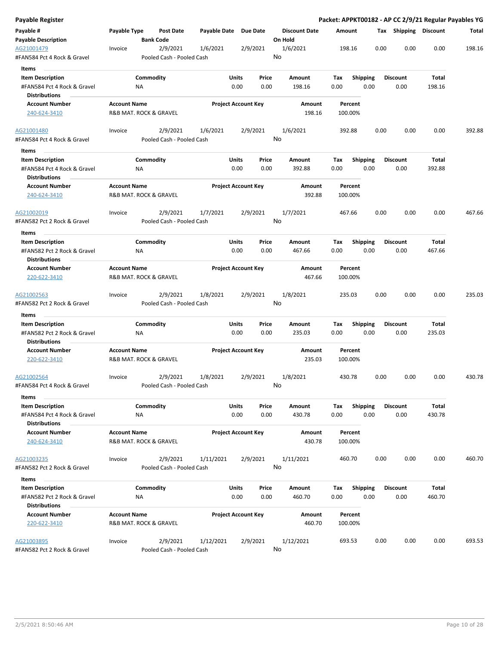| Payable Register                                       |                     |                        |                                       |                       |                            |               |                         |             |                    |      |                       |        | Packet: APPKT00182 - AP CC 2/9/21 Regular Payables YG |
|--------------------------------------------------------|---------------------|------------------------|---------------------------------------|-----------------------|----------------------------|---------------|-------------------------|-------------|--------------------|------|-----------------------|--------|-------------------------------------------------------|
| Payable #                                              | Payable Type        |                        | <b>Post Date</b>                      | Payable Date Due Date |                            |               | <b>Discount Date</b>    | Amount      |                    |      | Tax Shipping Discount |        | Total                                                 |
| <b>Payable Description</b>                             |                     | <b>Bank Code</b>       |                                       |                       |                            |               | On Hold                 |             |                    |      |                       |        |                                                       |
| AG21001479<br>#FAN584 Pct 4 Rock & Gravel              | Invoice             |                        | 2/9/2021<br>Pooled Cash - Pooled Cash | 1/6/2021              |                            | 2/9/2021      | 1/6/2021<br>No          |             | 198.16             | 0.00 | 0.00                  | 0.00   | 198.16                                                |
| Items                                                  |                     |                        |                                       |                       |                            |               |                         |             |                    |      |                       |        |                                                       |
| <b>Item Description</b>                                |                     | Commodity              |                                       |                       | Units                      | Price         | Amount                  | Tax         | <b>Shipping</b>    |      | <b>Discount</b>       | Total  |                                                       |
| #FAN584 Pct 4 Rock & Gravel                            |                     | ΝA                     |                                       |                       | 0.00                       | 0.00          | 198.16                  | 0.00        |                    | 0.00 | 0.00                  | 198.16 |                                                       |
| <b>Distributions</b>                                   |                     |                        |                                       |                       |                            |               |                         |             |                    |      |                       |        |                                                       |
| <b>Account Number</b>                                  | <b>Account Name</b> |                        |                                       |                       | <b>Project Account Key</b> |               | Amount                  |             | Percent            |      |                       |        |                                                       |
| 240-624-3410                                           |                     | R&B MAT. ROCK & GRAVEL |                                       |                       |                            |               | 198.16                  |             | 100.00%            |      |                       |        |                                                       |
| AG21001480                                             | Invoice             |                        | 2/9/2021                              | 1/6/2021              |                            | 2/9/2021      | 1/6/2021                |             | 392.88             | 0.00 | 0.00                  | 0.00   | 392.88                                                |
| #FAN584 Pct 4 Rock & Gravel<br>Items                   |                     |                        | Pooled Cash - Pooled Cash             |                       |                            |               | No                      |             |                    |      |                       |        |                                                       |
| <b>Item Description</b>                                |                     | Commodity              |                                       |                       | Units                      | Price         | Amount                  | Tax         | <b>Shipping</b>    |      | <b>Discount</b>       | Total  |                                                       |
| #FAN584 Pct 4 Rock & Gravel<br><b>Distributions</b>    |                     | <b>NA</b>              |                                       |                       | 0.00                       | 0.00          | 392.88                  | 0.00        |                    | 0.00 | 0.00                  | 392.88 |                                                       |
| <b>Account Number</b><br>240-624-3410                  | <b>Account Name</b> | R&B MAT. ROCK & GRAVEL |                                       |                       | <b>Project Account Key</b> |               | <b>Amount</b><br>392.88 |             | Percent<br>100.00% |      |                       |        |                                                       |
|                                                        |                     |                        |                                       |                       |                            |               |                         |             |                    |      |                       |        |                                                       |
| AG21002019                                             | Invoice             |                        | 2/9/2021                              | 1/7/2021              |                            | 2/9/2021      | 1/7/2021                |             | 467.66             | 0.00 | 0.00                  | 0.00   | 467.66                                                |
| #FAN582 Pct 2 Rock & Gravel                            |                     |                        | Pooled Cash - Pooled Cash             |                       |                            |               | No                      |             |                    |      |                       |        |                                                       |
| Items                                                  |                     |                        |                                       |                       |                            |               |                         |             |                    |      |                       |        |                                                       |
| <b>Item Description</b>                                |                     | Commodity              |                                       |                       | Units                      | Price         | Amount                  | Tax         | <b>Shipping</b>    |      | <b>Discount</b>       | Total  |                                                       |
| #FAN582 Pct 2 Rock & Gravel                            |                     | ΝA                     |                                       |                       | 0.00                       | 0.00          | 467.66                  | 0.00        |                    | 0.00 | 0.00                  | 467.66 |                                                       |
| <b>Distributions</b>                                   |                     |                        |                                       |                       |                            |               |                         |             |                    |      |                       |        |                                                       |
| <b>Account Number</b><br>220-622-3410                  | <b>Account Name</b> | R&B MAT. ROCK & GRAVEL |                                       |                       | <b>Project Account Key</b> |               | Amount<br>467.66        |             | Percent<br>100.00% |      |                       |        |                                                       |
| AG21002563<br>#FAN582 Pct 2 Rock & Gravel              | Invoice             |                        | 2/9/2021<br>Pooled Cash - Pooled Cash | 1/8/2021              |                            | 2/9/2021      | 1/8/2021<br>No          |             | 235.03             | 0.00 | 0.00                  | 0.00   | 235.03                                                |
|                                                        |                     |                        |                                       |                       |                            |               |                         |             |                    |      |                       |        |                                                       |
| Items<br><b>Item Description</b>                       |                     | Commodity              |                                       |                       | Units                      | Price         | Amount                  | Tax         | Shipping           |      | <b>Discount</b>       | Total  |                                                       |
| #FAN582 Pct 2 Rock & Gravel                            |                     | ΝA                     |                                       |                       | 0.00                       | 0.00          | 235.03                  | 0.00        |                    | 0.00 | 0.00                  | 235.03 |                                                       |
| <b>Distributions</b>                                   |                     |                        |                                       |                       |                            |               |                         |             |                    |      |                       |        |                                                       |
| <b>Account Number</b>                                  | <b>Account Name</b> |                        |                                       |                       | <b>Project Account Key</b> |               | Amount                  |             | Percent            |      |                       |        |                                                       |
| 220-622-3410                                           |                     | R&B MAT. ROCK & GRAVEL |                                       |                       |                            |               | 235.03                  |             | 100.00%            |      |                       |        |                                                       |
| AG21002564                                             | Invoice             |                        | 2/9/2021                              | 1/8/2021              |                            | 2/9/2021      | 1/8/2021                |             | 430.78             | 0.00 | 0.00                  | 0.00   | 430.78                                                |
| #FAN584 Pct 4 Rock & Gravel                            |                     |                        | Pooled Cash - Pooled Cash             |                       |                            |               | No                      |             |                    |      |                       |        |                                                       |
| Items                                                  |                     |                        |                                       |                       |                            |               |                         |             |                    |      | <b>Discount</b>       | Total  |                                                       |
| <b>Item Description</b><br>#FAN584 Pct 4 Rock & Gravel |                     | Commodity<br><b>NA</b> |                                       |                       | Units<br>0.00              | Price<br>0.00 | Amount<br>430.78        | Tax<br>0.00 | Shipping           | 0.00 | 0.00                  | 430.78 |                                                       |
| <b>Distributions</b>                                   |                     |                        |                                       |                       |                            |               |                         |             |                    |      |                       |        |                                                       |
| <b>Account Number</b><br>240-624-3410                  | <b>Account Name</b> | R&B MAT. ROCK & GRAVEL |                                       |                       | <b>Project Account Key</b> |               | Amount<br>430.78        |             | Percent<br>100.00% |      |                       |        |                                                       |
| AG21003235                                             | Invoice             |                        | 2/9/2021                              | 1/11/2021             |                            | 2/9/2021      | 1/11/2021               |             | 460.70             | 0.00 | 0.00                  | 0.00   | 460.70                                                |
| #FAN582 Pct 2 Rock & Gravel                            |                     |                        | Pooled Cash - Pooled Cash             |                       |                            |               | No                      |             |                    |      |                       |        |                                                       |
| Items                                                  |                     |                        |                                       |                       |                            |               |                         |             |                    |      |                       |        |                                                       |
| <b>Item Description</b>                                |                     | Commodity              |                                       |                       | Units                      | Price         | Amount                  | Tax         | <b>Shipping</b>    |      | <b>Discount</b>       | Total  |                                                       |
| #FAN582 Pct 2 Rock & Gravel                            |                     | ΝA                     |                                       |                       | 0.00                       | 0.00          | 460.70                  | 0.00        |                    | 0.00 | 0.00                  | 460.70 |                                                       |
| <b>Distributions</b>                                   |                     |                        |                                       |                       |                            |               |                         |             |                    |      |                       |        |                                                       |
| <b>Account Number</b><br>220-622-3410                  | <b>Account Name</b> | R&B MAT. ROCK & GRAVEL |                                       |                       | <b>Project Account Key</b> |               | Amount<br>460.70        |             | Percent<br>100.00% |      |                       |        |                                                       |
| AG21003895                                             | Invoice             |                        | 2/9/2021                              | 1/12/2021             |                            | 2/9/2021      | 1/12/2021               |             | 693.53             | 0.00 | 0.00                  | 0.00   | 693.53                                                |
| #FAN582 Pct 2 Rock & Gravel                            |                     |                        | Pooled Cash - Pooled Cash             |                       |                            |               | No                      |             |                    |      |                       |        |                                                       |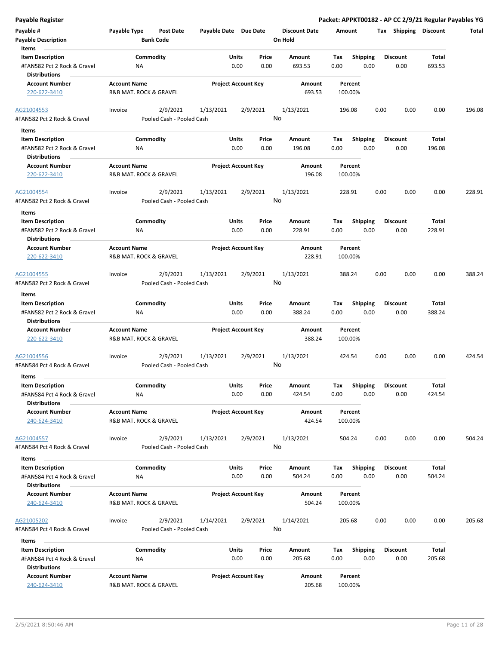| Payable #                                           | Payable Type           | Post Date                             | Payable Date Due Date |                                |         | <b>Discount Date</b> | Amount  |                         | Tax  | Shipping        | <b>Discount</b> | Total  |
|-----------------------------------------------------|------------------------|---------------------------------------|-----------------------|--------------------------------|---------|----------------------|---------|-------------------------|------|-----------------|-----------------|--------|
| <b>Payable Description</b><br>Items                 |                        | <b>Bank Code</b>                      |                       |                                | On Hold |                      |         |                         |      |                 |                 |        |
| <b>Item Description</b>                             |                        | Commodity                             |                       | Units<br>Price                 |         | Amount               | Tax     | <b>Shipping</b>         |      | <b>Discount</b> | Total           |        |
| #FAN582 Pct 2 Rock & Gravel<br><b>Distributions</b> | ΝA                     |                                       |                       | 0.00<br>0.00                   |         | 693.53               | 0.00    | 0.00                    |      | 0.00            | 693.53          |        |
| <b>Account Number</b>                               | <b>Account Name</b>    |                                       |                       | <b>Project Account Key</b>     |         | Amount               | Percent |                         |      |                 |                 |        |
| 220-622-3410                                        | R&B MAT. ROCK & GRAVEL |                                       |                       |                                |         | 693.53               | 100.00% |                         |      |                 |                 |        |
| AG21004553<br>#FAN582 Pct 2 Rock & Gravel           | Invoice                | 2/9/2021<br>Pooled Cash - Pooled Cash | 1/13/2021             | 2/9/2021                       | No      | 1/13/2021            | 196.08  |                         | 0.00 | 0.00            | 0.00            | 196.08 |
|                                                     |                        |                                       |                       |                                |         |                      |         |                         |      |                 |                 |        |
| Items                                               |                        |                                       |                       |                                |         |                      |         |                         |      |                 |                 |        |
| <b>Item Description</b>                             |                        | Commodity                             |                       | Units<br>Price<br>0.00<br>0.00 |         | Amount               | Tax     | <b>Shipping</b><br>0.00 |      | <b>Discount</b> | Total           |        |
| #FAN582 Pct 2 Rock & Gravel<br><b>Distributions</b> | ΝA                     |                                       |                       |                                |         | 196.08               | 0.00    |                         |      | 0.00            | 196.08          |        |
| <b>Account Number</b>                               | <b>Account Name</b>    |                                       |                       | <b>Project Account Key</b>     |         | Amount               | Percent |                         |      |                 |                 |        |
| 220-622-3410                                        | R&B MAT. ROCK & GRAVEL |                                       |                       |                                |         | 196.08               | 100.00% |                         |      |                 |                 |        |
| AG21004554                                          | Invoice                | 2/9/2021                              | 1/13/2021             | 2/9/2021                       |         | 1/13/2021            | 228.91  |                         | 0.00 | 0.00            | 0.00            | 228.91 |
| #FAN582 Pct 2 Rock & Gravel                         |                        | Pooled Cash - Pooled Cash             |                       |                                | No      |                      |         |                         |      |                 |                 |        |
| Items<br><b>Item Description</b>                    |                        | Commodity                             |                       | Units<br>Price                 |         | Amount               | Tax     | <b>Shipping</b>         |      | <b>Discount</b> | Total           |        |
| #FAN582 Pct 2 Rock & Gravel                         | ΝA                     |                                       |                       | 0.00<br>0.00                   |         | 228.91               | 0.00    | 0.00                    |      | 0.00            | 228.91          |        |
| <b>Distributions</b>                                |                        |                                       |                       |                                |         |                      |         |                         |      |                 |                 |        |
| <b>Account Number</b>                               | <b>Account Name</b>    |                                       |                       | <b>Project Account Key</b>     |         | Amount               | Percent |                         |      |                 |                 |        |
| 220-622-3410                                        | R&B MAT. ROCK & GRAVEL |                                       |                       |                                |         | 228.91               | 100.00% |                         |      |                 |                 |        |
| AG21004555                                          | Invoice                | 2/9/2021                              | 1/13/2021             | 2/9/2021                       |         | 1/13/2021            | 388.24  |                         | 0.00 | 0.00            | 0.00            | 388.24 |
| #FAN582 Pct 2 Rock & Gravel                         |                        | Pooled Cash - Pooled Cash             |                       |                                | No      |                      |         |                         |      |                 |                 |        |
| Items                                               |                        |                                       |                       |                                |         |                      |         |                         |      |                 |                 |        |
| <b>Item Description</b>                             |                        | Commodity                             |                       | Units<br>Price                 |         | Amount               | Tax     | <b>Shipping</b>         |      | <b>Discount</b> | Total           |        |
| #FAN582 Pct 2 Rock & Gravel<br><b>Distributions</b> | ΝA                     |                                       |                       | 0.00<br>0.00                   |         | 388.24               | 0.00    | 0.00                    |      | 0.00            | 388.24          |        |
| <b>Account Number</b>                               | <b>Account Name</b>    |                                       |                       | <b>Project Account Key</b>     |         | Amount               | Percent |                         |      |                 |                 |        |
| 220-622-3410                                        | R&B MAT. ROCK & GRAVEL |                                       |                       |                                |         | 388.24               | 100.00% |                         |      |                 |                 |        |
| AG21004556<br>#FAN584 Pct 4 Rock & Gravel           | Invoice                | 2/9/2021<br>Pooled Cash - Pooled Cash | 1/13/2021             | 2/9/2021                       | No      | 1/13/2021            | 424.54  |                         | 0.00 | 0.00            | 0.00            | 424.54 |
|                                                     |                        |                                       |                       |                                |         |                      |         |                         |      |                 |                 |        |
| <b>Items</b>                                        |                        |                                       |                       |                                |         |                      |         |                         |      |                 |                 |        |
| <b>Item Description</b>                             |                        | Commodity                             |                       | Units<br>Price                 |         | Amount               | Tax     | <b>Shipping</b>         |      | <b>Discount</b> | Total           |        |
| #FAN584 Pct 4 Rock & Gravel<br><b>Distributions</b> | ΝA                     |                                       |                       | 0.00<br>0.00                   |         | 424.54               | 0.00    | 0.00                    |      | 0.00            | 424.54          |        |
| <b>Account Number</b>                               | <b>Account Name</b>    |                                       |                       | <b>Project Account Key</b>     |         | Amount               | Percent |                         |      |                 |                 |        |
| 240-624-3410                                        | R&B MAT. ROCK & GRAVEL |                                       |                       |                                |         | 424.54               | 100.00% |                         |      |                 |                 |        |
| AG21004557                                          | Invoice                | 2/9/2021                              | 1/13/2021             | 2/9/2021                       |         | 1/13/2021            | 504.24  |                         | 0.00 | 0.00            | 0.00            | 504.24 |
| #FAN584 Pct 4 Rock & Gravel                         |                        | Pooled Cash - Pooled Cash             |                       |                                | No      |                      |         |                         |      |                 |                 |        |
| Items                                               |                        |                                       |                       |                                |         |                      |         |                         |      |                 |                 |        |
| <b>Item Description</b>                             |                        | Commodity                             |                       | Units<br>Price                 |         | Amount               | Tax     | <b>Shipping</b>         |      | <b>Discount</b> | Total           |        |
| #FAN584 Pct 4 Rock & Gravel                         | ΝA                     |                                       |                       | 0.00<br>0.00                   |         | 504.24               | 0.00    | 0.00                    |      | 0.00            | 504.24          |        |
| <b>Distributions</b>                                |                        |                                       |                       |                                |         |                      |         |                         |      |                 |                 |        |
| <b>Account Number</b>                               | <b>Account Name</b>    |                                       |                       | <b>Project Account Key</b>     |         | Amount               | Percent |                         |      |                 |                 |        |
| 240-624-3410                                        | R&B MAT. ROCK & GRAVEL |                                       |                       |                                |         | 504.24               | 100.00% |                         |      |                 |                 |        |
| AG21005202                                          | Invoice                | 2/9/2021                              | 1/14/2021             | 2/9/2021                       |         | 1/14/2021            | 205.68  |                         | 0.00 | 0.00            | 0.00            | 205.68 |
| #FAN584 Pct 4 Rock & Gravel                         |                        | Pooled Cash - Pooled Cash             |                       |                                | No      |                      |         |                         |      |                 |                 |        |
| Items                                               |                        |                                       |                       |                                |         |                      |         |                         |      |                 |                 |        |
| <b>Item Description</b>                             |                        | Commodity                             |                       | Units<br>Price                 |         | Amount               | Tax     | <b>Shipping</b>         |      | Discount        | Total           |        |
| #FAN584 Pct 4 Rock & Gravel<br><b>Distributions</b> | ΝA                     |                                       |                       | 0.00<br>0.00                   |         | 205.68               | 0.00    | 0.00                    |      | 0.00            | 205.68          |        |
| <b>Account Number</b>                               | <b>Account Name</b>    |                                       |                       | <b>Project Account Key</b>     |         | Amount               | Percent |                         |      |                 |                 |        |
| 240-624-3410                                        | R&B MAT. ROCK & GRAVEL |                                       |                       |                                |         | 205.68               | 100.00% |                         |      |                 |                 |        |

**Payable Register Packet: APPKT00182 - AP CC 2/9/21 Regular Payables YG**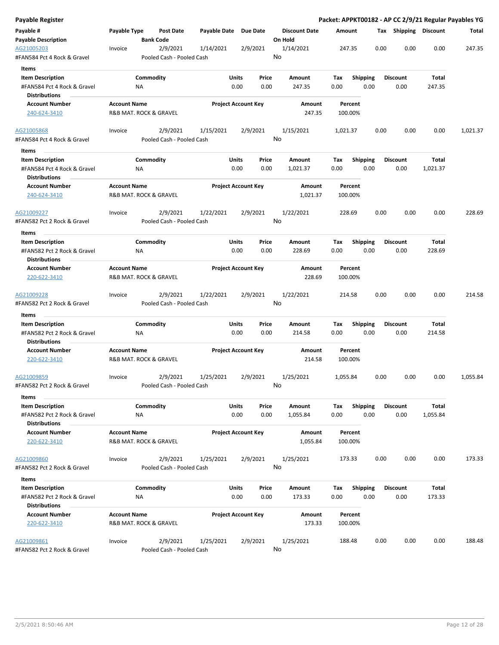| Payable Register                                    |                     |                                       |                       |                            |                                 |          |                 |                       |          | Packet: APPKT00182 - AP CC 2/9/21 Regular Payables YG |
|-----------------------------------------------------|---------------------|---------------------------------------|-----------------------|----------------------------|---------------------------------|----------|-----------------|-----------------------|----------|-------------------------------------------------------|
| Payable #<br><b>Payable Description</b>             | Payable Type        | Post Date<br><b>Bank Code</b>         | Payable Date Due Date |                            | <b>Discount Date</b><br>On Hold | Amount   |                 | Tax Shipping Discount |          | Total                                                 |
| AG21005203<br>#FAN584 Pct 4 Rock & Gravel           | Invoice             | 2/9/2021<br>Pooled Cash - Pooled Cash | 1/14/2021             | 2/9/2021                   | 1/14/2021<br>No                 | 247.35   | 0.00            | 0.00                  | 0.00     | 247.35                                                |
| Items                                               |                     |                                       |                       |                            |                                 |          |                 |                       |          |                                                       |
| <b>Item Description</b>                             |                     | Commodity                             |                       | Units<br>Price             | Amount                          | Tax      | <b>Shipping</b> | <b>Discount</b>       | Total    |                                                       |
| #FAN584 Pct 4 Rock & Gravel                         |                     | ΝA                                    |                       | 0.00<br>0.00               | 247.35                          | 0.00     | 0.00            | 0.00                  | 247.35   |                                                       |
| <b>Distributions</b>                                |                     |                                       |                       |                            |                                 |          |                 |                       |          |                                                       |
| <b>Account Number</b>                               | <b>Account Name</b> |                                       |                       | <b>Project Account Key</b> | Amount                          | Percent  |                 |                       |          |                                                       |
| 240-624-3410                                        |                     | R&B MAT. ROCK & GRAVEL                |                       |                            | 247.35                          | 100.00%  |                 |                       |          |                                                       |
| AG21005868                                          | Invoice             | 2/9/2021                              | 1/15/2021             | 2/9/2021                   | 1/15/2021                       | 1,021.37 | 0.00            | 0.00                  | 0.00     | 1,021.37                                              |
| #FAN584 Pct 4 Rock & Gravel<br>Items                |                     | Pooled Cash - Pooled Cash             |                       |                            | No                              |          |                 |                       |          |                                                       |
| <b>Item Description</b>                             |                     | Commodity                             |                       | Units<br>Price             | Amount                          | Tax      | <b>Shipping</b> | <b>Discount</b>       | Total    |                                                       |
| #FAN584 Pct 4 Rock & Gravel<br><b>Distributions</b> |                     | ΝA                                    |                       | 0.00<br>0.00               | 1,021.37                        | 0.00     | 0.00            | 0.00                  | 1,021.37 |                                                       |
| <b>Account Number</b>                               | <b>Account Name</b> |                                       |                       | <b>Project Account Key</b> | Amount                          | Percent  |                 |                       |          |                                                       |
| 240-624-3410                                        |                     | R&B MAT. ROCK & GRAVEL                |                       |                            | 1,021.37                        | 100.00%  |                 |                       |          |                                                       |
| AG21009227                                          | Invoice             | 2/9/2021                              | 1/22/2021             | 2/9/2021                   | 1/22/2021                       | 228.69   | 0.00            | 0.00                  | 0.00     | 228.69                                                |
| #FAN582 Pct 2 Rock & Gravel                         |                     | Pooled Cash - Pooled Cash             |                       |                            | No                              |          |                 |                       |          |                                                       |
| Items                                               |                     |                                       |                       |                            |                                 |          |                 |                       |          |                                                       |
| <b>Item Description</b>                             |                     | Commodity                             |                       | Units<br>Price             | Amount                          | Tax      | <b>Shipping</b> | <b>Discount</b>       | Total    |                                                       |
| #FAN582 Pct 2 Rock & Gravel<br><b>Distributions</b> |                     | <b>NA</b>                             |                       | 0.00<br>0.00               | 228.69                          | 0.00     | 0.00            | 0.00                  | 228.69   |                                                       |
| <b>Account Number</b>                               | <b>Account Name</b> |                                       |                       | <b>Project Account Key</b> | Amount                          | Percent  |                 |                       |          |                                                       |
| 220-622-3410                                        |                     | R&B MAT. ROCK & GRAVEL                |                       |                            | 228.69                          | 100.00%  |                 |                       |          |                                                       |
| AG21009228<br>#FAN582 Pct 2 Rock & Gravel           | Invoice             | 2/9/2021<br>Pooled Cash - Pooled Cash | 1/22/2021             | 2/9/2021                   | 1/22/2021<br>No                 | 214.58   | 0.00            | 0.00                  | 0.00     | 214.58                                                |
| Items                                               |                     |                                       |                       |                            |                                 |          |                 |                       |          |                                                       |
| <b>Item Description</b>                             |                     | Commodity                             |                       | Units<br>Price             | Amount                          | Tax      | <b>Shipping</b> | Discount              | Total    |                                                       |
| #FAN582 Pct 2 Rock & Gravel<br><b>Distributions</b> |                     | ΝA                                    |                       | 0.00<br>0.00               | 214.58                          | 0.00     | 0.00            | 0.00                  | 214.58   |                                                       |
| <b>Account Number</b>                               | <b>Account Name</b> |                                       |                       | <b>Project Account Key</b> | Amount                          | Percent  |                 |                       |          |                                                       |
| 220-622-3410                                        |                     | R&B MAT. ROCK & GRAVEL                |                       |                            | 214.58                          | 100.00%  |                 |                       |          |                                                       |
| AG21009859                                          | Invoice             | 2/9/2021                              | 1/25/2021             | 2/9/2021                   | 1/25/2021                       | 1,055.84 | 0.00            | 0.00                  | 0.00     | 1,055.84                                              |
| #FAN582 Pct 2 Rock & Gravel<br>Items                |                     | Pooled Cash - Pooled Cash             |                       |                            | No                              |          |                 |                       |          |                                                       |
| <b>Item Description</b>                             |                     | Commodity                             |                       | Units<br>Price             | Amount                          | Tax      | <b>Shipping</b> | <b>Discount</b>       | Total    |                                                       |
| #FAN582 Pct 2 Rock & Gravel                         |                     | <b>NA</b>                             |                       | 0.00<br>0.00               | 1,055.84                        | 0.00     | 0.00            | 0.00                  | 1,055.84 |                                                       |
| <b>Distributions</b>                                |                     |                                       |                       |                            |                                 |          |                 |                       |          |                                                       |
| <b>Account Number</b>                               | <b>Account Name</b> |                                       |                       | <b>Project Account Key</b> | Amount                          | Percent  |                 |                       |          |                                                       |
| 220-622-3410                                        |                     | R&B MAT. ROCK & GRAVEL                |                       |                            | 1,055.84                        | 100.00%  |                 |                       |          |                                                       |
| AG21009860                                          | Invoice             | 2/9/2021                              | 1/25/2021             | 2/9/2021                   | 1/25/2021                       | 173.33   | 0.00            | 0.00                  | 0.00     | 173.33                                                |
| #FAN582 Pct 2 Rock & Gravel                         |                     | Pooled Cash - Pooled Cash             |                       |                            | No                              |          |                 |                       |          |                                                       |
| Items                                               |                     |                                       |                       |                            |                                 |          |                 |                       |          |                                                       |
| <b>Item Description</b>                             |                     | Commodity                             |                       | Units<br>Price             | Amount                          | Tax      | <b>Shipping</b> | <b>Discount</b>       | Total    |                                                       |
| #FAN582 Pct 2 Rock & Gravel                         |                     | ΝA                                    |                       | 0.00<br>0.00               | 173.33                          | 0.00     | 0.00            | 0.00                  | 173.33   |                                                       |
| <b>Distributions</b>                                |                     |                                       |                       |                            |                                 |          |                 |                       |          |                                                       |
| <b>Account Number</b>                               | <b>Account Name</b> |                                       |                       | <b>Project Account Key</b> | Amount                          | Percent  |                 |                       |          |                                                       |
| 220-622-3410                                        |                     | R&B MAT. ROCK & GRAVEL                |                       |                            | 173.33                          | 100.00%  |                 |                       |          |                                                       |
| AG21009861                                          | Invoice             | 2/9/2021                              | 1/25/2021             | 2/9/2021                   | 1/25/2021                       | 188.48   | 0.00            | 0.00                  | 0.00     | 188.48                                                |
| #FAN582 Pct 2 Rock & Gravel                         |                     | Pooled Cash - Pooled Cash             |                       |                            | No                              |          |                 |                       |          |                                                       |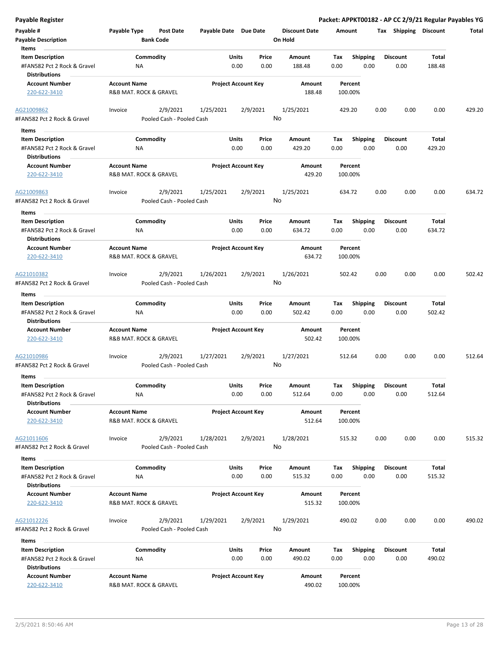| Payable #                                                                      | Payable Type                          | Post Date                 | Payable Date Due Date |                            |               | <b>Discount Date</b> | Amount      |                         | Tax  | Shipping                | <b>Discount</b> | Total  |
|--------------------------------------------------------------------------------|---------------------------------------|---------------------------|-----------------------|----------------------------|---------------|----------------------|-------------|-------------------------|------|-------------------------|-----------------|--------|
| <b>Payable Description</b>                                                     |                                       | <b>Bank Code</b>          |                       |                            |               | On Hold              |             |                         |      |                         |                 |        |
| Items                                                                          |                                       |                           |                       |                            |               |                      |             |                         |      |                         |                 |        |
| <b>Item Description</b>                                                        |                                       | Commodity                 |                       | <b>Units</b>               | Price         | Amount               | Tax         | <b>Shipping</b>         |      | <b>Discount</b>         | <b>Total</b>    |        |
| #FAN582 Pct 2 Rock & Gravel<br><b>Distributions</b>                            | NA                                    |                           |                       | 0.00                       | 0.00          | 188.48               | 0.00        | 0.00                    |      | 0.00                    | 188.48          |        |
| <b>Account Number</b>                                                          | <b>Account Name</b>                   |                           |                       | <b>Project Account Key</b> |               | Amount               | Percent     |                         |      |                         |                 |        |
| 220-622-3410                                                                   | R&B MAT. ROCK & GRAVEL                |                           |                       |                            |               | 188.48               | 100.00%     |                         |      |                         |                 |        |
| AG21009862                                                                     | Invoice                               | 2/9/2021                  | 1/25/2021             |                            | 2/9/2021      | 1/25/2021            | 429.20      |                         | 0.00 | 0.00                    | 0.00            | 429.20 |
| #FAN582 Pct 2 Rock & Gravel                                                    |                                       | Pooled Cash - Pooled Cash |                       |                            |               | No                   |             |                         |      |                         |                 |        |
| Items                                                                          |                                       |                           |                       |                            |               |                      |             |                         |      |                         |                 |        |
| <b>Item Description</b>                                                        |                                       | Commodity                 |                       | Units                      | Price         | Amount               | Tax         | <b>Shipping</b>         |      | <b>Discount</b>         | Total           |        |
| #FAN582 Pct 2 Rock & Gravel                                                    | NA                                    |                           |                       | 0.00                       | 0.00          | 429.20               | 0.00        | 0.00                    |      | 0.00                    | 429.20          |        |
| <b>Distributions</b>                                                           |                                       |                           |                       |                            |               |                      |             |                         |      |                         |                 |        |
| <b>Account Number</b>                                                          | <b>Account Name</b>                   |                           |                       | <b>Project Account Key</b> |               | Amount               | Percent     |                         |      |                         |                 |        |
| 220-622-3410                                                                   | R&B MAT. ROCK & GRAVEL                |                           |                       |                            |               | 429.20               | 100.00%     |                         |      |                         |                 |        |
| AG21009863                                                                     | Invoice                               | 2/9/2021                  | 1/25/2021             |                            | 2/9/2021      | 1/25/2021            | 634.72      |                         | 0.00 | 0.00                    | 0.00            | 634.72 |
| #FAN582 Pct 2 Rock & Gravel                                                    |                                       | Pooled Cash - Pooled Cash |                       |                            |               | No                   |             |                         |      |                         |                 |        |
| Items                                                                          |                                       |                           |                       |                            |               |                      |             |                         |      |                         |                 |        |
| <b>Item Description</b><br>#FAN582 Pct 2 Rock & Gravel<br><b>Distributions</b> | <b>NA</b>                             | Commodity                 |                       | Units<br>0.00              | Price<br>0.00 | Amount<br>634.72     | Tax<br>0.00 | <b>Shipping</b><br>0.00 |      | <b>Discount</b><br>0.00 | Total<br>634.72 |        |
| <b>Account Number</b>                                                          | <b>Account Name</b>                   |                           |                       | <b>Project Account Key</b> |               | Amount               | Percent     |                         |      |                         |                 |        |
| 220-622-3410                                                                   | <b>R&amp;B MAT. ROCK &amp; GRAVEL</b> |                           |                       |                            |               | 634.72               | 100.00%     |                         |      |                         |                 |        |
| AG21010382                                                                     | Invoice                               | 2/9/2021                  | 1/26/2021             |                            | 2/9/2021      | 1/26/2021            | 502.42      |                         | 0.00 | 0.00                    | 0.00            | 502.42 |
| #FAN582 Pct 2 Rock & Gravel                                                    |                                       | Pooled Cash - Pooled Cash |                       |                            |               | No                   |             |                         |      |                         |                 |        |
| Items                                                                          |                                       |                           |                       |                            |               |                      |             |                         |      |                         |                 |        |
| <b>Item Description</b>                                                        |                                       | Commodity                 |                       | Units                      | Price         | Amount               | Tax         | <b>Shipping</b>         |      | <b>Discount</b>         | Total           |        |
| #FAN582 Pct 2 Rock & Gravel                                                    | <b>NA</b>                             |                           |                       | 0.00                       | 0.00          | 502.42               | 0.00        | 0.00                    |      | 0.00                    | 502.42          |        |
| <b>Distributions</b>                                                           |                                       |                           |                       |                            |               |                      |             |                         |      |                         |                 |        |
| <b>Account Number</b>                                                          | <b>Account Name</b>                   |                           |                       | <b>Project Account Key</b> |               | Amount               | Percent     |                         |      |                         |                 |        |
| 220-622-3410                                                                   | R&B MAT. ROCK & GRAVEL                |                           |                       |                            |               | 502.42               | 100.00%     |                         |      |                         |                 |        |
| AG21010986                                                                     | Invoice                               | 2/9/2021                  | 1/27/2021             |                            | 2/9/2021      | 1/27/2021            | 512.64      |                         | 0.00 | 0.00                    | 0.00            | 512.64 |
| #FAN582 Pct 2 Rock & Gravel                                                    |                                       | Pooled Cash - Pooled Cash |                       |                            |               | No                   |             |                         |      |                         |                 |        |
| Items                                                                          |                                       |                           |                       |                            |               |                      |             |                         |      |                         |                 |        |
| <b>Item Description</b>                                                        |                                       | Commodity                 |                       | Units                      | Price         | Amount               | Tax         | <b>Shipping</b>         |      | <b>Discount</b>         | Total           |        |
| #FAN582 Pct 2 Rock & Gravel                                                    | ΝA                                    |                           |                       | 0.00                       | 0.00          | 512.64               | 0.00        | 0.00                    |      | 0.00                    | 512.64          |        |
| <b>Distributions</b>                                                           |                                       |                           |                       |                            |               |                      |             |                         |      |                         |                 |        |
| <b>Account Number</b>                                                          | <b>Account Name</b>                   |                           |                       | <b>Project Account Key</b> |               | Amount               | Percent     |                         |      |                         |                 |        |
| 220-622-3410                                                                   | R&B MAT. ROCK & GRAVEL                |                           |                       |                            |               | 512.64               | 100.00%     |                         |      |                         |                 |        |
| AG21011606                                                                     | Invoice                               | 2/9/2021                  | 1/28/2021             |                            | 2/9/2021      | 1/28/2021            | 515.32      |                         | 0.00 | 0.00                    | 0.00            | 515.32 |
| #FAN582 Pct 2 Rock & Gravel                                                    |                                       |                           |                       |                            |               | No                   |             |                         |      |                         |                 |        |
|                                                                                |                                       | Pooled Cash - Pooled Cash |                       |                            |               |                      |             |                         |      |                         |                 |        |
| Items                                                                          |                                       |                           |                       |                            |               |                      |             |                         |      |                         |                 |        |
| <b>Item Description</b>                                                        |                                       | Commodity                 |                       | <b>Units</b>               | Price         | Amount               | Tax         | <b>Shipping</b>         |      | <b>Discount</b>         | Total           |        |
| #FAN582 Pct 2 Rock & Gravel<br><b>Distributions</b>                            | NA                                    |                           |                       | 0.00                       | 0.00          | 515.32               | 0.00        | 0.00                    |      | 0.00                    | 515.32          |        |
| <b>Account Number</b>                                                          | <b>Account Name</b>                   |                           |                       | <b>Project Account Key</b> |               | Amount               | Percent     |                         |      |                         |                 |        |
| 220-622-3410                                                                   | R&B MAT. ROCK & GRAVEL                |                           |                       |                            |               | 515.32               | 100.00%     |                         |      |                         |                 |        |
| AG21012226                                                                     | Invoice                               | 2/9/2021                  | 1/29/2021             |                            | 2/9/2021      | 1/29/2021            | 490.02      |                         | 0.00 | 0.00                    | 0.00            | 490.02 |
| #FAN582 Pct 2 Rock & Gravel                                                    |                                       | Pooled Cash - Pooled Cash |                       |                            |               | No                   |             |                         |      |                         |                 |        |
| Items                                                                          |                                       |                           |                       |                            |               |                      |             |                         |      |                         |                 |        |
| <b>Item Description</b>                                                        |                                       | Commodity                 |                       | Units                      | Price         | Amount               | Tax         | <b>Shipping</b>         |      | <b>Discount</b>         | Total           |        |
| #FAN582 Pct 2 Rock & Gravel                                                    | ΝA                                    |                           |                       | 0.00                       | 0.00          | 490.02               | 0.00        | 0.00                    |      | 0.00                    | 490.02          |        |
| <b>Distributions</b>                                                           |                                       |                           |                       |                            |               |                      |             |                         |      |                         |                 |        |

**Payable Register Packet: APPKT00182 - AP CC 2/9/21 Regular Payables YG**

**Account Number Account Name Project Account Key Amount**

220-622-3410 R&B MAT. ROCK & GRAVEL 490.02 100.00%

**Percent**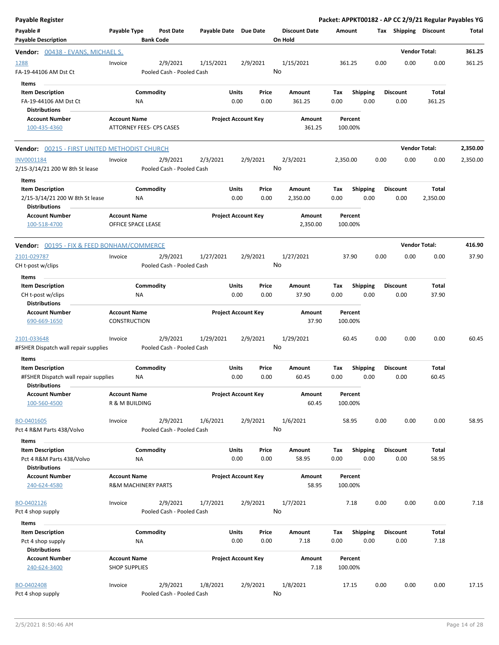| Payable Register                                                                        |                                             |                                       |                       |                            |                |                                 |                    |                         |      |                         | Packet: APPKT00182 - AP CC 2/9/21 Regular Payables YG |          |
|-----------------------------------------------------------------------------------------|---------------------------------------------|---------------------------------------|-----------------------|----------------------------|----------------|---------------------------------|--------------------|-------------------------|------|-------------------------|-------------------------------------------------------|----------|
| Payable #<br><b>Payable Description</b>                                                 | Payable Type                                | Post Date<br><b>Bank Code</b>         | Payable Date Due Date |                            |                | <b>Discount Date</b><br>On Hold | Amount             |                         |      | Tax Shipping Discount   |                                                       | Total    |
| <b>Vendor:</b> 00438 - EVANS, MICHAEL S.                                                |                                             |                                       |                       |                            |                |                                 |                    |                         |      |                         | <b>Vendor Total:</b>                                  | 361.25   |
| <u> 1288 </u><br>FA-19-44106 AM Dst Ct<br>Items                                         | Invoice                                     | 2/9/2021<br>Pooled Cash - Pooled Cash | 1/15/2021             |                            | 2/9/2021<br>No | 1/15/2021                       | 361.25             |                         | 0.00 | 0.00                    | 0.00                                                  | 361.25   |
| <b>Item Description</b><br>FA-19-44106 AM Dst Ct<br><b>Distributions</b>                |                                             | Commodity<br>ΝA                       |                       | Units<br>0.00              | Price<br>0.00  | Amount<br>361.25                | Тах<br>0.00        | <b>Shipping</b><br>0.00 |      | <b>Discount</b><br>0.00 | Total<br>361.25                                       |          |
| <b>Account Number</b><br>100-435-4360                                                   | <b>Account Name</b>                         | <b>ATTORNEY FEES- CPS CASES</b>       |                       | <b>Project Account Key</b> |                | Amount<br>361.25                | Percent<br>100.00% |                         |      |                         |                                                       |          |
| <b>Vendor:</b> 00215 - FIRST UNITED METHODIST CHURCH                                    |                                             |                                       |                       |                            |                |                                 |                    |                         |      |                         | <b>Vendor Total:</b>                                  | 2,350.00 |
| INV0001184<br>2/15-3/14/21 200 W 8th St lease<br>Items                                  | Invoice                                     | 2/9/2021<br>Pooled Cash - Pooled Cash | 2/3/2021              |                            | 2/9/2021<br>No | 2/3/2021                        | 2,350.00           |                         | 0.00 | 0.00                    | 0.00                                                  | 2,350.00 |
| <b>Item Description</b><br>2/15-3/14/21 200 W 8th St lease<br><b>Distributions</b>      |                                             | Commodity<br>ΝA                       |                       | Units<br>0.00              | Price<br>0.00  | Amount<br>2,350.00              | Tax<br>0.00        | <b>Shipping</b><br>0.00 |      | <b>Discount</b><br>0.00 | Total<br>2,350.00                                     |          |
| <b>Account Number</b><br>100-518-4700                                                   | <b>Account Name</b><br>OFFICE SPACE LEASE   |                                       |                       | <b>Project Account Key</b> |                | Amount<br>2,350.00              | Percent<br>100.00% |                         |      |                         |                                                       |          |
| <b>Vendor:</b> 00195 - FIX & FEED BONHAM/COMMERCE                                       |                                             |                                       |                       |                            |                |                                 |                    |                         |      |                         | <b>Vendor Total:</b>                                  | 416.90   |
| 2101-029787<br>CH t-post w/clips                                                        | Invoice                                     | 2/9/2021<br>Pooled Cash - Pooled Cash | 1/27/2021             |                            | 2/9/2021<br>No | 1/27/2021                       | 37.90              |                         | 0.00 | 0.00                    | 0.00                                                  | 37.90    |
| Items                                                                                   |                                             |                                       |                       |                            |                |                                 |                    |                         |      |                         |                                                       |          |
| <b>Item Description</b><br>CH t-post w/clips<br><b>Distributions</b>                    |                                             | Commodity<br>ΝA                       |                       | Units<br>0.00              | Price<br>0.00  | Amount<br>37.90                 | Tax<br>0.00        | <b>Shipping</b><br>0.00 |      | <b>Discount</b><br>0.00 | Total<br>37.90                                        |          |
| <b>Account Number</b><br>690-669-1650                                                   | <b>Account Name</b><br><b>CONSTRUCTION</b>  |                                       |                       | <b>Project Account Key</b> |                | Amount<br>37.90                 | Percent<br>100.00% |                         |      |                         |                                                       |          |
| 2101-033648<br>#FSHER Dispatch wall repair supplies                                     | Invoice                                     | 2/9/2021<br>Pooled Cash - Pooled Cash | 1/29/2021             |                            | 2/9/2021<br>No | 1/29/2021                       | 60.45              |                         | 0.00 | 0.00                    | 0.00                                                  | 60.45    |
| Items                                                                                   |                                             |                                       |                       |                            |                |                                 |                    |                         |      |                         |                                                       |          |
| <b>Item Description</b><br>#FSHER Dispatch wall repair supplies<br><b>Distributions</b> |                                             | Commodity<br>ΝA                       |                       | Units<br>0.00              | Price<br>0.00  | Amount<br>60.45                 | Tax<br>0.00        | <b>Shipping</b><br>0.00 |      | <b>Discount</b><br>0.00 | Total<br>60.45                                        |          |
| <b>Account Number</b><br>100-560-4500                                                   | <b>Account Name</b><br>R & M BUILDING       |                                       |                       | <b>Project Account Key</b> |                | Amount<br>60.45                 | Percent<br>100.00% |                         |      |                         |                                                       |          |
| BO-0401605<br>Pct 4 R&M Parts 438/Volvo                                                 | Invoice                                     | 2/9/2021<br>Pooled Cash - Pooled Cash | 1/6/2021              |                            | 2/9/2021<br>No | 1/6/2021                        | 58.95              |                         | 0.00 | 0.00                    | 0.00                                                  | 58.95    |
| Items<br><b>Item Description</b><br>Pct 4 R&M Parts 438/Volvo                           |                                             | Commodity<br>ΝA                       |                       | Units<br>0.00              | Price<br>0.00  | Amount<br>58.95                 | Tax<br>0.00        | Shipping<br>0.00        |      | <b>Discount</b><br>0.00 | Total<br>58.95                                        |          |
| <b>Distributions</b>                                                                    |                                             |                                       |                       |                            |                |                                 |                    |                         |      |                         |                                                       |          |
| <b>Account Number</b><br>240-624-4580                                                   | <b>Account Name</b>                         | <b>R&amp;M MACHINERY PARTS</b>        |                       | <b>Project Account Key</b> |                | Amount<br>58.95                 | Percent<br>100.00% |                         |      |                         |                                                       |          |
| BO-0402126<br>Pct 4 shop supply                                                         | Invoice                                     | 2/9/2021<br>Pooled Cash - Pooled Cash | 1/7/2021              |                            | 2/9/2021<br>No | 1/7/2021                        | 7.18               |                         | 0.00 | 0.00                    | 0.00                                                  | 7.18     |
| Items                                                                                   |                                             |                                       |                       |                            |                |                                 |                    |                         |      |                         |                                                       |          |
| <b>Item Description</b><br>Pct 4 shop supply<br><b>Distributions</b>                    |                                             | Commodity<br>ΝA                       |                       | Units<br>0.00              | Price<br>0.00  | Amount<br>7.18                  | Tax<br>0.00        | <b>Shipping</b><br>0.00 |      | <b>Discount</b><br>0.00 | <b>Total</b><br>7.18                                  |          |
| <b>Account Number</b><br>240-624-3400                                                   | <b>Account Name</b><br><b>SHOP SUPPLIES</b> |                                       |                       | <b>Project Account Key</b> |                | Amount<br>7.18                  | Percent<br>100.00% |                         |      |                         |                                                       |          |
| BO-0402408<br>Pct 4 shop supply                                                         | Invoice                                     | 2/9/2021<br>Pooled Cash - Pooled Cash | 1/8/2021              |                            | 2/9/2021<br>No | 1/8/2021                        | 17.15              |                         | 0.00 | 0.00                    | 0.00                                                  | 17.15    |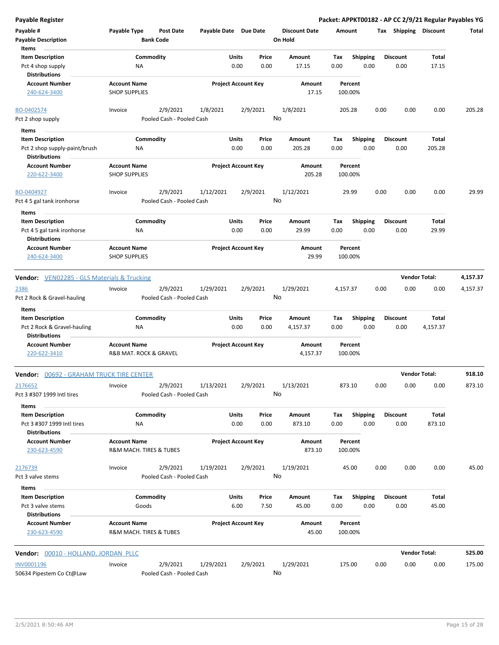**Payable Register Packet: APPKT00182 - AP CC 2/9/21 Regular Payables YG Payable # Payable Type Post Date Payable Date Due Date Payable Description Bank Code Discount Date Amount Tax Shipping Discount Total On Hold** 0.00 0.00 **Units** Pct 4 shop supply **CD** NA NA 0.00 0.00 17.15 0.00 **Item Description** 17.15 **Price Amount Tax** 0.00 17.15 Commodity **Shipping Shipping Commodity Shipping Discount** Total NA **Items** 0.00 **Discount Account Number Account Name Project Account Key Amount Distributions Percent** 240-624-3400 SHOP SUPPLIES 17.15 100.00% 2/9/2021 1/8/2021 2/9/2021 Pct 2 shop supply **Pooled Cash - Pooled Cash** BO-0402574 Invoice 1/8/2021 205.28 0.00 0.00 0.00 205.28 No 0.00 0.00 **Units** Pct 2 shop supply-paint/brush 0.00 **Item Description** 205.28 **Price Amount Tax** 0.00 205.28 Commodity **Shipping Shipping Commodity Shipping Discount** Total NA **Items** 0.00 **Discount Account Number Account Name Project Account Key Amount Distributions Percent** 220-622-3400 SHOP SUPPLIES 205.28 100.00% 2/9/2021 1/12/2021 2/9/2021 Pct 4 5 gal tank ironhorse Pooled Cash - Pooled Cash BO-0404927 Invoice 1/12/2021 29.99 0.00 0.00 0.00 29.99 No 0.00 0.00 **Units** Pct 4 5 gal tank ironhorse **120 Au Accord 120 Au Accord 120 Au Accord 120 Au Accord 120 Au Accord 120 Au Accord 120 Au Accord 120 Au Accord 120 Au Accord 120 Au Accord 120 Au Accord 120 Au Accord 120 Au Accord 120 Au Accor Item Description** 29.99 **Price Amount Tax** 0.00 29.99 Commodity **Shipping Example 1 Commodity Shipping Discount** Total NA **Items** 0.00 **Discount Account Number Account Name Project Account Key Amount Distributions Percent** 240-624-3400 SHOP SUPPLIES 29.99 100.00% **Vendor:** VEN02285 - GLS Materials & Trucking **Vendor Total: 4,157.37** 2/9/2021 1/29/2021 2/9/2021 Pct 2 Rock & Gravel-hauling Pooled Cash - Pooled Cash - Pooled Cash 2386 Invoice 1/29/2021 4,157.37 0.00 0.00 0.00 4,157.37 No 0.00 0.00 **Units** Pct 2 Rock & Gravel-hauling  $NA$  0.00 0.00 4,157.37 0.00 **Item Description** 4,157.37 **Price Amount Tax** 0.00 4,157.37 Commodity **Shipping Example 1 Commodity Shipping Discount** Total NA **Items** 0.00 **Discount Account Number Account Name Project Account Key Amount Distributions Percent** 220-622-3410 R&B MAT. ROCK & GRAVEL 4,157.37 100.00% **Vendor:** 00692 - GRAHAM TRUCK TIRE CENTER **Vendor Total: 918.10** 2/9/2021 1/13/2021 2/9/2021 Pct 3 #307 1999 Intl tires Pooled Cash - Pooled Cash 2<u>176652</u> Invoice 2/9/2021 1/13/2021 2/9/2021 1/13/2021 873.10 0.00 0.00 0.00 873.10 No 0.00 0.00 **Units** Pct 3 #307 1999 Intl tires 6.00 NA NA 2000 0.00 0.00 0.00 0.00 0.00 0.00 **Item Description** 873.10 **Price Amount Tax** 0.00 873.10 Commodity **Shipping Example 1 Commodity Shipping Discount** Total NA **Items** 0.00 **Discount Account Number Account Name Project Account Key Amount Distributions Percent** 230-623-4590 R&M MACH. TIRES & TUBES 873.10 100.00% 2/9/2021 1/19/2021 2/9/2021 Pct 3 valve stems **Pooled Cash - Pooled Cash** 2<u>176739</u> Invoice 2/9/2021 1/19/2021 2/9/2021 1/19/2021 45.00 0.00 0.00 45.00 No 6.00 7.50 **Units** Pct 3 valve stems 6.00 by the stems of the Goods 6.00 control of the Goods 6.00 control of the Goods 6.00 control of the Goods 6.00 control of the Goods 6.00 control of the Goods 6.00 control of the Goods 6.00 control of t **Item Description** 45.00 **Price Amount Tax** 0.00 45.00 Commodity **Shipping Shipping Commodity Shipping Discount** Total Goods **Items** 0.00 **Discount Account Number Account Name Project Account Key Amount Distributions Percent** 230-623-4590 R&M MACH. TIRES & TUBES 45.00 100.00% **Vendor:** 00010 - HOLLAND, JORDAN PLLC **Vendor Total: 525.00** 2/9/2021 1/29/2021 2/9/2021 INV0001196 Invoice 1/29/2021 175.00 0.00 0.00 0.00 175.00

No

50634 Pipestem Co Ct@Law Pooled Cash - Pooled Cash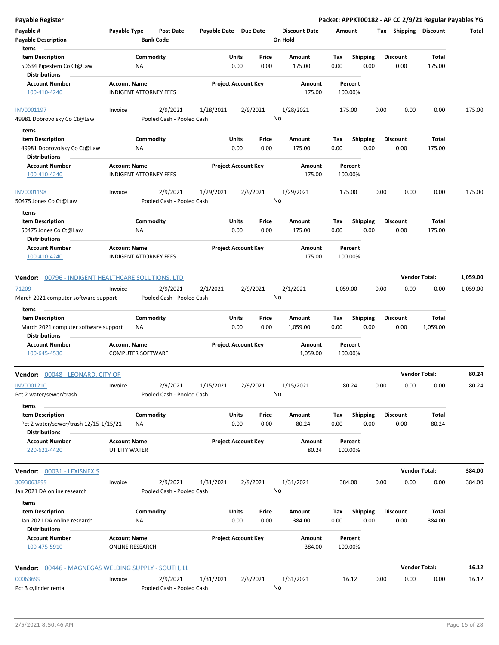| <b>Payable Register</b>                                                                           |                                               |                                      |                                        |                      |                            |    |                                 |             |                         |      | Packet: APPKT00182 - AP CC 2/9/21 Regular Payables YG |                        |          |
|---------------------------------------------------------------------------------------------------|-----------------------------------------------|--------------------------------------|----------------------------------------|----------------------|----------------------------|----|---------------------------------|-------------|-------------------------|------|-------------------------------------------------------|------------------------|----------|
| Payable #<br><b>Payable Description</b>                                                           | Payable Type                                  | <b>Post Date</b><br><b>Bank Code</b> |                                        |                      | Payable Date Due Date      |    | <b>Discount Date</b><br>On Hold | Amount      |                         |      | Tax Shipping Discount                                 |                        | Total    |
| Items<br><b>Item Description</b><br>50634 Pipestem Co Ct@Law<br><b>Distributions</b>              |                                               | Commodity<br>NA                      |                                        | Units<br>0.00        | Price<br>0.00              |    | Amount<br>175.00                | Tax<br>0.00 | Shipping<br>0.00        |      | <b>Discount</b><br>0.00                               | <b>Total</b><br>175.00 |          |
| <b>Account Number</b><br>100-410-4240                                                             | <b>Account Name</b>                           | INDIGENT ATTORNEY FEES               |                                        |                      | <b>Project Account Key</b> |    | Amount<br>175.00                |             | Percent<br>100.00%      |      |                                                       |                        |          |
| INV0001197<br>49981 Dobrovolsky Co Ct@Law                                                         | Invoice                                       | 2/9/2021                             | 1/28/2021<br>Pooled Cash - Pooled Cash |                      | 2/9/2021                   | No | 1/28/2021                       |             | 175.00                  | 0.00 | 0.00                                                  | 0.00                   | 175.00   |
| Items<br><b>Item Description</b><br>49981 Dobrovolsky Co Ct@Law<br><b>Distributions</b>           |                                               | Commodity<br>ΝA                      |                                        | <b>Units</b><br>0.00 | Price<br>0.00              |    | Amount<br>175.00                | Tax<br>0.00 | <b>Shipping</b><br>0.00 |      | <b>Discount</b><br>0.00                               | Total<br>175.00        |          |
| <b>Account Number</b><br>100-410-4240                                                             | <b>Account Name</b>                           | <b>INDIGENT ATTORNEY FEES</b>        |                                        |                      | <b>Project Account Key</b> |    | Amount<br>175.00                |             | Percent<br>100.00%      |      |                                                       |                        |          |
| INV0001198<br>50475 Jones Co Ct@Law                                                               | Invoice                                       | 2/9/2021                             | 1/29/2021<br>Pooled Cash - Pooled Cash |                      | 2/9/2021                   | No | 1/29/2021                       |             | 175.00                  | 0.00 | 0.00                                                  | 0.00                   | 175.00   |
| Items<br><b>Item Description</b><br>50475 Jones Co Ct@Law<br><b>Distributions</b>                 |                                               | Commodity<br>ΝA                      |                                        | Units<br>0.00        | Price<br>0.00              |    | Amount<br>175.00                | Tax<br>0.00 | <b>Shipping</b><br>0.00 |      | <b>Discount</b><br>0.00                               | <b>Total</b><br>175.00 |          |
| <b>Account Number</b><br>100-410-4240                                                             | <b>Account Name</b>                           | <b>INDIGENT ATTORNEY FEES</b>        |                                        |                      | <b>Project Account Key</b> |    | Amount<br>175.00                |             | Percent<br>100.00%      |      |                                                       |                        |          |
| Vendor: 00796 - INDIGENT HEALTHCARE SOLUTIONS, LTD                                                |                                               |                                      |                                        |                      |                            |    |                                 |             |                         |      |                                                       | <b>Vendor Total:</b>   | 1,059.00 |
| 71209<br>March 2021 computer software support                                                     | Invoice                                       | 2/9/2021                             | 2/1/2021<br>Pooled Cash - Pooled Cash  |                      | 2/9/2021                   |    | 2/1/2021<br>No                  | 1,059.00    |                         | 0.00 | 0.00                                                  | 0.00                   | 1,059.00 |
| Items<br><b>Item Description</b><br>March 2021 computer software support<br><b>Distributions</b>  |                                               | Commodity<br>ΝA                      |                                        | Units<br>0.00        | Price<br>0.00              |    | Amount<br>1,059.00              | Tax<br>0.00 | <b>Shipping</b><br>0.00 |      | <b>Discount</b><br>0.00                               | Total<br>1,059.00      |          |
| <b>Account Number</b><br>100-645-4530                                                             | <b>Account Name</b>                           | <b>COMPUTER SOFTWARE</b>             |                                        |                      | <b>Project Account Key</b> |    | Amount<br>1,059.00              |             | Percent<br>100.00%      |      |                                                       |                        |          |
| Vendor: 00048 - LEONARD, CITY OF                                                                  |                                               |                                      |                                        |                      |                            |    |                                 |             |                         |      |                                                       | <b>Vendor Total:</b>   | 80.24    |
| INV0001210<br>Pct 2 water/sewer/trash                                                             | Invoice                                       | 2/9/2021                             | 1/15/2021<br>Pooled Cash - Pooled Cash |                      | 2/9/2021                   | No | 1/15/2021                       |             | 80.24                   | 0.00 | 0.00                                                  | 0.00                   | 80.24    |
| Items<br><b>Item Description</b><br>Pct 2 water/sewer/trash 12/15-1/15/21<br><b>Distributions</b> |                                               | Commodity<br>ΝA                      |                                        | Units<br>0.00        | Price<br>0.00              |    | Amount<br>80.24                 | Tax<br>0.00 | <b>Shipping</b><br>0.00 |      | <b>Discount</b><br>0.00                               | Total<br>80.24         |          |
| <b>Account Number</b><br>220-622-4420                                                             | <b>Account Name</b><br>UTILITY WATER          |                                      |                                        |                      | <b>Project Account Key</b> |    | Amount<br>80.24                 |             | Percent<br>100.00%      |      |                                                       |                        |          |
| Vendor: 00031 - LEXISNEXIS                                                                        |                                               |                                      |                                        |                      |                            |    |                                 |             |                         |      |                                                       | <b>Vendor Total:</b>   | 384.00   |
| 3093063899<br>Jan 2021 DA online research                                                         | Invoice                                       | 2/9/2021                             | 1/31/2021<br>Pooled Cash - Pooled Cash |                      | 2/9/2021                   | No | 1/31/2021                       |             | 384.00                  | 0.00 | 0.00                                                  | 0.00                   | 384.00   |
| Items<br><b>Item Description</b><br>Jan 2021 DA online research                                   |                                               | Commodity<br>NA                      |                                        | Units<br>0.00        | Price<br>0.00              |    | Amount<br>384.00                | Tax<br>0.00 | Shipping<br>0.00        |      | <b>Discount</b><br>0.00                               | Total<br>384.00        |          |
| <b>Distributions</b><br><b>Account Number</b><br>100-475-5910                                     | <b>Account Name</b><br><b>ONLINE RESEARCH</b> |                                      |                                        |                      | <b>Project Account Key</b> |    | Amount<br>384.00                |             | Percent<br>100.00%      |      |                                                       |                        |          |
| Vendor: 00446 - MAGNEGAS WELDING SUPPLY - SOUTH, LL                                               |                                               |                                      |                                        |                      |                            |    |                                 |             |                         |      |                                                       | <b>Vendor Total:</b>   | 16.12    |
| 00063699<br>Pct 3 cylinder rental                                                                 | Invoice                                       | 2/9/2021                             | 1/31/2021<br>Pooled Cash - Pooled Cash |                      | 2/9/2021                   | No | 1/31/2021                       |             | 16.12                   | 0.00 | 0.00                                                  | 0.00                   | 16.12    |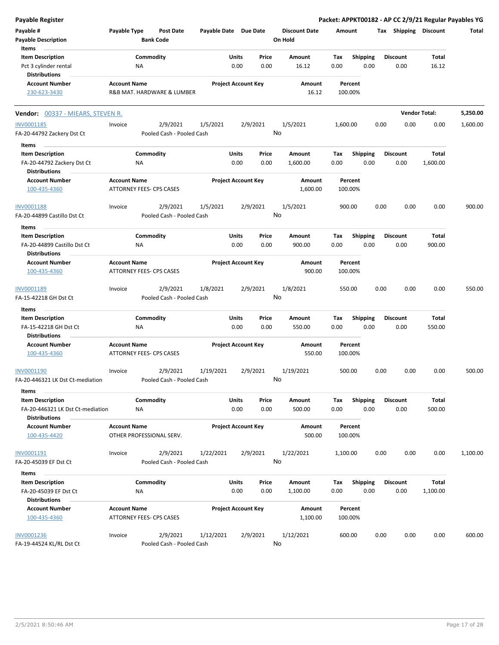| <b>Payable Register</b>                                                       |                                                        |                  |                                       |                       |               |                            |    |                                 |             |                         |      |                         |                          | Packet: APPKT00182 - AP CC 2/9/21 Regular Payables YG |
|-------------------------------------------------------------------------------|--------------------------------------------------------|------------------|---------------------------------------|-----------------------|---------------|----------------------------|----|---------------------------------|-------------|-------------------------|------|-------------------------|--------------------------|-------------------------------------------------------|
| Payable #<br><b>Payable Description</b>                                       | Payable Type                                           | <b>Bank Code</b> | <b>Post Date</b>                      | Payable Date Due Date |               |                            |    | <b>Discount Date</b><br>On Hold | Amount      |                         |      | Tax Shipping Discount   |                          | Total                                                 |
| Items<br><b>Item Description</b>                                              |                                                        | Commodity        |                                       |                       | Units         | Price                      |    | Amount                          | Tax         | <b>Shipping</b>         |      | <b>Discount</b>         | Total                    |                                                       |
| Pct 3 cylinder rental                                                         |                                                        | NA               |                                       |                       | 0.00          | 0.00                       |    | 16.12                           | 0.00        | 0.00                    |      | 0.00                    | 16.12                    |                                                       |
| <b>Distributions</b>                                                          |                                                        |                  |                                       |                       |               |                            |    |                                 |             |                         |      |                         |                          |                                                       |
| <b>Account Number</b><br>230-623-3430                                         | <b>Account Name</b>                                    |                  | R&B MAT. HARDWARE & LUMBER            |                       |               | <b>Project Account Key</b> |    | Amount<br>16.12                 |             | Percent<br>100.00%      |      |                         |                          |                                                       |
| <b>Vendor: 00337 - MIEARS, STEVEN R.</b>                                      |                                                        |                  |                                       |                       |               |                            |    |                                 |             |                         |      |                         | <b>Vendor Total:</b>     | 5,250.00                                              |
| INV0001185                                                                    | Invoice                                                |                  | 2/9/2021                              | 1/5/2021              |               | 2/9/2021                   |    | 1/5/2021                        | 1,600.00    |                         | 0.00 | 0.00                    | 0.00                     | 1,600.00                                              |
| FA-20-44792 Zackery Dst Ct                                                    |                                                        |                  | Pooled Cash - Pooled Cash             |                       |               |                            | No |                                 |             |                         |      |                         |                          |                                                       |
| Items                                                                         |                                                        |                  |                                       |                       |               |                            |    |                                 |             |                         |      |                         |                          |                                                       |
| <b>Item Description</b><br>FA-20-44792 Zackery Dst Ct<br><b>Distributions</b> |                                                        | Commodity<br>ΝA  |                                       |                       | Units<br>0.00 | Price<br>0.00              |    | Amount<br>1,600.00              | Tax<br>0.00 | <b>Shipping</b><br>0.00 |      | <b>Discount</b><br>0.00 | <b>Total</b><br>1,600.00 |                                                       |
| <b>Account Number</b>                                                         | <b>Account Name</b>                                    |                  |                                       |                       |               | <b>Project Account Key</b> |    | <b>Amount</b>                   |             | Percent                 |      |                         |                          |                                                       |
| 100-435-4360                                                                  | ATTORNEY FEES- CPS CASES                               |                  |                                       |                       |               |                            |    | 1,600.00                        |             | 100.00%                 |      |                         |                          |                                                       |
| INV0001188                                                                    | Invoice                                                |                  | 2/9/2021                              | 1/5/2021              |               | 2/9/2021                   |    | 1/5/2021                        | 900.00      |                         | 0.00 | 0.00                    | 0.00                     | 900.00                                                |
| FA-20-44899 Castillo Dst Ct                                                   |                                                        |                  | Pooled Cash - Pooled Cash             |                       |               |                            | No |                                 |             |                         |      |                         |                          |                                                       |
| Items                                                                         |                                                        |                  |                                       |                       |               |                            |    |                                 |             |                         |      |                         |                          |                                                       |
| <b>Item Description</b>                                                       |                                                        | Commodity        |                                       |                       | Units         | Price                      |    | Amount                          | Tax         | <b>Shipping</b>         |      | <b>Discount</b>         | <b>Total</b>             |                                                       |
| FA-20-44899 Castillo Dst Ct                                                   |                                                        | ΝA               |                                       |                       | 0.00          | 0.00                       |    | 900.00                          | 0.00        | 0.00                    |      | 0.00                    | 900.00                   |                                                       |
| Distributions                                                                 |                                                        |                  |                                       |                       |               |                            |    |                                 |             |                         |      |                         |                          |                                                       |
| <b>Account Number</b><br>100-435-4360                                         | <b>Account Name</b><br><b>ATTORNEY FEES- CPS CASES</b> |                  |                                       |                       |               | <b>Project Account Key</b> |    | Amount<br>900.00                |             | Percent<br>100.00%      |      |                         |                          |                                                       |
| INV0001189<br>FA-15-42218 GH Dst Ct                                           | Invoice                                                |                  | 2/9/2021<br>Pooled Cash - Pooled Cash | 1/8/2021              |               | 2/9/2021                   | No | 1/8/2021                        |             | 550.00                  | 0.00 | 0.00                    | 0.00                     | 550.00                                                |
| Items                                                                         |                                                        |                  |                                       |                       |               |                            |    |                                 |             |                         |      |                         |                          |                                                       |
| <b>Item Description</b>                                                       |                                                        | Commodity        |                                       |                       | Units         | Price                      |    | Amount                          | Tax         | Shipping                |      | <b>Discount</b>         | <b>Total</b>             |                                                       |
| FA-15-42218 GH Dst Ct                                                         |                                                        | ΝA               |                                       |                       | 0.00          | 0.00                       |    | 550.00                          | 0.00        | 0.00                    |      | 0.00                    | 550.00                   |                                                       |
| <b>Distributions</b>                                                          |                                                        |                  |                                       |                       |               |                            |    |                                 |             |                         |      |                         |                          |                                                       |
| <b>Account Number</b><br>100-435-4360                                         | <b>Account Name</b><br>ATTORNEY FEES- CPS CASES        |                  |                                       |                       |               | <b>Project Account Key</b> |    | Amount<br>550.00                |             | Percent<br>100.00%      |      |                         |                          |                                                       |
| INV0001190<br>FA-20-446321 LK Dst Ct-mediation                                | Invoice                                                |                  | 2/9/2021<br>Pooled Cash - Pooled Cash | 1/19/2021             |               | 2/9/2021                   | No | 1/19/2021                       | 500.00      |                         | 0.00 | 0.00                    | 0.00                     | 500.00                                                |
| Items                                                                         |                                                        |                  |                                       |                       |               |                            |    |                                 |             |                         |      |                         |                          |                                                       |
| <b>Item Description</b><br>FA-20-446321 LK Dst Ct-mediation                   |                                                        | Commodity<br>ΝA  |                                       |                       | Units<br>0.00 | Price<br>0.00              |    | Amount<br>500.00                | Tax<br>0.00 | <b>Shipping</b><br>0.00 |      | <b>Discount</b><br>0.00 | Total<br>500.00          |                                                       |
| <b>Distributions</b><br><b>Account Number</b><br>100-435-4420                 | <b>Account Name</b>                                    |                  | OTHER PROFESSIONAL SERV.              |                       |               | <b>Project Account Key</b> |    | Amount<br>500.00                |             | Percent<br>100.00%      |      |                         |                          |                                                       |
| INV0001191<br>FA-20-45039 EF Dst Ct                                           | Invoice                                                |                  | 2/9/2021<br>Pooled Cash - Pooled Cash | 1/22/2021             |               | 2/9/2021                   | No | 1/22/2021                       | 1,100.00    |                         | 0.00 | 0.00                    | 0.00                     | 1,100.00                                              |
|                                                                               |                                                        |                  |                                       |                       |               |                            |    |                                 |             |                         |      |                         |                          |                                                       |
| Items<br><b>Item Description</b><br>FA-20-45039 EF Dst Ct                     |                                                        | Commodity<br>NA  |                                       |                       | Units<br>0.00 | Price<br>0.00              |    | Amount<br>1,100.00              | Tax<br>0.00 | Shipping<br>0.00        |      | <b>Discount</b><br>0.00 | Total<br>1,100.00        |                                                       |
| <b>Distributions</b><br><b>Account Number</b><br>100-435-4360                 | <b>Account Name</b><br>ATTORNEY FEES- CPS CASES        |                  |                                       |                       |               | <b>Project Account Key</b> |    | Amount<br>1,100.00              |             | Percent<br>100.00%      |      |                         |                          |                                                       |
| <b>INV0001236</b><br>FA-19-44524 KL/RL Dst Ct                                 | Invoice                                                |                  | 2/9/2021<br>Pooled Cash - Pooled Cash | 1/12/2021             |               | 2/9/2021                   | No | 1/12/2021                       |             | 600.00                  | 0.00 | 0.00                    | 0.00                     | 600.00                                                |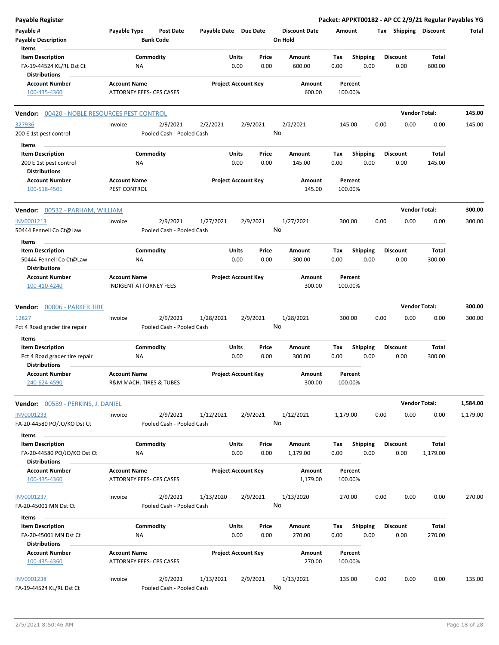| <b>Payable Register</b>                                                                   |                                                      |                                       |                       |                            |               |                                 |             |                         |      |                         |                      | Packet: APPKT00182 - AP CC 2/9/21 Regular Payables YG |
|-------------------------------------------------------------------------------------------|------------------------------------------------------|---------------------------------------|-----------------------|----------------------------|---------------|---------------------------------|-------------|-------------------------|------|-------------------------|----------------------|-------------------------------------------------------|
| Payable #<br><b>Payable Description</b>                                                   | Payable Type                                         | <b>Post Date</b><br><b>Bank Code</b>  | Payable Date Due Date |                            |               | <b>Discount Date</b><br>On Hold | Amount      |                         |      | Tax Shipping Discount   |                      | Total                                                 |
| Items<br><b>Item Description</b><br>FA-19-44524 KL/RL Dst Ct<br><b>Distributions</b>      | NA                                                   | Commodity                             |                       | Units<br>0.00              | Price<br>0.00 | Amount<br>600.00                | Tax<br>0.00 | <b>Shipping</b><br>0.00 |      | Discount<br>0.00        | Total<br>600.00      |                                                       |
| <b>Account Number</b><br>100-435-4360                                                     | <b>Account Name</b><br>ATTORNEY FEES- CPS CASES      |                                       |                       | <b>Project Account Key</b> |               | Amount<br>600.00                |             | Percent<br>100.00%      |      |                         |                      |                                                       |
| <b>Vendor: 00420 - NOBLE RESOURCES PEST CONTROL</b>                                       |                                                      |                                       |                       |                            |               |                                 |             |                         |      |                         | <b>Vendor Total:</b> | 145.00                                                |
| 327936<br>200 E 1st pest control                                                          | Invoice                                              | 2/9/2021<br>Pooled Cash - Pooled Cash | 2/2/2021              | 2/9/2021                   |               | 2/2/2021<br>No                  |             | 145.00                  | 0.00 | 0.00                    | 0.00                 | 145.00                                                |
| Items<br><b>Item Description</b><br>200 E 1st pest control<br><b>Distributions</b>        | ΝA                                                   | Commodity                             |                       | Units<br>0.00              | Price<br>0.00 | Amount<br>145.00                | Tax<br>0.00 | <b>Shipping</b><br>0.00 |      | <b>Discount</b><br>0.00 | Total<br>145.00      |                                                       |
| <b>Account Number</b><br>100-518-4501                                                     | <b>Account Name</b><br>PEST CONTROL                  |                                       |                       | <b>Project Account Key</b> |               | Amount<br>145.00                |             | Percent<br>100.00%      |      |                         |                      |                                                       |
| <b>Vendor:</b> 00532 - PARHAM, WILLIAM                                                    |                                                      |                                       |                       |                            |               |                                 |             |                         |      |                         | <b>Vendor Total:</b> | 300.00                                                |
| INV0001213<br>50444 Fennell Co Ct@Law                                                     | Invoice                                              | 2/9/2021<br>Pooled Cash - Pooled Cash | 1/27/2021             | 2/9/2021                   |               | 1/27/2021<br>No                 |             | 300.00                  | 0.00 | 0.00                    | 0.00                 | 300.00                                                |
| Items<br><b>Item Description</b><br>50444 Fennell Co Ct@Law<br><b>Distributions</b>       | ΝA                                                   | Commodity                             |                       | Units<br>0.00              | Price<br>0.00 | Amount<br>300.00                | Tax<br>0.00 | <b>Shipping</b><br>0.00 |      | <b>Discount</b><br>0.00 | Total<br>300.00      |                                                       |
| <b>Account Number</b><br>100-410-4240                                                     | <b>Account Name</b><br><b>INDIGENT ATTORNEY FEES</b> |                                       |                       | <b>Project Account Key</b> |               | Amount<br>300.00                |             | Percent<br>100.00%      |      |                         |                      |                                                       |
| Vendor: 00006 - PARKER TIRE                                                               |                                                      |                                       |                       |                            |               |                                 |             |                         |      |                         | <b>Vendor Total:</b> | 300.00                                                |
| 12827<br>Pct 4 Road grader tire repair                                                    | Invoice                                              | 2/9/2021<br>Pooled Cash - Pooled Cash | 1/28/2021             | 2/9/2021                   |               | 1/28/2021<br>No                 |             | 300.00                  | 0.00 | 0.00                    | 0.00                 | 300.00                                                |
| Items<br><b>Item Description</b><br>Pct 4 Road grader tire repair<br><b>Distributions</b> | ΝA                                                   | Commodity                             |                       | Units<br>0.00              | Price<br>0.00 | Amount<br>300.00                | Tax<br>0.00 | <b>Shipping</b><br>0.00 |      | <b>Discount</b><br>0.00 | Total<br>300.00      |                                                       |
| <b>Account Number</b><br>240-624-4590                                                     | <b>Account Name</b><br>R&M MACH. TIRES & TUBES       |                                       |                       | <b>Project Account Key</b> |               | Amount<br>300.00                |             | Percent<br>100.00%      |      |                         |                      |                                                       |
| <b>Vendor: 00589 - PERKINS, J. DANIEL</b>                                                 |                                                      |                                       |                       |                            |               |                                 |             |                         |      |                         | <b>Vendor Total:</b> | 1,584.00                                              |
| INV0001233<br>FA-20-44580 PO/JO/KO Dst Ct                                                 | Invoice                                              | 2/9/2021<br>Pooled Cash - Pooled Cash | 1/12/2021             | 2/9/2021                   |               | 1/12/2021<br>No                 | 1,179.00    |                         | 0.00 | 0.00                    | 0.00                 | 1,179.00                                              |
| Items<br><b>Item Description</b><br>FA-20-44580 PO/JO/KO Dst Ct<br><b>Distributions</b>   | ΝA                                                   | Commodity                             |                       | Units<br>0.00              | Price<br>0.00 | Amount<br>1,179.00              | Tax<br>0.00 | <b>Shipping</b><br>0.00 |      | <b>Discount</b><br>0.00 | Total<br>1,179.00    |                                                       |
| <b>Account Number</b><br>100-435-4360                                                     | <b>Account Name</b><br>ATTORNEY FEES- CPS CASES      |                                       |                       | <b>Project Account Key</b> |               | Amount<br>1,179.00              |             | Percent<br>100.00%      |      |                         |                      |                                                       |
| INV0001237<br>FA-20-45001 MN Dst Ct                                                       | Invoice                                              | 2/9/2021<br>Pooled Cash - Pooled Cash | 1/13/2020             | 2/9/2021                   |               | 1/13/2020<br>No                 |             | 270.00                  | 0.00 | 0.00                    | 0.00                 | 270.00                                                |
| Items<br><b>Item Description</b><br>FA-20-45001 MN Dst Ct<br><b>Distributions</b>         | NA                                                   | Commodity                             |                       | Units<br>0.00              | Price<br>0.00 | Amount<br>270.00                | Tax<br>0.00 | <b>Shipping</b><br>0.00 |      | <b>Discount</b><br>0.00 | Total<br>270.00      |                                                       |
| <b>Account Number</b><br>100-435-4360                                                     | <b>Account Name</b><br>ATTORNEY FEES- CPS CASES      |                                       |                       | <b>Project Account Key</b> |               | Amount<br>270.00                |             | Percent<br>100.00%      |      |                         |                      |                                                       |
| <b>INV0001238</b><br>FA-19-44524 KL/RL Dst Ct                                             | Invoice                                              | 2/9/2021<br>Pooled Cash - Pooled Cash | 1/13/2021             | 2/9/2021                   |               | 1/13/2021<br>No                 |             | 135.00                  | 0.00 | 0.00                    | 0.00                 | 135.00                                                |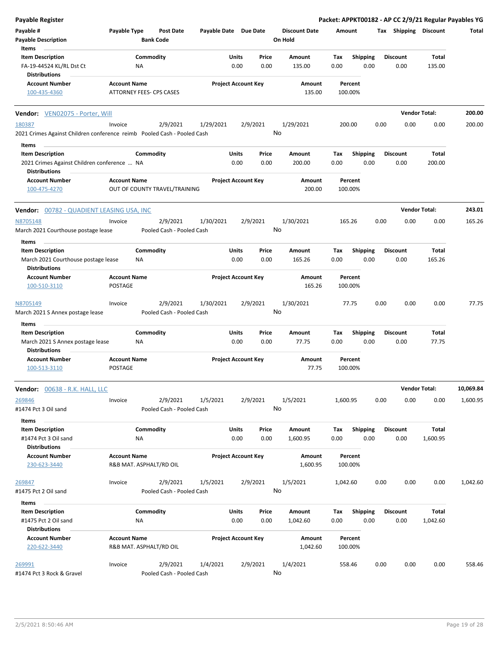| <b>Payable Register</b>                                                           |                                |                                       |                       |                            |               |                                 |             |                         |      |                         |                      | Packet: APPKT00182 - AP CC 2/9/21 Regular Payables YG |
|-----------------------------------------------------------------------------------|--------------------------------|---------------------------------------|-----------------------|----------------------------|---------------|---------------------------------|-------------|-------------------------|------|-------------------------|----------------------|-------------------------------------------------------|
| Payable #<br><b>Payable Description</b>                                           | Payable Type                   | <b>Post Date</b><br><b>Bank Code</b>  | Payable Date Due Date |                            |               | <b>Discount Date</b><br>On Hold | Amount      |                         |      | Tax Shipping Discount   |                      | Total                                                 |
| Items                                                                             |                                |                                       |                       |                            |               |                                 |             |                         |      |                         |                      |                                                       |
| <b>Item Description</b>                                                           |                                | Commodity                             |                       | <b>Units</b>               | Price         | Amount                          | Tax         | <b>Shipping</b>         |      | <b>Discount</b>         | Total                |                                                       |
| FA-19-44524 KL/RL Dst Ct                                                          |                                | NA                                    |                       | 0.00                       | 0.00          | 135.00                          | 0.00        | 0.00                    |      | 0.00                    | 135.00               |                                                       |
| <b>Distributions</b>                                                              |                                |                                       |                       |                            |               |                                 |             |                         |      |                         |                      |                                                       |
| <b>Account Number</b>                                                             | <b>Account Name</b>            |                                       |                       | <b>Project Account Key</b> |               | Amount                          |             | Percent                 |      |                         |                      |                                                       |
| 100-435-4360                                                                      |                                | ATTORNEY FEES- CPS CASES              |                       |                            |               | 135.00                          |             | 100.00%                 |      |                         |                      |                                                       |
| Vendor: VEN02075 - Porter, Will                                                   |                                |                                       |                       |                            |               |                                 |             |                         |      |                         | <b>Vendor Total:</b> | 200.00                                                |
| 180387<br>2021 Crimes Against Children conference reimb Pooled Cash - Pooled Cash | Invoice                        | 2/9/2021                              | 1/29/2021             |                            | 2/9/2021      | 1/29/2021<br>No                 |             | 200.00                  | 0.00 | 0.00                    | 0.00                 | 200.00                                                |
| Items                                                                             |                                |                                       |                       |                            |               |                                 |             |                         |      |                         |                      |                                                       |
| <b>Item Description</b>                                                           |                                | Commodity                             |                       | <b>Units</b>               | Price         | Amount                          | Tax         | <b>Shipping</b>         |      | <b>Discount</b>         | Total                |                                                       |
| 2021 Crimes Against Children conference  NA<br><b>Distributions</b>               |                                |                                       |                       | 0.00                       | 0.00          | 200.00                          | 0.00        | 0.00                    |      | 0.00                    | 200.00               |                                                       |
| <b>Account Number</b>                                                             | <b>Account Name</b>            |                                       |                       | <b>Project Account Key</b> |               | Amount                          |             | Percent                 |      |                         |                      |                                                       |
| 100-475-4270                                                                      |                                | OUT OF COUNTY TRAVEL/TRAINING         |                       |                            |               | 200.00                          |             | 100.00%                 |      |                         |                      |                                                       |
| Vendor: 00782 - QUADIENT LEASING USA, INC                                         |                                |                                       |                       |                            |               |                                 |             |                         |      |                         | <b>Vendor Total:</b> | 243.01                                                |
| N8705148                                                                          | Invoice                        | 2/9/2021                              | 1/30/2021             |                            | 2/9/2021      | 1/30/2021                       |             | 165.26                  | 0.00 | 0.00                    | 0.00                 | 165.26                                                |
| March 2021 Courthouse postage lease                                               |                                | Pooled Cash - Pooled Cash             |                       |                            |               | No                              |             |                         |      |                         |                      |                                                       |
| Items                                                                             |                                |                                       |                       |                            |               |                                 |             |                         |      |                         |                      |                                                       |
| <b>Item Description</b>                                                           |                                | Commodity                             |                       | Units                      | Price         | Amount                          | Tax         | <b>Shipping</b>         |      | <b>Discount</b>         | Total                |                                                       |
| March 2021 Courthouse postage lease<br><b>Distributions</b>                       |                                | ΝA                                    |                       | 0.00                       | 0.00          | 165.26                          | 0.00        | 0.00                    |      | 0.00                    | 165.26               |                                                       |
| <b>Account Number</b><br>100-510-3110                                             | <b>Account Name</b><br>POSTAGE |                                       |                       | <b>Project Account Key</b> |               | Amount<br>165.26                |             | Percent<br>100.00%      |      |                         |                      |                                                       |
| N8705149                                                                          | Invoice                        | 2/9/2021                              | 1/30/2021             |                            | 2/9/2021      | 1/30/2021                       |             | 77.75                   | 0.00 | 0.00                    | 0.00                 | 77.75                                                 |
| March 2021 S Annex postage lease                                                  |                                | Pooled Cash - Pooled Cash             |                       |                            |               | No                              |             |                         |      |                         |                      |                                                       |
| Items                                                                             |                                |                                       |                       |                            |               |                                 |             |                         |      |                         |                      |                                                       |
| <b>Item Description</b>                                                           |                                | Commodity                             |                       | Units                      | Price         | Amount                          | Tax         | <b>Shipping</b>         |      | <b>Discount</b>         | Total                |                                                       |
| March 2021 S Annex postage lease<br><b>Distributions</b>                          |                                | NA                                    |                       | 0.00                       | 0.00          | 77.75                           | 0.00        | 0.00                    |      | 0.00                    | 77.75                |                                                       |
| <b>Account Number</b><br>100-513-3110                                             | <b>Account Name</b><br>POSTAGE |                                       |                       | <b>Project Account Key</b> |               | Amount<br>77.75                 |             | Percent<br>100.00%      |      |                         |                      |                                                       |
| Vendor:<br><u>00638 - R.K. HALL, LLC</u>                                          |                                |                                       |                       |                            |               |                                 |             |                         |      |                         | <b>Vendor Total:</b> | 10,069.84                                             |
| 269846<br>#1474 Pct 3 Oil sand                                                    | Invoice                        | 2/9/2021<br>Pooled Cash - Pooled Cash | 1/5/2021              |                            | 2/9/2021      | 1/5/2021<br>No                  | 1,600.95    |                         | 0.00 | 0.00                    | 0.00                 | 1,600.95                                              |
| Items                                                                             |                                |                                       |                       |                            |               |                                 |             |                         |      |                         |                      |                                                       |
| <b>Item Description</b><br>#1474 Pct 3 Oil sand                                   |                                | Commodity<br>ΝA                       |                       | Units<br>0.00              | Price<br>0.00 | Amount<br>1,600.95              | Tax<br>0.00 | <b>Shipping</b><br>0.00 |      | <b>Discount</b><br>0.00 | Total<br>1,600.95    |                                                       |
| <b>Distributions</b>                                                              |                                |                                       |                       |                            |               |                                 |             |                         |      |                         |                      |                                                       |
| <b>Account Number</b><br>230-623-3440                                             | <b>Account Name</b>            | R&B MAT. ASPHALT/RD OIL               |                       | <b>Project Account Key</b> |               | Amount<br>1,600.95              |             | Percent<br>100.00%      |      |                         |                      |                                                       |
| 269847                                                                            | Invoice                        | 2/9/2021                              | 1/5/2021              |                            | 2/9/2021      | 1/5/2021                        | 1,042.60    |                         | 0.00 | 0.00                    | 0.00                 | 1,042.60                                              |
| #1475 Pct 2 Oil sand                                                              |                                | Pooled Cash - Pooled Cash             |                       |                            |               | No                              |             |                         |      |                         |                      |                                                       |
|                                                                                   |                                |                                       |                       |                            |               |                                 |             |                         |      |                         |                      |                                                       |
| Items                                                                             |                                |                                       |                       |                            |               |                                 |             |                         |      |                         |                      |                                                       |
| <b>Item Description</b><br>#1475 Pct 2 Oil sand<br><b>Distributions</b>           |                                | Commodity<br>NA                       |                       | <b>Units</b><br>0.00       | Price<br>0.00 | Amount<br>1,042.60              | Tax<br>0.00 | <b>Shipping</b><br>0.00 |      | <b>Discount</b><br>0.00 | Total<br>1,042.60    |                                                       |
|                                                                                   | <b>Account Name</b>            |                                       |                       |                            |               |                                 |             |                         |      |                         |                      |                                                       |
| <b>Account Number</b><br>220-622-3440                                             |                                | R&B MAT. ASPHALT/RD OIL               |                       | <b>Project Account Key</b> |               | Amount<br>1,042.60              |             | Percent<br>100.00%      |      |                         |                      |                                                       |
| 269991<br>#1474 Pct 3 Rock & Gravel                                               | Invoice                        | 2/9/2021<br>Pooled Cash - Pooled Cash | 1/4/2021              |                            | 2/9/2021      | 1/4/2021<br>No                  |             | 558.46                  | 0.00 | 0.00                    | 0.00                 | 558.46                                                |
|                                                                                   |                                |                                       |                       |                            |               |                                 |             |                         |      |                         |                      |                                                       |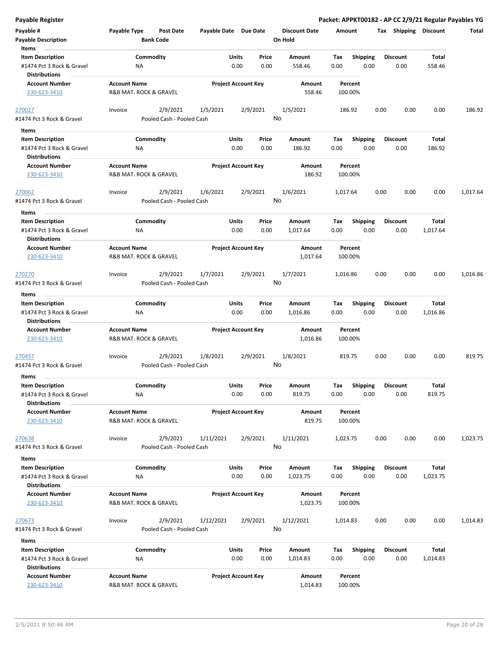|  | Payable Register |
|--|------------------|

| Payable Register                                                                      |                     |                                       |                       |                            |                |                                 |             |                         |      |                         |                   | Packet: APPKT00182 - AP CC 2/9/21 Regular Payables YG |
|---------------------------------------------------------------------------------------|---------------------|---------------------------------------|-----------------------|----------------------------|----------------|---------------------------------|-------------|-------------------------|------|-------------------------|-------------------|-------------------------------------------------------|
| Payable #<br><b>Payable Description</b>                                               | Payable Type        | Post Date<br><b>Bank Code</b>         | Payable Date Due Date |                            |                | <b>Discount Date</b><br>On Hold | Amount      |                         |      | Tax Shipping Discount   |                   | Total                                                 |
| Items<br><b>Item Description</b><br>#1474 Pct 3 Rock & Gravel                         |                     | Commodity<br>ΝA                       |                       | Units<br>0.00              | Price<br>0.00  | <b>Amount</b><br>558.46         | Tax<br>0.00 | <b>Shipping</b><br>0.00 |      | <b>Discount</b><br>0.00 | Total<br>558.46   |                                                       |
| <b>Distributions</b><br><b>Account Number</b><br>230-623-3410                         | <b>Account Name</b> | R&B MAT. ROCK & GRAVEL                |                       | <b>Project Account Key</b> |                | Amount<br>558.46                | 100.00%     | Percent                 |      |                         |                   |                                                       |
| 270027<br>#1474 Pct 3 Rock & Gravel                                                   | Invoice             | 2/9/2021<br>Pooled Cash - Pooled Cash | 1/5/2021              |                            | 2/9/2021<br>No | 1/5/2021                        | 186.92      |                         | 0.00 | 0.00                    | 0.00              | 186.92                                                |
| Items                                                                                 |                     |                                       |                       |                            |                |                                 |             |                         |      |                         |                   |                                                       |
| <b>Item Description</b><br>#1474 Pct 3 Rock & Gravel<br><b>Distributions</b>          |                     | Commodity<br>ΝA                       |                       | Units<br>0.00              | Price<br>0.00  | Amount<br>186.92                | Tax<br>0.00 | <b>Shipping</b><br>0.00 |      | <b>Discount</b><br>0.00 | Total<br>186.92   |                                                       |
| <b>Account Number</b><br>230-623-3410                                                 | <b>Account Name</b> | <b>R&amp;B MAT. ROCK &amp; GRAVEL</b> |                       | <b>Project Account Key</b> |                | Amount<br>186.92                | 100.00%     | Percent                 |      |                         |                   |                                                       |
| <u> 270062</u><br>#1474 Pct 3 Rock & Gravel                                           | Invoice             | 2/9/2021<br>Pooled Cash - Pooled Cash | 1/6/2021              |                            | 2/9/2021<br>No | 1/6/2021                        | 1,017.64    |                         | 0.00 | 0.00                    | 0.00              | 1,017.64                                              |
| Items<br><b>Item Description</b><br>#1474 Pct 3 Rock & Gravel<br><b>Distributions</b> |                     | Commodity<br>NA                       |                       | Units<br>0.00              | Price<br>0.00  | Amount<br>1,017.64              | Tax<br>0.00 | <b>Shipping</b><br>0.00 |      | <b>Discount</b><br>0.00 | Total<br>1,017.64 |                                                       |
| <b>Account Number</b><br>230-623-3410                                                 | <b>Account Name</b> | R&B MAT. ROCK & GRAVEL                |                       | <b>Project Account Key</b> |                | Amount<br>1,017.64              | 100.00%     | Percent                 |      |                         |                   |                                                       |
| 270270<br>#1474 Pct 3 Rock & Gravel                                                   | Invoice             | 2/9/2021<br>Pooled Cash - Pooled Cash | 1/7/2021              |                            | 2/9/2021<br>No | 1/7/2021                        | 1,016.86    |                         | 0.00 | 0.00                    | 0.00              | 1,016.86                                              |
| Items                                                                                 |                     |                                       |                       |                            |                |                                 |             |                         |      |                         |                   |                                                       |
| <b>Item Description</b><br>#1474 Pct 3 Rock & Gravel<br><b>Distributions</b>          |                     | Commodity<br>ΝA                       |                       | Units<br>0.00              | Price<br>0.00  | Amount<br>1,016.86              | Tax<br>0.00 | <b>Shipping</b><br>0.00 |      | <b>Discount</b><br>0.00 | Total<br>1,016.86 |                                                       |
| <b>Account Number</b><br>230-623-3410                                                 | <b>Account Name</b> | R&B MAT. ROCK & GRAVEL                |                       | <b>Project Account Key</b> |                | Amount<br>1,016.86              | 100.00%     | Percent                 |      |                         |                   |                                                       |
| <u> 270457</u><br>#1474 Pct 3 Rock & Gravel                                           | Invoice             | 2/9/2021<br>Pooled Cash - Pooled Cash | 1/8/2021              |                            | 2/9/2021<br>No | 1/8/2021                        | 819.75      |                         | 0.00 | 0.00                    | 0.00              | 819.75                                                |
| Items                                                                                 |                     |                                       |                       |                            |                |                                 |             |                         |      |                         |                   |                                                       |
| <b>Item Description</b><br>#1474 Pct 3 Rock & Gravel<br><b>Distributions</b>          |                     | Commodity<br><b>NA</b>                |                       | Units<br>0.00              | Price<br>0.00  | Amount<br>819.75                | Tax<br>0.00 | Shipping<br>0.00        |      | <b>Discount</b><br>0.00 | Total<br>819.75   |                                                       |
| <b>Account Number</b><br>230-623-3410                                                 | <b>Account Name</b> | R&B MAT. ROCK & GRAVEL                |                       | <b>Project Account Key</b> |                | Amount<br>819.75                | 100.00%     | Percent                 |      |                         |                   |                                                       |
| 270638<br>#1474 Pct 3 Rock & Gravel                                                   | Invoice             | 2/9/2021<br>Pooled Cash - Pooled Cash | 1/11/2021             |                            | 2/9/2021<br>No | 1/11/2021                       | 1,023.75    |                         | 0.00 | 0.00                    | 0.00              | 1,023.75                                              |
| Items                                                                                 |                     |                                       |                       |                            |                |                                 |             |                         |      |                         |                   |                                                       |
| <b>Item Description</b><br>#1474 Pct 3 Rock & Gravel<br><b>Distributions</b>          |                     | Commodity<br>ΝA                       |                       | Units<br>0.00              | Price<br>0.00  | Amount<br>1,023.75              | Tax<br>0.00 | <b>Shipping</b><br>0.00 |      | <b>Discount</b><br>0.00 | Total<br>1,023.75 |                                                       |
| <b>Account Number</b><br>230-623-3410                                                 | <b>Account Name</b> | R&B MAT. ROCK & GRAVEL                |                       | <b>Project Account Key</b> |                | Amount<br>1,023.75              | 100.00%     | Percent                 |      |                         |                   |                                                       |
| 270673<br>#1474 Pct 3 Rock & Gravel                                                   | Invoice             | 2/9/2021<br>Pooled Cash - Pooled Cash | 1/12/2021             |                            | 2/9/2021<br>No | 1/12/2021                       | 1,014.83    |                         | 0.00 | 0.00                    | 0.00              | 1,014.83                                              |
| Items                                                                                 |                     |                                       |                       |                            |                |                                 |             |                         |      |                         |                   |                                                       |
| <b>Item Description</b><br>#1474 Pct 3 Rock & Gravel<br><b>Distributions</b>          |                     | Commodity<br>ΝA                       |                       | Units<br>0.00              | Price<br>0.00  | Amount<br>1,014.83              | Tax<br>0.00 | <b>Shipping</b><br>0.00 |      | <b>Discount</b><br>0.00 | Total<br>1,014.83 |                                                       |
| <b>Account Number</b><br>230-623-3410                                                 | <b>Account Name</b> | R&B MAT. ROCK & GRAVEL                |                       | <b>Project Account Key</b> |                | Amount<br>1,014.83              | 100.00%     | Percent                 |      |                         |                   |                                                       |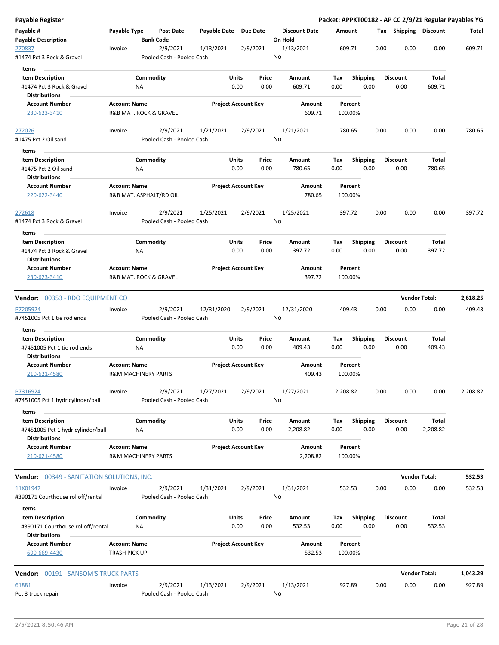| Payable Register                                                              |                                                       |                  |                                       |                       |                            |               |                                 |             |                         |      |                         | Packet: APPKT00182 - AP CC 2/9/21 Regular Payables YG |          |
|-------------------------------------------------------------------------------|-------------------------------------------------------|------------------|---------------------------------------|-----------------------|----------------------------|---------------|---------------------------------|-------------|-------------------------|------|-------------------------|-------------------------------------------------------|----------|
| Payable #<br><b>Payable Description</b>                                       | Payable Type                                          | <b>Bank Code</b> | Post Date                             | Payable Date Due Date |                            |               | <b>Discount Date</b><br>On Hold | Amount      |                         |      | Tax Shipping Discount   |                                                       | Total    |
| 270837<br>#1474 Pct 3 Rock & Gravel                                           | Invoice                                               |                  | 2/9/2021<br>Pooled Cash - Pooled Cash | 1/13/2021             |                            | 2/9/2021      | 1/13/2021<br>No                 | 609.71      |                         | 0.00 | 0.00                    | 0.00                                                  | 609.71   |
|                                                                               |                                                       |                  |                                       |                       |                            |               |                                 |             |                         |      |                         |                                                       |          |
| <b>Items</b>                                                                  |                                                       |                  |                                       |                       |                            |               |                                 |             |                         |      |                         |                                                       |          |
| <b>Item Description</b><br>#1474 Pct 3 Rock & Gravel<br><b>Distributions</b>  |                                                       | Commodity<br>ΝA  |                                       |                       | Units<br>0.00              | Price<br>0.00 | Amount<br>609.71                | Tax<br>0.00 | <b>Shipping</b><br>0.00 |      | <b>Discount</b><br>0.00 | Total<br>609.71                                       |          |
|                                                                               |                                                       |                  |                                       |                       |                            |               |                                 |             |                         |      |                         |                                                       |          |
| <b>Account Number</b><br>230-623-3410                                         | <b>Account Name</b><br>R&B MAT. ROCK & GRAVEL         |                  |                                       |                       | <b>Project Account Key</b> |               | Amount<br>609.71                | 100.00%     | Percent                 |      |                         |                                                       |          |
| 272026                                                                        | Invoice                                               |                  | 2/9/2021                              | 1/21/2021             |                            | 2/9/2021      | 1/21/2021                       | 780.65      |                         | 0.00 | 0.00                    | 0.00                                                  | 780.65   |
| #1475 Pct 2 Oil sand                                                          |                                                       |                  | Pooled Cash - Pooled Cash             |                       |                            |               | No                              |             |                         |      |                         |                                                       |          |
| Items                                                                         |                                                       |                  |                                       |                       |                            |               |                                 |             |                         |      |                         |                                                       |          |
| <b>Item Description</b>                                                       |                                                       | Commodity        |                                       |                       | <b>Units</b>               | Price         | Amount                          | Tax         | <b>Shipping</b>         |      | <b>Discount</b>         | Total                                                 |          |
| #1475 Pct 2 Oil sand                                                          |                                                       | NA               |                                       |                       | 0.00                       | 0.00          | 780.65                          | 0.00        | 0.00                    |      | 0.00                    | 780.65                                                |          |
| <b>Distributions</b>                                                          |                                                       |                  |                                       |                       |                            |               |                                 |             |                         |      |                         |                                                       |          |
| <b>Account Number</b><br>220-622-3440                                         | <b>Account Name</b><br>R&B MAT. ASPHALT/RD OIL        |                  |                                       |                       | <b>Project Account Key</b> |               | Amount<br>780.65                | 100.00%     | Percent                 |      |                         |                                                       |          |
| 272618<br>#1474 Pct 3 Rock & Gravel                                           | Invoice                                               |                  | 2/9/2021<br>Pooled Cash - Pooled Cash | 1/25/2021             |                            | 2/9/2021      | 1/25/2021<br>No                 | 397.72      |                         | 0.00 | 0.00                    | 0.00                                                  | 397.72   |
|                                                                               |                                                       |                  |                                       |                       |                            |               |                                 |             |                         |      |                         |                                                       |          |
| Items                                                                         |                                                       |                  |                                       |                       |                            |               |                                 |             |                         |      |                         |                                                       |          |
| <b>Item Description</b>                                                       |                                                       | Commodity        |                                       |                       | Units                      | Price         | Amount                          | Тах         | Shipping                |      | <b>Discount</b>         | Total                                                 |          |
| #1474 Pct 3 Rock & Gravel<br><b>Distributions</b>                             |                                                       | ΝA               |                                       |                       | 0.00                       | 0.00          | 397.72                          | 0.00        | 0.00                    |      | 0.00                    | 397.72                                                |          |
| <b>Account Number</b><br>230-623-3410                                         | <b>Account Name</b><br>R&B MAT. ROCK & GRAVEL         |                  |                                       |                       | <b>Project Account Key</b> |               | Amount<br>397.72                | 100.00%     | Percent                 |      |                         |                                                       |          |
| Vendor: 00353 - RDO EQUIPMENT CO                                              |                                                       |                  |                                       |                       |                            |               |                                 |             |                         |      |                         | <b>Vendor Total:</b>                                  | 2,618.25 |
| P7205924                                                                      | Invoice                                               |                  | 2/9/2021                              | 12/31/2020            |                            | 2/9/2021      | 12/31/2020                      | 409.43      |                         | 0.00 | 0.00                    | 0.00                                                  | 409.43   |
| #7451005 Pct 1 tie rod ends                                                   |                                                       |                  | Pooled Cash - Pooled Cash             |                       |                            |               | No                              |             |                         |      |                         |                                                       |          |
| Items                                                                         |                                                       |                  |                                       |                       |                            |               |                                 |             |                         |      |                         |                                                       |          |
| <b>Item Description</b>                                                       |                                                       | Commodity        |                                       |                       | Units                      | Price         | Amount                          | Tax         | Shipping                |      | <b>Discount</b>         | Total                                                 |          |
| #7451005 Pct 1 tie rod ends<br>Distributions                                  |                                                       | ΝA               |                                       |                       | 0.00                       | 0.00          | 409.43                          | 0.00        | 0.00                    |      | 0.00                    | 409.43                                                |          |
| <b>Account Number</b><br>210-621-4580                                         | <b>Account Name</b><br><b>R&amp;M MACHINERY PARTS</b> |                  |                                       |                       | <b>Project Account Key</b> |               | Amount<br>409.43                | 100.00%     | Percent                 |      |                         |                                                       |          |
| P7316924                                                                      | Invoice                                               |                  | 2/9/2021                              | 1/27/2021             |                            | 2/9/2021      | 1/27/2021                       | 2,208.82    |                         | 0.00 | 0.00                    | 0.00                                                  | 2,208.82 |
| #7451005 Pct 1 hydr cylinder/ball                                             |                                                       |                  | Pooled Cash - Pooled Cash             |                       |                            |               | No                              |             |                         |      |                         |                                                       |          |
| Items                                                                         |                                                       | Commodity        |                                       |                       |                            |               |                                 |             |                         |      |                         |                                                       |          |
| <b>Item Description</b><br>#7451005 Pct 1 hydr cylinder/ball<br>Distributions |                                                       | ΝA               |                                       |                       | Units<br>0.00              | Price<br>0.00 | Amount<br>2,208.82              | Тах<br>0.00 | Shipping<br>0.00        |      | <b>Discount</b><br>0.00 | Total<br>2,208.82                                     |          |
| <b>Account Number</b><br>210-621-4580                                         | <b>Account Name</b><br><b>R&amp;M MACHINERY PARTS</b> |                  |                                       |                       | <b>Project Account Key</b> |               | Amount<br>2,208.82              | 100.00%     | Percent                 |      |                         |                                                       |          |
| <b>Vendor:</b> 00349 - SANITATION SOLUTIONS, INC.                             |                                                       |                  |                                       |                       |                            |               |                                 |             |                         |      |                         | <b>Vendor Total:</b>                                  | 532.53   |
| 11X01947                                                                      | Invoice                                               |                  | 2/9/2021                              | 1/31/2021             |                            | 2/9/2021      | 1/31/2021                       | 532.53      |                         | 0.00 | 0.00                    | 0.00                                                  | 532.53   |
| #390171 Courthouse rolloff/rental<br>Items                                    |                                                       |                  | Pooled Cash - Pooled Cash             |                       |                            |               | No                              |             |                         |      |                         |                                                       |          |
| <b>Item Description</b>                                                       |                                                       | Commodity        |                                       |                       | Units                      | Price         | Amount                          | Tax         | <b>Shipping</b>         |      | <b>Discount</b>         | Total                                                 |          |
| #390171 Courthouse rolloff/rental<br><b>Distributions</b>                     |                                                       | ΝA               |                                       |                       | 0.00                       | 0.00          | 532.53                          | 0.00        | 0.00                    |      | 0.00                    | 532.53                                                |          |
| <b>Account Number</b><br>690-669-4430                                         | <b>Account Name</b><br>TRASH PICK UP                  |                  |                                       |                       | <b>Project Account Key</b> |               | Amount<br>532.53                | 100.00%     | Percent                 |      |                         |                                                       |          |
| <b>Vendor:</b> 00191 - SANSOM'S TRUCK PARTS                                   |                                                       |                  |                                       |                       |                            |               |                                 |             |                         |      |                         | <b>Vendor Total:</b>                                  | 1,043.29 |
| 61881                                                                         | Invoice                                               |                  | 2/9/2021                              | 1/13/2021             |                            | 2/9/2021      | 1/13/2021                       | 927.89      |                         | 0.00 | 0.00                    | 0.00                                                  | 927.89   |
| Pct 3 truck repair                                                            |                                                       |                  | Pooled Cash - Pooled Cash             |                       |                            |               | No                              |             |                         |      |                         |                                                       |          |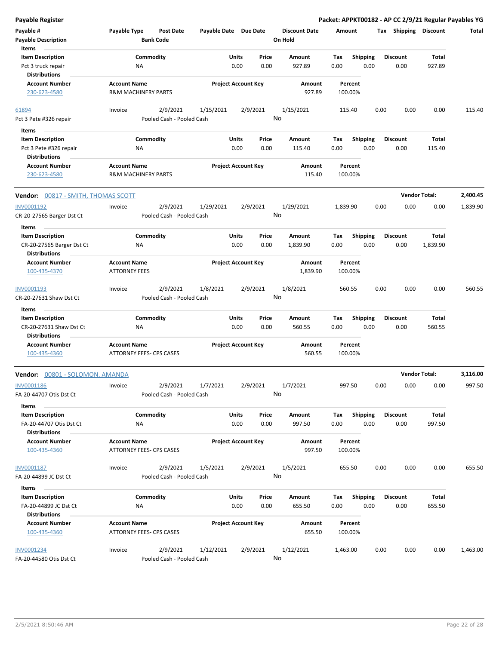| Payable Register                                                         |                                                        |                                       |                            |               |                |                                 |             |                         |      |                         | Packet: APPKT00182 - AP CC 2/9/21 Regular Payables YG |          |
|--------------------------------------------------------------------------|--------------------------------------------------------|---------------------------------------|----------------------------|---------------|----------------|---------------------------------|-------------|-------------------------|------|-------------------------|-------------------------------------------------------|----------|
| Payable #<br><b>Payable Description</b>                                  | Payable Type                                           | <b>Post Date</b><br><b>Bank Code</b>  | Payable Date Due Date      |               |                | <b>Discount Date</b><br>On Hold | Amount      |                         |      | Tax Shipping Discount   |                                                       | Total    |
| Items<br><b>Item Description</b>                                         |                                                        | Commodity                             |                            | Units         | Price          | Amount                          | Tax         | <b>Shipping</b>         |      | <b>Discount</b>         | <b>Total</b>                                          |          |
| Pct 3 truck repair                                                       | ΝA                                                     |                                       |                            | 0.00          | 0.00           | 927.89                          | 0.00        | 0.00                    |      | 0.00                    | 927.89                                                |          |
| <b>Distributions</b>                                                     |                                                        |                                       |                            |               |                |                                 |             |                         |      |                         |                                                       |          |
| <b>Account Number</b>                                                    | <b>Account Name</b>                                    |                                       | <b>Project Account Key</b> |               |                | Amount                          |             | Percent                 |      |                         |                                                       |          |
| 230-623-4580                                                             | <b>R&amp;M MACHINERY PARTS</b>                         |                                       |                            |               |                | 927.89                          |             | 100.00%                 |      |                         |                                                       |          |
| 61894                                                                    | Invoice                                                | 2/9/2021                              | 1/15/2021                  |               | 2/9/2021       | 1/15/2021                       | 115.40      |                         | 0.00 | 0.00                    | 0.00                                                  | 115.40   |
| Pct 3 Pete #326 repair                                                   |                                                        | Pooled Cash - Pooled Cash             |                            |               |                | No                              |             |                         |      |                         |                                                       |          |
| Items                                                                    |                                                        |                                       |                            |               |                |                                 |             |                         |      |                         |                                                       |          |
| <b>Item Description</b>                                                  |                                                        | Commodity                             |                            | Units         | Price          | Amount                          | Tax         | <b>Shipping</b>         |      | <b>Discount</b>         | <b>Total</b>                                          |          |
| Pct 3 Pete #326 repair                                                   | ΝA                                                     |                                       |                            | 0.00          | 0.00           | 115.40                          | 0.00        | 0.00                    |      | 0.00                    | 115.40                                                |          |
| <b>Distributions</b>                                                     |                                                        |                                       |                            |               |                |                                 |             |                         |      |                         |                                                       |          |
| <b>Account Number</b><br>230-623-4580                                    | <b>Account Name</b><br><b>R&amp;M MACHINERY PARTS</b>  |                                       | <b>Project Account Key</b> |               |                | Amount<br>115.40                |             | Percent<br>100.00%      |      |                         |                                                       |          |
| Vendor: 00817 - SMITH, THOMAS SCOTT                                      |                                                        |                                       |                            |               |                |                                 |             |                         |      |                         | <b>Vendor Total:</b>                                  | 2,400.45 |
| INV0001192<br>CR-20-27565 Barger Dst Ct                                  | Invoice                                                | 2/9/2021<br>Pooled Cash - Pooled Cash | 1/29/2021                  |               | 2/9/2021<br>No | 1/29/2021                       | 1,839.90    |                         | 0.00 | 0.00                    | 0.00                                                  | 1,839.90 |
| Items                                                                    |                                                        |                                       |                            |               |                |                                 |             |                         |      |                         |                                                       |          |
| <b>Item Description</b>                                                  |                                                        | Commodity                             |                            | Units         | Price          | Amount                          | Тах         | <b>Shipping</b>         |      | <b>Discount</b>         | Total                                                 |          |
| CR-20-27565 Barger Dst Ct                                                | ΝA                                                     |                                       |                            | 0.00          | 0.00           | 1,839.90                        | 0.00        | 0.00                    |      | 0.00                    | 1,839.90                                              |          |
| <b>Distributions</b><br><b>Account Number</b>                            | <b>Account Name</b>                                    |                                       | <b>Project Account Key</b> |               |                | Amount                          |             | Percent                 |      |                         |                                                       |          |
| 100-435-4370                                                             | <b>ATTORNEY FEES</b>                                   |                                       |                            |               |                | 1,839.90                        |             | 100.00%                 |      |                         |                                                       |          |
| INV0001193                                                               | Invoice                                                | 2/9/2021                              | 1/8/2021                   |               | 2/9/2021       | 1/8/2021                        | 560.55      |                         | 0.00 | 0.00                    | 0.00                                                  | 560.55   |
| CR-20-27631 Shaw Dst Ct                                                  |                                                        | Pooled Cash - Pooled Cash             |                            |               |                | No                              |             |                         |      |                         |                                                       |          |
| Items                                                                    |                                                        |                                       |                            |               |                |                                 |             |                         |      |                         |                                                       |          |
| <b>Item Description</b>                                                  |                                                        | Commodity                             |                            | Units         | Price          | Amount                          | Tax         | <b>Shipping</b>         |      | <b>Discount</b>         | <b>Total</b>                                          |          |
| CR-20-27631 Shaw Dst Ct<br><b>Distributions</b>                          | ΝA                                                     |                                       |                            | 0.00          | 0.00           | 560.55                          | 0.00        | 0.00                    |      | 0.00                    | 560.55                                                |          |
| <b>Account Number</b><br>100-435-4360                                    | <b>Account Name</b><br><b>ATTORNEY FEES- CPS CASES</b> |                                       | <b>Project Account Key</b> |               |                | Amount<br>560.55                |             | Percent<br>100.00%      |      |                         |                                                       |          |
| Vendor: 00801 - SOLOMON, AMANDA                                          |                                                        |                                       |                            |               |                |                                 |             |                         |      |                         | <b>Vendor Total:</b>                                  | 3,116.00 |
| INV0001186                                                               | Invoice                                                | 2/9/2021                              | 1/7/2021                   |               | 2/9/2021       | 1/7/2021                        | 997.50      |                         | 0.00 | 0.00                    | 0.00                                                  | 997.50   |
| FA-20-44707 Otis Dst Ct                                                  |                                                        | Pooled Cash - Pooled Cash             |                            |               | No             |                                 |             |                         |      |                         |                                                       |          |
| Items                                                                    |                                                        |                                       |                            |               |                |                                 |             |                         |      |                         |                                                       |          |
| <b>Item Description</b><br>FA-20-44707 Otis Dst Ct                       | NA                                                     | Commodity                             |                            | Units<br>0.00 | Price<br>0.00  | Amount<br>997.50                | Tax<br>0.00 | <b>Shipping</b><br>0.00 |      | <b>Discount</b><br>0.00 | Total<br>997.50                                       |          |
| <b>Distributions</b><br><b>Account Number</b>                            | <b>Account Name</b>                                    |                                       | <b>Project Account Key</b> |               |                | Amount                          |             | Percent                 |      |                         |                                                       |          |
| 100-435-4360                                                             | ATTORNEY FEES- CPS CASES                               |                                       |                            |               |                | 997.50                          |             | 100.00%                 |      |                         |                                                       |          |
| INV0001187                                                               | Invoice                                                | 2/9/2021                              | 1/5/2021                   |               | 2/9/2021       | 1/5/2021                        |             | 655.50                  | 0.00 | 0.00                    | 0.00                                                  | 655.50   |
| FA-20-44899 JC Dst Ct                                                    |                                                        | Pooled Cash - Pooled Cash             |                            |               | No             |                                 |             |                         |      |                         |                                                       |          |
| Items                                                                    |                                                        |                                       |                            |               |                |                                 |             |                         |      |                         |                                                       |          |
| <b>Item Description</b><br>FA-20-44899 JC Dst Ct<br><b>Distributions</b> | ΝA                                                     | Commodity                             |                            | Units<br>0.00 | Price<br>0.00  | Amount<br>655.50                | Tax<br>0.00 | <b>Shipping</b><br>0.00 |      | <b>Discount</b><br>0.00 | Total<br>655.50                                       |          |
| <b>Account Number</b><br>100-435-4360                                    | <b>Account Name</b><br>ATTORNEY FEES- CPS CASES        |                                       | <b>Project Account Key</b> |               |                | Amount<br>655.50                |             | Percent<br>100.00%      |      |                         |                                                       |          |
| <b>INV0001234</b><br>FA-20-44580 Otis Dst Ct                             | Invoice                                                | 2/9/2021<br>Pooled Cash - Pooled Cash | 1/12/2021                  |               | 2/9/2021       | 1/12/2021<br>No                 | 1,463.00    |                         | 0.00 | 0.00                    | 0.00                                                  | 1,463.00 |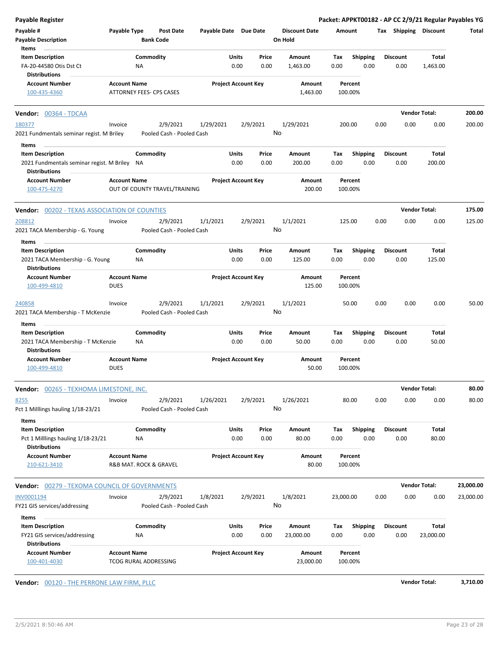| Payable Register                                                                     |                                              |                  |                                       |                       |               |                            |               |                                 |             |                         |      |                         |                      | Packet: APPKT00182 - AP CC 2/9/21 Regular Payables YG |
|--------------------------------------------------------------------------------------|----------------------------------------------|------------------|---------------------------------------|-----------------------|---------------|----------------------------|---------------|---------------------------------|-------------|-------------------------|------|-------------------------|----------------------|-------------------------------------------------------|
| Payable #<br><b>Payable Description</b>                                              | Payable Type                                 | <b>Bank Code</b> | <b>Post Date</b>                      | Payable Date Due Date |               |                            |               | <b>Discount Date</b><br>On Hold | Amount      |                         |      | Tax Shipping Discount   |                      | Total                                                 |
| Items                                                                                |                                              |                  |                                       |                       |               |                            |               |                                 |             |                         |      |                         |                      |                                                       |
| <b>Item Description</b>                                                              |                                              | Commodity        |                                       |                       | Units         |                            | Price         | Amount                          | Tax         | <b>Shipping</b>         |      | <b>Discount</b>         | Total                |                                                       |
| FA-20-44580 Otis Dst Ct                                                              |                                              | NA               |                                       |                       | 0.00          |                            | 0.00          | 1,463.00                        | 0.00        | 0.00                    |      | 0.00                    | 1,463.00             |                                                       |
| <b>Distributions</b>                                                                 |                                              |                  |                                       |                       |               |                            |               |                                 |             |                         |      |                         |                      |                                                       |
| <b>Account Number</b>                                                                | <b>Account Name</b>                          |                  |                                       |                       |               | <b>Project Account Key</b> |               | Amount                          |             | Percent                 |      |                         |                      |                                                       |
| 100-435-4360                                                                         | ATTORNEY FEES- CPS CASES                     |                  |                                       |                       |               |                            |               | 1,463.00                        |             | 100.00%                 |      |                         |                      |                                                       |
| Vendor: 00364 - TDCAA                                                                |                                              |                  |                                       |                       |               |                            |               |                                 |             |                         |      |                         | <b>Vendor Total:</b> | 200.00                                                |
| 180377<br>2021 Fundmentals seminar regist. M Briley                                  | Invoice                                      |                  | 2/9/2021<br>Pooled Cash - Pooled Cash | 1/29/2021             |               | 2/9/2021                   |               | 1/29/2021<br>No                 |             | 200.00                  | 0.00 | 0.00                    | 0.00                 | 200.00                                                |
|                                                                                      |                                              |                  |                                       |                       |               |                            |               |                                 |             |                         |      |                         |                      |                                                       |
| Items<br><b>Item Description</b>                                                     |                                              | Commodity        |                                       |                       | Units         |                            | Price         | Amount                          | Tax         | <b>Shipping</b>         |      | <b>Discount</b>         | Total                |                                                       |
| 2021 Fundmentals seminar regist. M Briley NA<br><b>Distributions</b>                 |                                              |                  |                                       |                       | 0.00          |                            | 0.00          | 200.00                          | 0.00        | 0.00                    |      | 0.00                    | 200.00               |                                                       |
| <b>Account Number</b><br>100-475-4270                                                | <b>Account Name</b>                          |                  | OUT OF COUNTY TRAVEL/TRAINING         |                       |               | <b>Project Account Key</b> |               | Amount<br>200.00                |             | Percent<br>100.00%      |      |                         |                      |                                                       |
| <b>Vendor: 00202 - TEXAS ASSOCIATION OF COUNTIES</b>                                 |                                              |                  |                                       |                       |               |                            |               |                                 |             |                         |      |                         | <b>Vendor Total:</b> | 175.00                                                |
| 208812                                                                               | Invoice                                      |                  | 2/9/2021                              | 1/1/2021              |               | 2/9/2021                   |               | 1/1/2021                        |             | 125.00                  | 0.00 | 0.00                    | 0.00                 | 125.00                                                |
| 2021 TACA Membership - G. Young                                                      |                                              |                  | Pooled Cash - Pooled Cash             |                       |               |                            |               | No                              |             |                         |      |                         |                      |                                                       |
| Items                                                                                |                                              |                  |                                       |                       |               |                            |               |                                 |             |                         |      |                         |                      |                                                       |
| <b>Item Description</b>                                                              |                                              | Commodity        |                                       |                       | Units         |                            | Price         | Amount                          | Tax         | <b>Shipping</b>         |      | <b>Discount</b>         | Total                |                                                       |
| 2021 TACA Membership - G. Young<br><b>Distributions</b>                              |                                              | ΝA               |                                       |                       | 0.00          |                            | 0.00          | 125.00                          | 0.00        | 0.00                    |      | 0.00                    | 125.00               |                                                       |
| <b>Account Number</b>                                                                | <b>Account Name</b>                          |                  |                                       |                       |               | <b>Project Account Key</b> |               | Amount                          |             | Percent                 |      |                         |                      |                                                       |
| 100-499-4810                                                                         | <b>DUES</b>                                  |                  |                                       |                       |               |                            |               | 125.00                          |             | 100.00%                 |      |                         |                      |                                                       |
| 240858<br>2021 TACA Membership - T McKenzie                                          | Invoice                                      |                  | 2/9/2021<br>Pooled Cash - Pooled Cash | 1/1/2021              |               | 2/9/2021                   |               | 1/1/2021<br>No                  |             | 50.00                   | 0.00 | 0.00                    | 0.00                 | 50.00                                                 |
| Items                                                                                |                                              |                  |                                       |                       |               |                            |               |                                 |             |                         |      |                         |                      |                                                       |
| <b>Item Description</b><br>2021 TACA Membership - T McKenzie<br><b>Distributions</b> |                                              | Commodity<br>NA  |                                       |                       | Units<br>0.00 |                            | Price<br>0.00 | Amount<br>50.00                 | Tax<br>0.00 | <b>Shipping</b><br>0.00 |      | <b>Discount</b><br>0.00 | Total<br>50.00       |                                                       |
| <b>Account Number</b><br>100-499-4810                                                | <b>Account Name</b><br><b>DUES</b>           |                  |                                       |                       |               | <b>Project Account Key</b> |               | Amount<br>50.00                 |             | Percent<br>100.00%      |      |                         |                      |                                                       |
| <b>Vendor:</b> 00265 - TEXHOMA LIMESTONE, INC.                                       |                                              |                  |                                       |                       |               |                            |               |                                 |             |                         |      |                         | <b>Vendor Total:</b> | 80.00                                                 |
| 8255<br>Pct 1 Milllings hauling 1/18-23/21<br>Items                                  | Invoice                                      |                  | 2/9/2021<br>Pooled Cash - Pooled Cash | 1/26/2021             |               | 2/9/2021                   |               | 1/26/2021<br>No                 |             | 80.00                   | 0.00 | 0.00                    | 0.00                 | 80.00                                                 |
| <b>Item Description</b>                                                              |                                              | Commodity        |                                       |                       | Units         |                            | Price         | Amount                          | Tax         | <b>Shipping</b>         |      | <b>Discount</b>         | Total                |                                                       |
| Pct 1 Milllings hauling 1/18-23/21<br><b>Distributions</b>                           |                                              | ΝA               |                                       |                       | 0.00          |                            | 0.00          | 80.00                           | 0.00        | 0.00                    |      | 0.00                    | 80.00                |                                                       |
| <b>Account Number</b>                                                                | <b>Account Name</b>                          |                  |                                       |                       |               | <b>Project Account Key</b> |               | Amount                          |             | Percent                 |      |                         |                      |                                                       |
| 210-621-3410                                                                         | R&B MAT. ROCK & GRAVEL                       |                  |                                       |                       |               |                            |               | 80.00                           |             | 100.00%                 |      |                         |                      |                                                       |
| <b>Vendor:</b> 00279 - TEXOMA COUNCIL OF GOVERNMENTS                                 |                                              |                  |                                       |                       |               |                            |               |                                 |             |                         |      |                         | <b>Vendor Total:</b> | 23,000.00                                             |
| INV0001194                                                                           | Invoice                                      |                  | 2/9/2021                              | 1/8/2021              |               | 2/9/2021                   |               | 1/8/2021                        | 23,000.00   |                         | 0.00 | 0.00                    | 0.00                 | 23,000.00                                             |
| FY21 GIS services/addressing                                                         |                                              |                  | Pooled Cash - Pooled Cash             |                       |               |                            |               | No                              |             |                         |      |                         |                      |                                                       |
| Items                                                                                |                                              |                  |                                       |                       |               |                            |               |                                 |             |                         |      |                         |                      |                                                       |
| <b>Item Description</b>                                                              |                                              | Commodity        |                                       |                       | Units         |                            | Price         | Amount                          | Tax         | Shipping                |      | <b>Discount</b>         | Total                |                                                       |
| FY21 GIS services/addressing<br><b>Distributions</b>                                 |                                              | <b>NA</b>        |                                       |                       | 0.00          |                            | 0.00          | 23,000.00                       | 0.00        | 0.00                    |      | 0.00                    | 23,000.00            |                                                       |
| <b>Account Number</b><br>100-401-4030                                                | <b>Account Name</b><br>TCOG RURAL ADDRESSING |                  |                                       |                       |               | <b>Project Account Key</b> |               | Amount<br>23,000.00             |             | Percent<br>100.00%      |      |                         |                      |                                                       |

**Vendor:**  $\underline{00120}$  - THE PERRONE LAW FIRM, PLLC **Vendor Total: 3,710.00**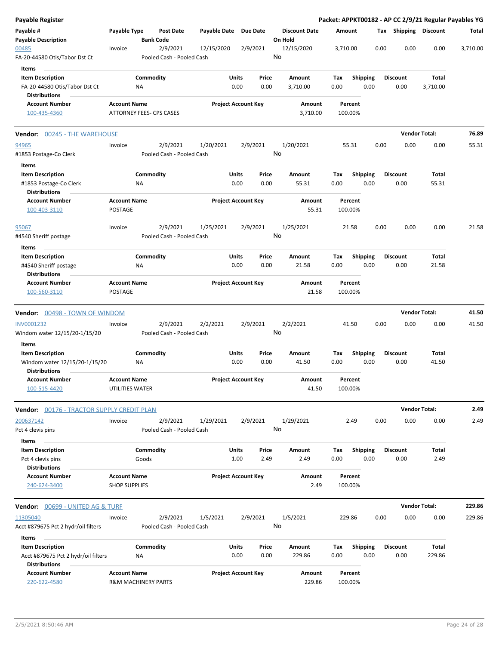| Payable Register                                                                 |                                        |                                |                                       |              |                            |               |                                 |             |                    |      |                 |                      | Packet: APPKT00182 - AP CC 2/9/21 Regular Payables YG |          |
|----------------------------------------------------------------------------------|----------------------------------------|--------------------------------|---------------------------------------|--------------|----------------------------|---------------|---------------------------------|-------------|--------------------|------|-----------------|----------------------|-------------------------------------------------------|----------|
| Payable #<br><b>Payable Description</b>                                          | Payable Type                           | <b>Bank Code</b>               | Post Date                             | Payable Date | <b>Due Date</b>            |               | <b>Discount Date</b><br>On Hold | Amount      |                    |      |                 |                      | Tax Shipping Discount                                 | Total    |
| 00485<br>FA-20-44580 Otis/Tabor Dst Ct                                           | Invoice                                |                                | 2/9/2021<br>Pooled Cash - Pooled Cash | 12/15/2020   | 2/9/2021                   |               | 12/15/2020<br>No                | 3,710.00    |                    |      | 0.00            | 0.00                 | 0.00                                                  | 3,710.00 |
| Items                                                                            |                                        |                                |                                       |              |                            |               |                                 |             |                    |      |                 |                      |                                                       |          |
| <b>Item Description</b><br>FA-20-44580 Otis/Tabor Dst Ct<br><b>Distributions</b> |                                        | Commodity<br>ΝA                |                                       |              | Units<br>0.00              | Price<br>0.00 | Amount<br>3,710.00              | Tax<br>0.00 | <b>Shipping</b>    | 0.00 | <b>Discount</b> | 0.00                 | Total<br>3,710.00                                     |          |
| <b>Account Number</b>                                                            | <b>Account Name</b>                    |                                |                                       |              | <b>Project Account Key</b> |               | Amount                          |             | Percent            |      |                 |                      |                                                       |          |
| 100-435-4360                                                                     |                                        | ATTORNEY FEES- CPS CASES       |                                       |              |                            |               | 3,710.00                        |             | 100.00%            |      |                 |                      |                                                       |          |
| <b>Vendor:</b> 00245 - THE WAREHOUSE                                             |                                        |                                |                                       |              |                            |               |                                 |             |                    |      |                 | <b>Vendor Total:</b> |                                                       | 76.89    |
| 94965<br>#1853 Postage-Co Clerk                                                  | Invoice                                |                                | 2/9/2021<br>Pooled Cash - Pooled Cash | 1/20/2021    | 2/9/2021                   |               | 1/20/2021<br>No                 |             | 55.31              |      | 0.00            | 0.00                 | 0.00                                                  | 55.31    |
| Items                                                                            |                                        |                                |                                       |              |                            |               |                                 |             |                    |      |                 |                      |                                                       |          |
| <b>Item Description</b><br>#1853 Postage-Co Clerk<br><b>Distributions</b>        |                                        | Commodity<br>ΝA                |                                       |              | Units<br>0.00              | Price<br>0.00 | Amount<br>55.31                 | Tax<br>0.00 | <b>Shipping</b>    | 0.00 | <b>Discount</b> | 0.00                 | Total<br>55.31                                        |          |
| <b>Account Number</b><br>100-403-3110                                            | <b>Account Name</b><br><b>POSTAGE</b>  |                                |                                       |              | <b>Project Account Key</b> |               | Amount<br>55.31                 |             | Percent<br>100.00% |      |                 |                      |                                                       |          |
| 95067<br>#4540 Sheriff postage                                                   | Invoice                                |                                | 2/9/2021<br>Pooled Cash - Pooled Cash | 1/25/2021    | 2/9/2021                   |               | 1/25/2021<br>No                 |             | 21.58              |      | 0.00            | 0.00                 | 0.00                                                  | 21.58    |
| Items                                                                            |                                        |                                |                                       |              |                            |               |                                 |             |                    |      |                 |                      |                                                       |          |
| <b>Item Description</b><br>#4540 Sheriff postage<br><b>Distributions</b>         |                                        | Commodity<br>ΝA                |                                       |              | Units<br>0.00              | Price<br>0.00 | Amount<br>21.58                 | Tax<br>0.00 | <b>Shipping</b>    | 0.00 | <b>Discount</b> | 0.00                 | Total<br>21.58                                        |          |
| <b>Account Number</b><br>100-560-3110                                            | <b>Account Name</b><br><b>POSTAGE</b>  |                                |                                       |              | <b>Project Account Key</b> |               | Amount<br>21.58                 |             | Percent<br>100.00% |      |                 |                      |                                                       |          |
| Vendor: 00498 - TOWN OF WINDOM                                                   |                                        |                                |                                       |              |                            |               |                                 |             |                    |      |                 | <b>Vendor Total:</b> |                                                       | 41.50    |
| <b>INV0001232</b>                                                                | Invoice                                |                                | 2/9/2021                              | 2/2/2021     | 2/9/2021                   |               | 2/2/2021                        |             | 41.50              |      | 0.00            | 0.00                 | 0.00                                                  | 41.50    |
| Windom water 12/15/20-1/15/20<br>Items                                           |                                        |                                | Pooled Cash - Pooled Cash             |              |                            |               | No                              |             |                    |      |                 |                      |                                                       |          |
| <b>Item Description</b>                                                          |                                        | Commodity                      |                                       |              | Units                      | Price         | Amount                          | Tax         | Shipping           |      | <b>Discount</b> |                      | Total                                                 |          |
| Windom water 12/15/20-1/15/20<br><b>Distributions</b>                            |                                        | ΝA                             |                                       |              | 0.00                       | 0.00          | 41.50                           | 0.00        |                    | 0.00 |                 | 0.00                 | 41.50                                                 |          |
| <b>Account Number</b><br>100-515-4420                                            | <b>Account Name</b><br>UTILITIES WATER |                                |                                       |              | <b>Project Account Key</b> |               | Amount<br>41.50                 |             | Percent<br>100.00% |      |                 |                      |                                                       |          |
| Vendor: 00176 - TRACTOR SUPPLY CREDIT PLAN                                       |                                        |                                |                                       |              |                            |               |                                 |             |                    |      |                 | <b>Vendor Total:</b> |                                                       | 2.49     |
| 200637142                                                                        | Invoice                                |                                | 2/9/2021                              | 1/29/2021    | 2/9/2021                   |               | 1/29/2021                       |             | 2.49               |      | 0.00            | 0.00                 | 0.00                                                  | 2.49     |
| Pct 4 clevis pins<br>Items                                                       |                                        |                                | Pooled Cash - Pooled Cash             |              |                            |               | No                              |             |                    |      |                 |                      |                                                       |          |
| <b>Item Description</b>                                                          |                                        | Commodity                      |                                       |              | Units                      | Price         | Amount                          | Тах         | Shipping           |      | <b>Discount</b> |                      | Total                                                 |          |
| Pct 4 clevis pins                                                                |                                        | Goods                          |                                       |              | 1.00                       | 2.49          | 2.49                            | 0.00        |                    | 0.00 |                 | 0.00                 | 2.49                                                  |          |
| <b>Distributions</b>                                                             |                                        |                                |                                       |              |                            |               |                                 |             |                    |      |                 |                      |                                                       |          |
| <b>Account Number</b>                                                            | <b>Account Name</b>                    |                                |                                       |              | <b>Project Account Key</b> |               | Amount                          |             | Percent            |      |                 |                      |                                                       |          |
| 240-624-3400                                                                     | <b>SHOP SUPPLIES</b>                   |                                |                                       |              |                            |               | 2.49                            |             | 100.00%            |      |                 |                      |                                                       |          |
| <b>Vendor:</b> 00699 - UNITED AG & TURF                                          |                                        |                                |                                       |              |                            |               |                                 |             |                    |      |                 | <b>Vendor Total:</b> |                                                       | 229.86   |
| 11305040<br>Acct #879675 Pct 2 hydr/oil filters                                  | Invoice                                |                                | 2/9/2021<br>Pooled Cash - Pooled Cash | 1/5/2021     | 2/9/2021                   |               | 1/5/2021<br>No                  |             | 229.86             |      | 0.00            | 0.00                 | 0.00                                                  | 229.86   |
| Items<br><b>Item Description</b>                                                 |                                        | Commodity                      |                                       |              | Units                      | Price         | Amount                          | Tax         | <b>Shipping</b>    |      | <b>Discount</b> |                      | Total                                                 |          |
| Acct #879675 Pct 2 hydr/oil filters                                              |                                        | NA                             |                                       |              | 0.00                       | 0.00          | 229.86                          | 0.00        |                    | 0.00 |                 | 0.00                 | 229.86                                                |          |
| <b>Distributions</b>                                                             |                                        |                                |                                       |              |                            |               |                                 |             |                    |      |                 |                      |                                                       |          |
| <b>Account Number</b>                                                            | <b>Account Name</b>                    |                                |                                       |              | <b>Project Account Key</b> |               | Amount                          |             | Percent            |      |                 |                      |                                                       |          |
| 220-622-4580                                                                     |                                        | <b>R&amp;M MACHINERY PARTS</b> |                                       |              |                            |               | 229.86                          |             | 100.00%            |      |                 |                      |                                                       |          |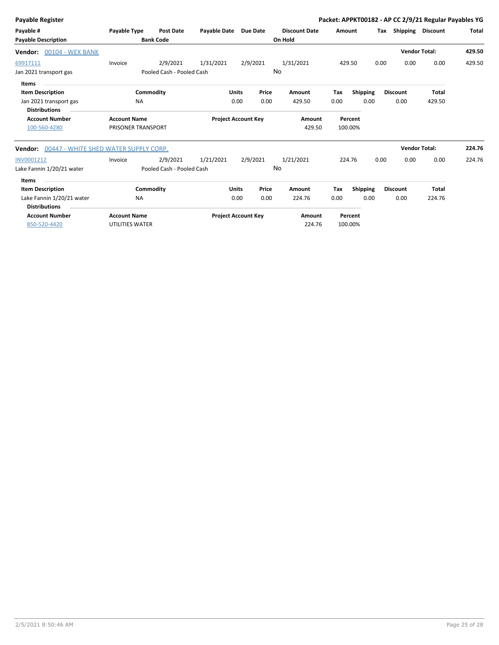| Payable Type        | <b>Post Date</b> |                                                                                                                              |                                                        |                                                                     | <b>Discount Date</b>                                                                                |                               |                 |                                                                        |              |                                           | Total                                                                                                                      |
|---------------------|------------------|------------------------------------------------------------------------------------------------------------------------------|--------------------------------------------------------|---------------------------------------------------------------------|-----------------------------------------------------------------------------------------------------|-------------------------------|-----------------|------------------------------------------------------------------------|--------------|-------------------------------------------|----------------------------------------------------------------------------------------------------------------------------|
|                     |                  |                                                                                                                              |                                                        |                                                                     |                                                                                                     |                               |                 |                                                                        |              |                                           |                                                                                                                            |
|                     |                  |                                                                                                                              |                                                        |                                                                     |                                                                                                     |                               |                 |                                                                        |              |                                           | 429.50                                                                                                                     |
| Invoice             | 2/9/2021         | 1/31/2021                                                                                                                    |                                                        |                                                                     | 1/31/2021                                                                                           |                               |                 |                                                                        | 0.00         | 0.00                                      | 429.50                                                                                                                     |
|                     |                  |                                                                                                                              |                                                        |                                                                     |                                                                                                     |                               |                 |                                                                        |              |                                           |                                                                                                                            |
|                     |                  |                                                                                                                              |                                                        |                                                                     |                                                                                                     |                               |                 |                                                                        |              |                                           |                                                                                                                            |
|                     |                  |                                                                                                                              |                                                        | Price                                                               | Amount                                                                                              | Tax                           | <b>Shipping</b> |                                                                        |              | Total                                     |                                                                                                                            |
| <b>NA</b>           |                  |                                                                                                                              |                                                        | 0.00                                                                | 429.50                                                                                              | 0.00                          | 0.00            |                                                                        | 0.00         | 429.50                                    |                                                                                                                            |
|                     |                  |                                                                                                                              |                                                        |                                                                     |                                                                                                     |                               |                 |                                                                        |              |                                           |                                                                                                                            |
| <b>Account Name</b> |                  |                                                                                                                              |                                                        |                                                                     | Amount                                                                                              |                               |                 |                                                                        |              |                                           |                                                                                                                            |
|                     |                  |                                                                                                                              |                                                        |                                                                     |                                                                                                     |                               |                 |                                                                        |              |                                           |                                                                                                                            |
|                     |                  |                                                                                                                              |                                                        |                                                                     |                                                                                                     |                               |                 |                                                                        |              |                                           | 224.76                                                                                                                     |
| Invoice             | 2/9/2021         | 1/21/2021                                                                                                                    |                                                        |                                                                     | 1/21/2021                                                                                           |                               |                 |                                                                        | 0.00         | 0.00                                      | 224.76                                                                                                                     |
|                     |                  |                                                                                                                              |                                                        |                                                                     |                                                                                                     |                               |                 |                                                                        |              |                                           |                                                                                                                            |
|                     |                  |                                                                                                                              |                                                        |                                                                     |                                                                                                     |                               |                 |                                                                        |              |                                           |                                                                                                                            |
|                     |                  |                                                                                                                              |                                                        | Price                                                               | Amount                                                                                              | Tax                           | <b>Shipping</b> |                                                                        |              | <b>Total</b>                              |                                                                                                                            |
| <b>NA</b>           |                  |                                                                                                                              |                                                        | 0.00                                                                | 224.76                                                                                              | 0.00                          | 0.00            |                                                                        | 0.00         | 224.76                                    |                                                                                                                            |
|                     |                  |                                                                                                                              |                                                        |                                                                     |                                                                                                     |                               |                 |                                                                        |              |                                           |                                                                                                                            |
| <b>Account Name</b> |                  |                                                                                                                              |                                                        |                                                                     | <b>Amount</b>                                                                                       |                               |                 |                                                                        |              |                                           |                                                                                                                            |
|                     |                  |                                                                                                                              |                                                        |                                                                     | 224.76                                                                                              |                               |                 |                                                                        |              |                                           |                                                                                                                            |
|                     |                  | <b>Bank Code</b><br>Commodity<br>PRISONER TRANSPORT<br>00447 - WHITE SHED WATER SUPPLY CORP.<br>Commodity<br>UTILITIES WATER | Pooled Cash - Pooled Cash<br>Pooled Cash - Pooled Cash | <b>Payable Date</b><br><b>Units</b><br>0.00<br><b>Units</b><br>0.00 | <b>Due Date</b><br>2/9/2021<br><b>Project Account Key</b><br>2/9/2021<br><b>Project Account Key</b> | On Hold<br>No<br>429.50<br>No |                 | Amount<br>429.50<br>Percent<br>100.00%<br>224.76<br>Percent<br>100.00% | 0.00<br>0.00 | Tax<br><b>Discount</b><br><b>Discount</b> | Packet: APPKT00182 - AP CC 2/9/21 Regular Payables YG<br>Shipping Discount<br><b>Vendor Total:</b><br><b>Vendor Total:</b> |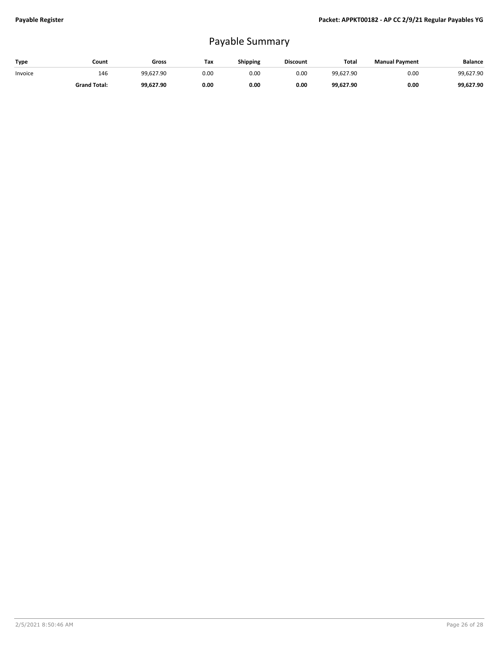## Payable Summary

| Type    | Count               | Gross     | Тах  | <b>Shipping</b> | <b>Discount</b> | Total     | <b>Manual Payment</b> | <b>Balance</b> |
|---------|---------------------|-----------|------|-----------------|-----------------|-----------|-----------------------|----------------|
| Invoice | 146                 | 99.627.90 | 0.00 | 0.00            | 0.00            | 99.627.90 | 0.00                  | 99,627.90      |
|         | <b>Grand Total:</b> | 99.627.90 | 0.00 | 0.00            | 0.00            | 99,627.90 | 0.00                  | 99,627.90      |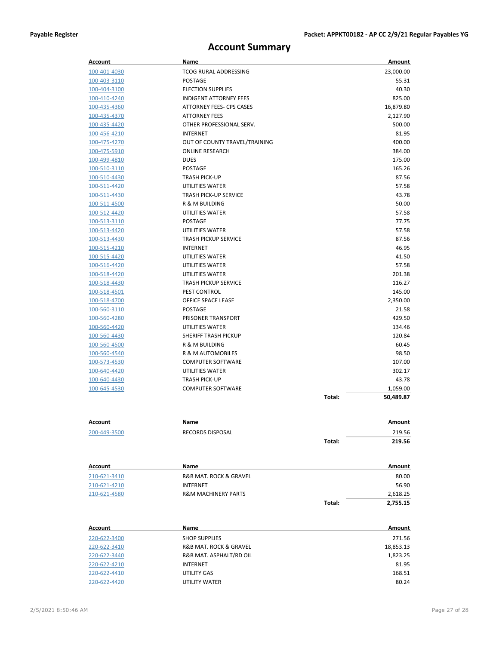## **Account Summary**

| <b>Account</b>      | Name                           |        | Amount    |
|---------------------|--------------------------------|--------|-----------|
| 100-401-4030        | TCOG RURAL ADDRESSING          |        | 23,000.00 |
| 100-403-3110        | <b>POSTAGE</b>                 |        | 55.31     |
| 100-404-3100        | <b>ELECTION SUPPLIES</b>       |        | 40.30     |
| 100-410-4240        | <b>INDIGENT ATTORNEY FEES</b>  |        | 825.00    |
| 100-435-4360        | ATTORNEY FEES- CPS CASES       |        | 16,879.80 |
| 100-435-4370        | <b>ATTORNEY FEES</b>           |        | 2,127.90  |
| 100-435-4420        | OTHER PROFESSIONAL SERV.       |        | 500.00    |
| 100-456-4210        | <b>INTERNET</b>                |        | 81.95     |
| 100-475-4270        | OUT OF COUNTY TRAVEL/TRAINING  |        | 400.00    |
| 100-475-5910        | <b>ONLINE RESEARCH</b>         |        | 384.00    |
| 100-499-4810        | <b>DUES</b>                    |        | 175.00    |
| 100-510-3110        | <b>POSTAGE</b>                 |        | 165.26    |
| 100-510-4430        | <b>TRASH PICK-UP</b>           |        | 87.56     |
| 100-511-4420        | UTILITIES WATER                |        | 57.58     |
| 100-511-4430        | <b>TRASH PICK-UP SERVICE</b>   |        | 43.78     |
| 100-511-4500        | R & M BUILDING                 |        | 50.00     |
| 100-512-4420        | UTILITIES WATER                |        | 57.58     |
| 100-513-3110        | POSTAGE                        |        | 77.75     |
| 100-513-4420        | UTILITIES WATER                |        | 57.58     |
| 100-513-4430        | <b>TRASH PICKUP SERVICE</b>    |        | 87.56     |
| 100-515-4210        | <b>INTERNET</b>                |        | 46.95     |
| 100-515-4420        | UTILITIES WATER                |        | 41.50     |
| 100-516-4420        | UTILITIES WATER                |        | 57.58     |
| 100-518-4420        | UTILITIES WATER                |        | 201.38    |
| 100-518-4430        | <b>TRASH PICKUP SERVICE</b>    |        | 116.27    |
| 100-518-4501        | <b>PEST CONTROL</b>            |        | 145.00    |
| 100-518-4700        | OFFICE SPACE LEASE             |        | 2,350.00  |
| 100-560-3110        | POSTAGE                        |        | 21.58     |
| 100-560-4280        | PRISONER TRANSPORT             |        | 429.50    |
| 100-560-4420        | UTILITIES WATER                |        | 134.46    |
| 100-560-4430        | <b>SHERIFF TRASH PICKUP</b>    |        | 120.84    |
| 100-560-4500        | R & M BUILDING                 |        | 60.45     |
| 100-560-4540        | R & M AUTOMOBILES              |        | 98.50     |
| 100-573-4530        | <b>COMPUTER SOFTWARE</b>       |        | 107.00    |
| 100-640-4420        | UTILITIES WATER                |        | 302.17    |
| 100-640-4430        | <b>TRASH PICK-UP</b>           |        | 43.78     |
| 100-645-4530        | <b>COMPUTER SOFTWARE</b>       |        | 1,059.00  |
|                     |                                | Total: | 50,489.87 |
|                     |                                |        |           |
| <u>Account</u>      | Name                           |        | Amount    |
| 200-449-3500        | <b>RECORDS DISPOSAL</b>        |        | 219.56    |
|                     |                                | Total: | 219.56    |
|                     |                                |        |           |
| Account             | Name                           |        | Amount    |
| 210-621-3410        | R&B MAT. ROCK & GRAVEL         |        | 80.00     |
| 210-621-4210        | <b>INTERNET</b>                |        | 56.90     |
| 210-621-4580        | <b>R&amp;M MACHINERY PARTS</b> |        | 2,618.25  |
|                     |                                | Total: | 2,755.15  |
|                     |                                |        |           |
| Account             | Name                           |        | Amount    |
| 220-622-3400        | <b>SHOP SUPPLIES</b>           |        | 271.56    |
| 220-622-3410        | R&B MAT. ROCK & GRAVEL         |        | 18,853.13 |
| <u>220-622-3440</u> | R&B MAT. ASPHALT/RD OIL        |        | 1,823.25  |
| 220-622-4210        | INTERNET                       |        | 81.95     |

220-622-4410 UTILITY GAS 168.51

220-622-4420 UTILITY WATER